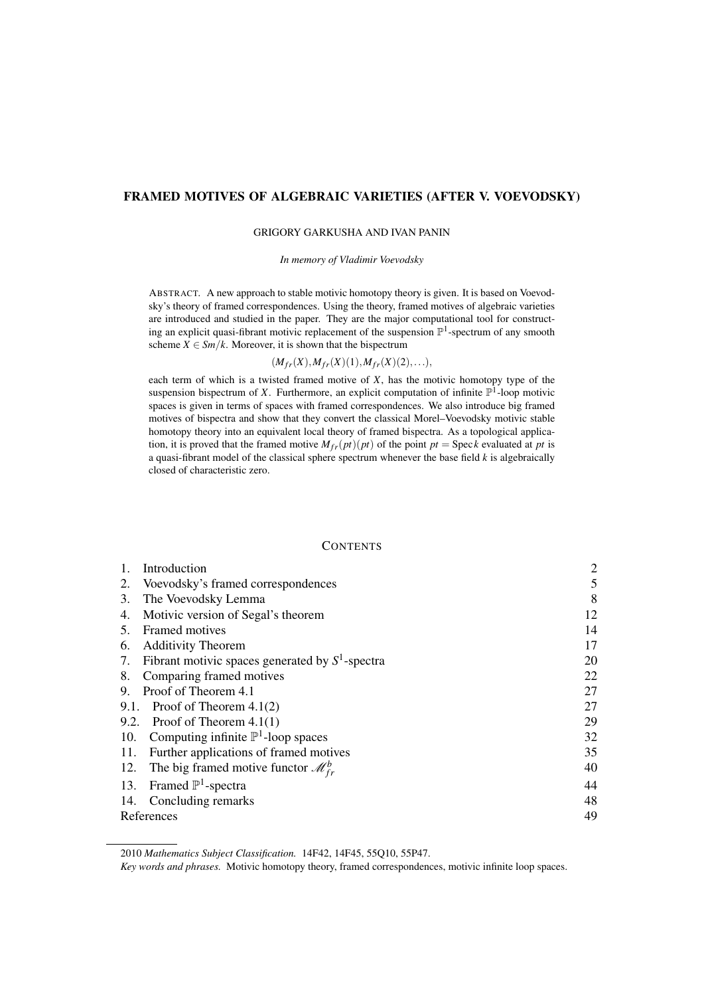# FRAMED MOTIVES OF ALGEBRAIC VARIETIES (AFTER V. VOEVODSKY)

#### GRIGORY GARKUSHA AND IVAN PANIN

*In memory of Vladimir Voevodsky*

ABSTRACT. A new approach to stable motivic homotopy theory is given. It is based on Voevodsky's theory of framed correspondences. Using the theory, framed motives of algebraic varieties are introduced and studied in the paper. They are the major computational tool for constructing an explicit quasi-fibrant motivic replacement of the suspension  $\mathbb{P}^1$ -spectrum of any smooth scheme  $X \in \mathcal{S}m/k$ . Moreover, it is shown that the bispectrum

 $(M_{fr}(X), M_{fr}(X)(1), M_{fr}(X)(2), \ldots),$ 

each term of which is a twisted framed motive of *X*, has the motivic homotopy type of the suspension bispectrum of *X*. Furthermore, an explicit computation of infinite  $\mathbb{P}^1$ -loop motivic spaces is given in terms of spaces with framed correspondences. We also introduce big framed motives of bispectra and show that they convert the classical Morel–Voevodsky motivic stable homotopy theory into an equivalent local theory of framed bispectra. As a topological application, it is proved that the framed motive  $M_{fr}(pt)(pt)$  of the point  $pt = \text{Spec } k$  evaluated at *pt* is a quasi-fibrant model of the classical sphere spectrum whenever the base field *k* is algebraically closed of characteristic zero.

#### **CONTENTS**

|            | Introduction                                         | $\overline{2}$ |
|------------|------------------------------------------------------|----------------|
| 2.         | Voevodsky's framed correspondences                   | 5              |
| 3.         | The Voevodsky Lemma                                  | 8              |
| 4.         | Motivic version of Segal's theorem                   | 12             |
| 5.         | <b>Framed motives</b>                                | 14             |
| 6.         | <b>Additivity Theorem</b>                            | 17             |
| 7.         | Fibrant motivic spaces generated by $S^1$ -spectra   | 20             |
| 8.         | Comparing framed motives                             | 22             |
| 9.         | Proof of Theorem 4.1                                 | 27             |
| 9.1.       | Proof of Theorem $4.1(2)$                            | 27             |
|            | 9.2. Proof of Theorem $4.1(1)$                       | 29             |
| 10.        | Computing infinite $\mathbb{P}^1$ -loop spaces       | 32             |
| 11.        | Further applications of framed motives               | 35             |
| 12.        | The big framed motive functor $\mathcal{M}_{fr}^{b}$ | 40             |
|            | 13. Framed $\mathbb{P}^1$ -spectra                   | 44             |
| 14.        | Concluding remarks                                   | 48             |
| References |                                                      | 49             |

2010 *Mathematics Subject Classification.* 14F42, 14F45, 55Q10, 55P47.

*Key words and phrases.* Motivic homotopy theory, framed correspondences, motivic infinite loop spaces.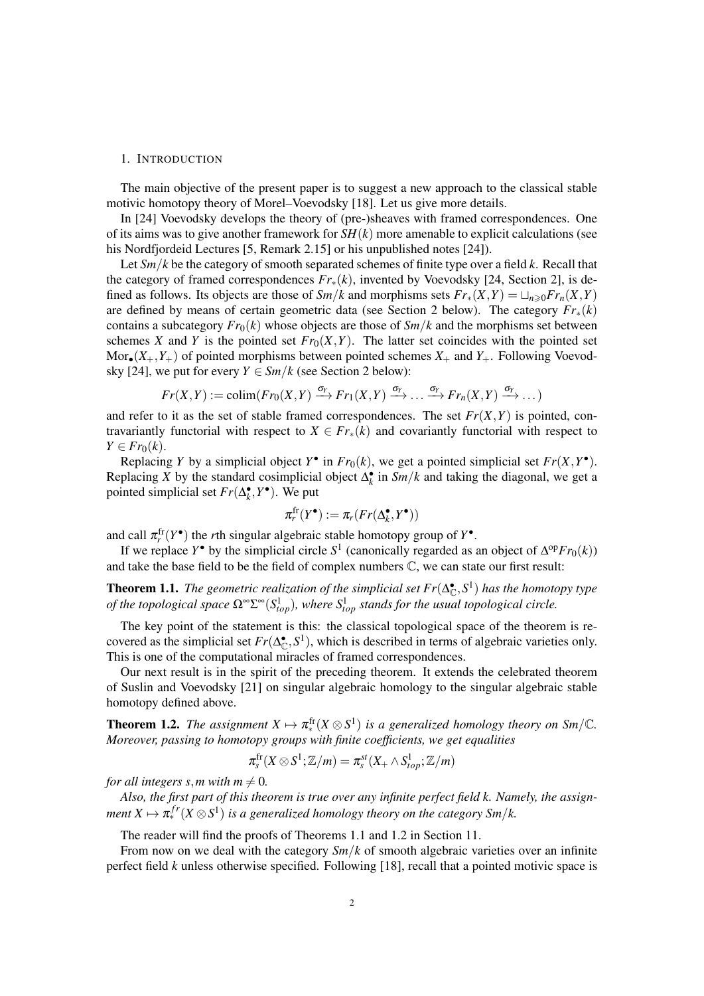#### 1. INTRODUCTION

The main objective of the present paper is to suggest a new approach to the classical stable motivic homotopy theory of Morel–Voevodsky [18]. Let us give more details.

In [24] Voevodsky develops the theory of (pre-)sheaves with framed correspondences. One of its aims was to give another framework for *SH*(*k*) more amenable to explicit calculations (see his Nordfjordeid Lectures [5, Remark 2.15] or his unpublished notes [24]).

Let *Sm*/*k* be the category of smooth separated schemes of finite type over a field *k*. Recall that the category of framed correspondences *Fr*∗(*k*), invented by Voevodsky [24, Section 2], is defined as follows. Its objects are those of  $Sm/k$  and morphisms sets  $Fr_*(X,Y) = \bigcup_{n \geq 0} Fr_n(X,Y)$ are defined by means of certain geometric data (see Section 2 below). The category  $Fr_*(k)$ contains a subcategory  $Fr_0(k)$  whose objects are those of  $Sm/k$  and the morphisms set between schemes *X* and *Y* is the pointed set  $Fr_0(X, Y)$ . The latter set coincides with the pointed set Mor<sub>•</sub> $(X_+, Y_+)$  of pointed morphisms between pointed schemes  $X_+$  and  $Y_+$ . Following Voevodsky [24], we put for every  $Y \in \mathcal{S}m/k$  (see Section 2 below):

$$
Fr(X,Y) := \text{colim}(Fr_0(X,Y) \xrightarrow{\sigma_Y} Fr_1(X,Y) \xrightarrow{\sigma_Y} \dots \xrightarrow{\sigma_Y} Fr_n(X,Y) \xrightarrow{\sigma_Y} \dots)
$$

and refer to it as the set of stable framed correspondences. The set  $Fr(X, Y)$  is pointed, contravariantly functorial with respect to  $X \in Fr_*(k)$  and covariantly functorial with respect to  $Y \in Fr_0(k)$ .

Replacing *Y* by a simplicial object  $Y^{\bullet}$  in  $Fr_0(k)$ , we get a pointed simplicial set  $Fr(X,Y^{\bullet})$ . Replacing *X* by the standard cosimplicial object  $\Delta_k^{\bullet}$  in *Sm*/*k* and taking the diagonal, we get a pointed simplicial set  $Fr(\Delta_k^{\bullet}, Y^{\bullet})$ . We put

$$
\pi_r^{\text{fr}}(Y^{\bullet}) := \pi_r(Fr(\Delta_k^{\bullet}, Y^{\bullet}))
$$

and call  $\pi_r^{\text{fr}}(Y^{\bullet})$  the *r*th singular algebraic stable homotopy group of  $Y^{\bullet}$ .

If we replace *Y*<sup>•</sup> by the simplicial circle  $S^1$  (canonically regarded as an object of  $\Delta^{op}Fr_0(k)$ ) and take the base field to be the field of complex numbers C, we can state our first result:

**Theorem 1.1.** *The geometric realization of the simplicial set*  $Fr(\Delta_{\mathbb{C}}^{\bullet}, S^1)$  *has the homotopy type of the topological space*  $\Omega^{\infty} \Sigma^{\infty} (S_{top}^1)$ *, where*  $S_{top}^1$  *stands for the usual topological circle.* 

The key point of the statement is this: the classical topological space of the theorem is recovered as the simplicial set  $Fr(\Delta_{\mathbb{C}}^{\bullet}, S^1)$ , which is described in terms of algebraic varieties only. This is one of the computational miracles of framed correspondences.

Our next result is in the spirit of the preceding theorem. It extends the celebrated theorem of Suslin and Voevodsky [21] on singular algebraic homology to the singular algebraic stable homotopy defined above.

**Theorem 1.2.** The assignment  $X \mapsto \pi_*^{\text{fr}}(X \otimes S^1)$  is a generalized homology theory on Sm/C. *Moreover, passing to homotopy groups with finite coefficients, we get equalities*

$$
\pi^{\text{\rm fr}}_s(X\otimes S^1;\mathbb{Z}/m)=\pi^{\text{\rm st}}_s(X_+\wedge S^1_{top};\mathbb{Z}/m)
$$

*for all integers s, m with m*  $\neq$  0*.* 

*Also, the first part of this theorem is true over any infinite perfect field k. Namely, the assign-* $\mathit{ment}\ X \mapsto \pi_\ast^{fr}(X\otimes S^1)$  is a generalized homology theory on the category Sm/k.

The reader will find the proofs of Theorems 1.1 and 1.2 in Section 11.

From now on we deal with the category  $Sm/k$  of smooth algebraic varieties over an infinite perfect field *k* unless otherwise specified. Following [18], recall that a pointed motivic space is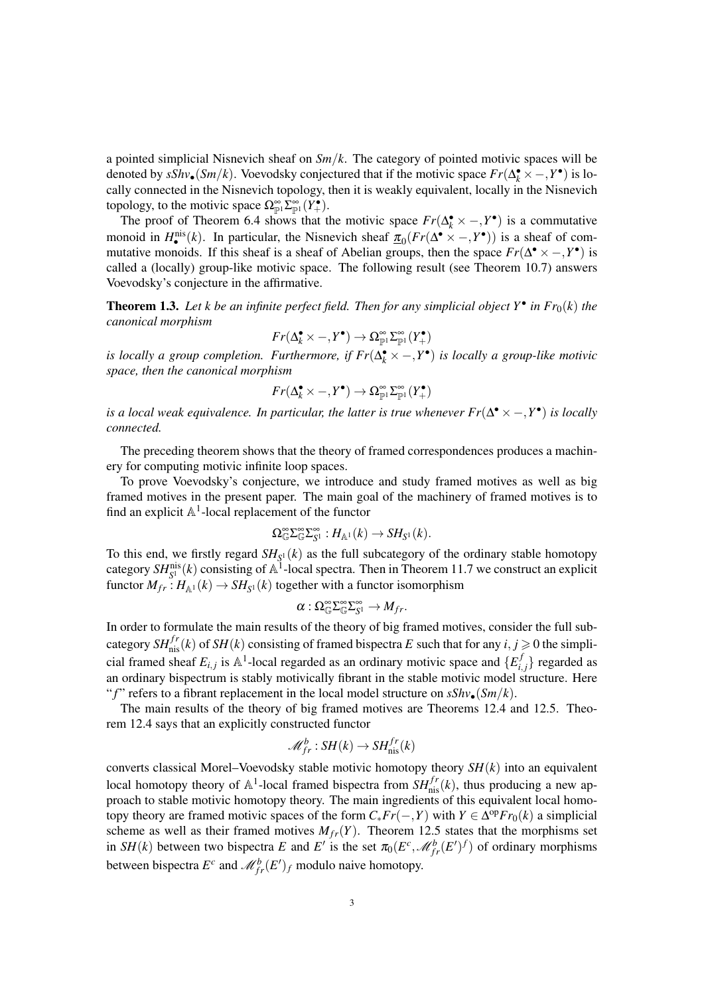a pointed simplicial Nisnevich sheaf on *Sm*/*k*. The category of pointed motivic spaces will be denoted by  $sShv_{\bullet}(Sm/k)$ . Voevodsky conjectured that if the motivic space  $Fr(\Delta_k^{\bullet} \times -, Y^{\bullet})$  is locally connected in the Nisnevich topology, then it is weakly equivalent, locally in the Nisnevich topology, to the motivic space  $\Omega_{\mathbb{P}^1}^{\infty} \Sigma_{\mathbb{P}^1}^{\infty} (Y^{\bullet}_+).$ 

The proof of Theorem 6.4 shows that the motivic space  $Fr(\Delta_k^{\bullet} \times -, Y^{\bullet})$  is a commutative monoid in  $H_{\bullet}^{\text{nis}}(k)$ . In particular, the Nisnevich sheaf  $\pi_0(Fr(\Delta^{\bullet} \times -, Y^{\bullet}))$  is a sheaf of commutative monoids. If this sheaf is a sheaf of Abelian groups, then the space  $Fr(\Delta^{\bullet} \times -, Y^{\bullet})$  is called a (locally) group-like motivic space. The following result (see Theorem 10.7) answers Voevodsky's conjecture in the affirmative.

**Theorem 1.3.** Let k be an infinite perfect field. Then for any simplicial object  $Y^{\bullet}$  in  $Fr_0(k)$  the *canonical morphism*

$$
Fr(\Delta_k^{\bullet} \times -, Y^{\bullet}) \to \Omega_{\mathbb{P}^1}^{\infty} \Sigma_{\mathbb{P}^1}^{\infty} (Y_{+}^{\bullet})
$$

*is locally a group completion. Furthermore, if*  $Fr(\Delta_k^{\bullet} \times -, Y^{\bullet})$  *is locally a group-like motivic space, then the canonical morphism*

$$
Fr(\Delta_k^\bullet\times -, Y^\bullet) \to \Omega_{\mathbb{P}^1}^\infty \Sigma_{\mathbb{P}^1}^\infty (Y_+^\bullet)
$$

*is a local weak equivalence. In particular, the latter is true whenever*  $Fr(\Delta^{\bullet} \times -, Y^{\bullet})$  *is locally connected.*

The preceding theorem shows that the theory of framed correspondences produces a machinery for computing motivic infinite loop spaces.

To prove Voevodsky's conjecture, we introduce and study framed motives as well as big framed motives in the present paper. The main goal of the machinery of framed motives is to find an explicit  $\mathbb{A}^1$ -local replacement of the functor

$$
\Omega^\infty_\mathbb{G} \Sigma^\infty_\mathbb{G} \Sigma^\infty_{S^1} : H_{\mathbb{A}^1}(k) \to SH_{S^1}(k).
$$

To this end, we firstly regard  $SH_{S^1}(k)$  as the full subcategory of the ordinary stable homotopy category  $SH_{S^1}^{\text{nis}}(k)$  consisting of  $\mathbb{A}^1$ -local spectra. Then in Theorem 11.7 we construct an explicit functor  $M_{fr}: H_{\mathbb{A}^1}(k) \to SH_{S^1}(k)$  together with a functor isomorphism

$$
\alpha:\Omega_{\mathbb{G}}^{\infty}\Sigma_{\mathbb{G}}^{\infty}\Sigma_{S^1}^{\infty}\to M_{fr}.
$$

In order to formulate the main results of the theory of big framed motives, consider the full subcategory  $SH^{fr}_{\text{nis}}(k)$  of  $SH(k)$  consisting of framed bispectra E such that for any  $i, j \ge 0$  the simplicial framed sheaf  $E_{i,j}$  is  $\mathbb{A}^1$ -local regarded as an ordinary motivic space and  $\{E_i^j\}$  $\{a_i, b_j\}$  regarded as an ordinary bispectrum is stably motivically fibrant in the stable motivic model structure. Here "*f*" refers to a fibrant replacement in the local model structure on  $sShv_{\bullet}(Sm/k)$ .

The main results of the theory of big framed motives are Theorems 12.4 and 12.5. Theorem 12.4 says that an explicitly constructed functor

$$
\mathcal{M}_{fr}^b: SH(k) \to SH_{\text{nis}}^{fr}(k)
$$

converts classical Morel–Voevodsky stable motivic homotopy theory *SH*(*k*) into an equivalent local homotopy theory of  $\mathbb{A}^1$ -local framed bispectra from  $SH^{fr}_{\text{nis}}(k)$ , thus producing a new approach to stable motivic homotopy theory. The main ingredients of this equivalent local homotopy theory are framed motivic spaces of the form  $C_* Fr(-,Y)$  with  $Y \in \Delta^{\text{op}} Fr_0(k)$  a simplicial scheme as well as their framed motives  $M_{fr}(Y)$ . Theorem 12.5 states that the morphisms set in *SH*(*k*) between two bispectra *E* and *E'* is the set  $\pi_0(E^c, \mathcal{M}_{fr}^b(E')^f)$  of ordinary morphisms between bispectra  $E^c$  and  $\mathcal{M}_{fr}^b(E')_f$  modulo naive homotopy.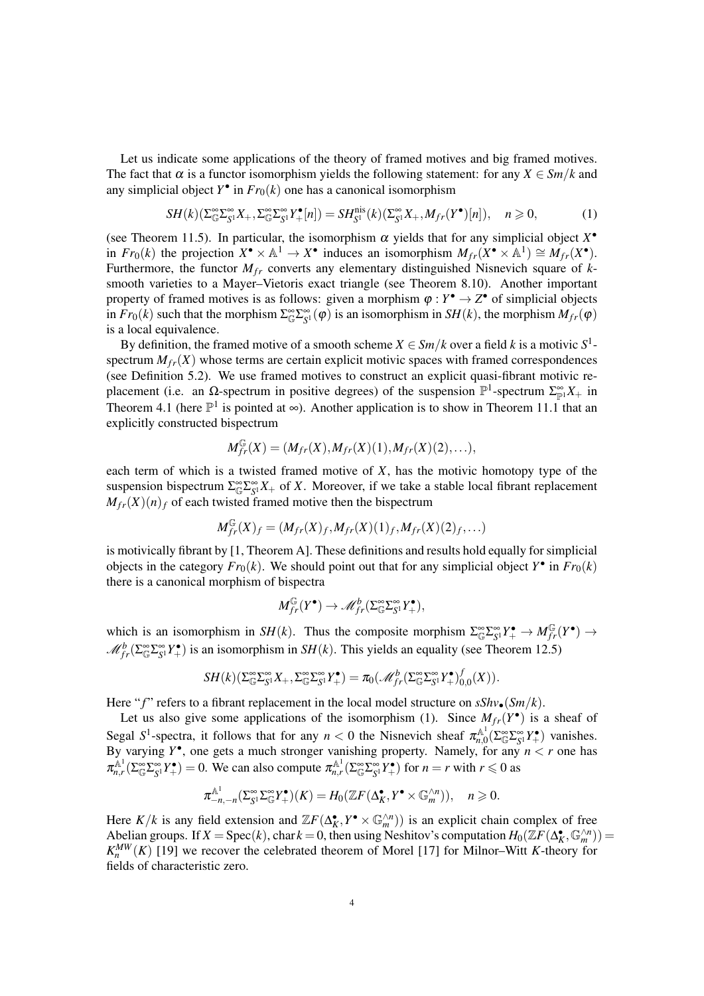Let us indicate some applications of the theory of framed motives and big framed motives. The fact that  $\alpha$  is a functor isomorphism yields the following statement: for any  $X \in \mathcal{S}m/k$  and any simplicial object  $Y^{\bullet}$  in  $Fr_0(k)$  one has a canonical isomorphism

$$
SH(k)(\sum_{\mathbb{G}}^{\infty} \sum_{\mathbb{S}^1}^{\infty} X_+, \sum_{\mathbb{G}}^{\infty} \sum_{\mathbb{S}^1}^{\infty} Y^{\bullet}_{+}[n]) = SH^{nis}_{S^1}(k)(\sum_{\mathbb{S}^1}^{\infty} X_+, M_{fr}(Y^{\bullet})[n]), \quad n \geq 0,
$$
 (1)

(see Theorem 11.5). In particular, the isomorphism  $\alpha$  yields that for any simplicial object  $X^{\bullet}$ in  $Fr_0(k)$  the projection  $X^{\bullet} \times \mathbb{A}^1 \to X^{\bullet}$  induces an isomorphism  $M_{fr}(X^{\bullet} \times \mathbb{A}^1) \cong M_{fr}(X^{\bullet})$ . Furthermore, the functor  $M_f$  converts any elementary distinguished Nisnevich square of  $k$ smooth varieties to a Mayer–Vietoris exact triangle (see Theorem 8.10). Another important property of framed motives is as follows: given a morphism  $\varphi : Y^{\bullet} \to Z^{\bullet}$  of simplicial objects in  $Fr_0(k)$  such that the morphism  $\Sigma_{\mathbb{G}}^{\infty} \Sigma_{S^1}^{\infty}(\varphi)$  is an isomorphism in  $SH(k)$ , the morphism  $M_{fr}(\varphi)$ is a local equivalence.

By definition, the framed motive of a smooth scheme  $X \in \mathcal{S}m/k$  over a field k is a motivic  $S^1$ spectrum  $M_{fr}(X)$  whose terms are certain explicit motivic spaces with framed correspondences (see Definition 5.2). We use framed motives to construct an explicit quasi-fibrant motivic replacement (i.e. an  $\Omega$ -spectrum in positive degrees) of the suspension  $\mathbb{P}^1$ -spectrum  $\Sigma_{\mathbb{P}^1}^{\infty}X_+$  in Theorem 4.1 (here  $\mathbb{P}^1$  is pointed at  $\infty$ ). Another application is to show in Theorem 11.1 that an explicitly constructed bispectrum

$$
M_{fr}^{\mathbb{G}}(X) = (M_{fr}(X), M_{fr}(X)(1), M_{fr}(X)(2), \ldots),
$$

each term of which is a twisted framed motive of *X*, has the motivic homotopy type of the suspension bispectrum  $\sum_{\mathbb{C}}^{\infty} \sum_{S}^{\infty} X_+$  of *X*. Moreover, if we take a stable local fibrant replacement  $M_{fr}(X)(n)_f$  of each twisted framed motive then the bispectrum

$$
M_{fr}^{\mathbb{G}}(X)_{f} = (M_{fr}(X)_{f}, M_{fr}(X)(1)_{f}, M_{fr}(X)(2)_{f}, \ldots)
$$

is motivically fibrant by [1, Theorem A]. These definitions and results hold equally for simplicial objects in the category  $Fr_0(k)$ . We should point out that for any simplicial object  $Y^{\bullet}$  in  $Fr_0(k)$ there is a canonical morphism of bispectra

$$
M_{fr}^{\mathbb{G}}(Y^{\bullet}) \to \mathscr{M}_{fr}^b(\Sigma_{\mathbb{G}}^{\infty} \Sigma_{S^1}^{\infty} Y^{\bullet}_+),
$$

which is an isomorphism in *SH*(*k*). Thus the composite morphism  $\Sigma_{\mathbb{G}}^{\infty} \Sigma_{S^1}^{\infty} Y^{\bullet}_+ \to M_{fr}^{\mathbb{G}}(Y^{\bullet}) \to$  $\mathcal{M}_{fr}^b(\Sigma_{\mathbb{G}}^{\infty}\Sigma_{S^1}^{\infty}Y^{\bullet})$  is an isomorphism in *SH*(*k*). This yields an equality (see Theorem 12.5)

$$
SH(k)(\Sigma^\infty_\mathbb G \Sigma^\infty_{S^1} X_+, \Sigma^\infty_\mathbb G \Sigma^\infty_{S^1} Y_+^\bullet) = \pi_0(\mathscr M_{fr}^b(\Sigma^\infty_\mathbb G \Sigma^\infty_{S^1} Y_+^\bullet)_{0,0}^f(X)).
$$

Here "*f*" refers to a fibrant replacement in the local model structure on  $sShv_{\bullet}(Sm/k)$ .

Let us also give some applications of the isomorphism (1). Since  $M_{fr}(Y^{\bullet})$  is a sheaf of Segal  $S^1$ -spectra, it follows that for any  $n < 0$  the Nisnevich sheaf  $\pi_{n,0}^{\mathbb{A}^1}$  $\sum_{n,0}^{\mathbb{A}^1} (\sum_{\mathbb{G}}^{\infty} \sum_{S^1}^{\infty} Y^{\bullet}_+)$  vanishes. By varying  $Y^{\bullet}$ , one gets a much stronger vanishing property. Namely, for any  $n < r$  one has  $\pi_{n,r}^{\mathbb{A}^1}(\Sigma_{\mathbb{G}}^{\infty}\Sigma_{\mathbb{S}^1}^{\infty}Y_{+}^{\bullet}) = 0$ . We can also compute  $\pi_{n,r}^{\mathbb{A}^1}(\Sigma_{\mathbb{G}}^{\infty}\Sigma_{\mathbb{S}^1}^{\infty}Y_{+}^{\bullet})$  for  $n = r$  with  $r \leq 0$  as

$$
\pi_{-n,-n}^{\mathbb{A}^1}(\Sigma_{S^1}^{\infty}\Sigma_{\mathbb{G}}^{\infty}Y_{+}^{\bullet})(K) = H_0(\mathbb{Z}F(\Delta_K^{\bullet}, Y^{\bullet} \times \mathbb{G}_m^{\wedge n})), \quad n \geqslant 0.
$$

Here  $K/k$  is any field extension and  $\mathbb{Z}F(\Delta_K^{\bullet}, Y^{\bullet} \times \mathbb{G}_m^{\wedge n})$  is an explicit chain complex of free Abelian groups. If  $X = \text{Spec}(k)$ , char  $k = 0$ , then using Neshitov's computation  $H_0(\bar{Z}F(\Delta_K^{\bullet}, \mathbb{G}_m^{\wedge n})) =$  $K_n^{MW}(K)$  [19] we recover the celebrated theorem of Morel [17] for Milnor–Witt *K*-theory for fields of characteristic zero.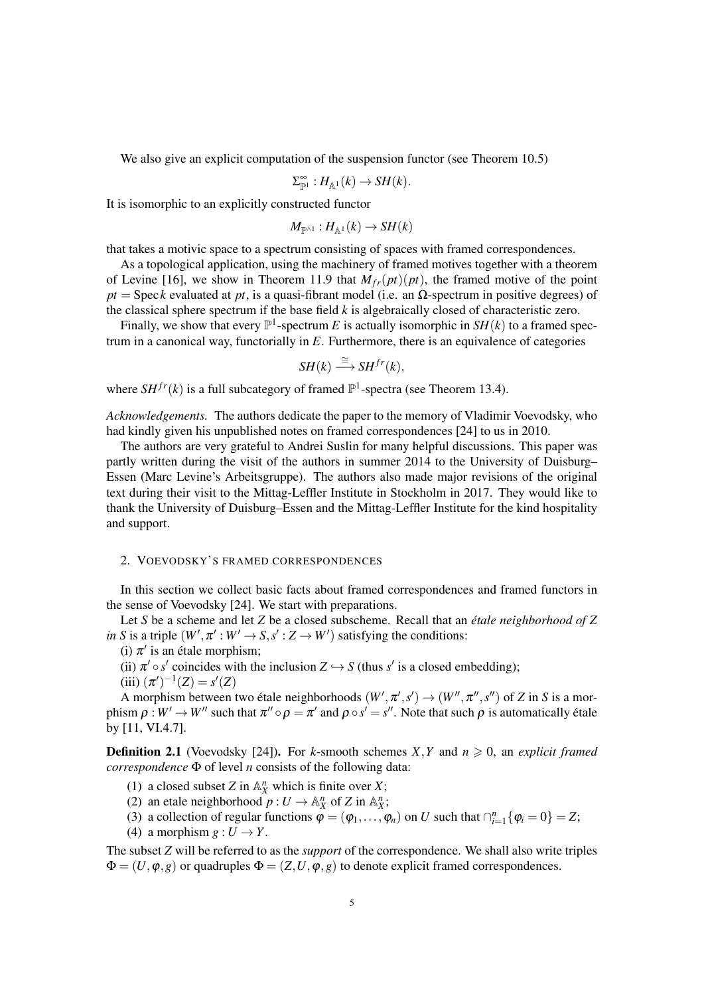We also give an explicit computation of the suspension functor (see Theorem 10.5)

$$
\Sigma_{\mathbb{P}^1}^{\infty}: H_{\mathbb{A}^1}(k) \to SH(k).
$$

It is isomorphic to an explicitly constructed functor

$$
M_{\mathbb{P}^{\wedge 1}}:H_{\mathbb{A}^1}(k)\to SH(k)
$$

that takes a motivic space to a spectrum consisting of spaces with framed correspondences.

As a topological application, using the machinery of framed motives together with a theorem of Levine [16], we show in Theorem 11.9 that  $M_{fr}(pt)(pt)$ , the framed motive of the point  $pt = \text{Spec } k$  evaluated at  $pt$ , is a quasi-fibrant model (i.e. an  $\Omega$ -spectrum in positive degrees) of the classical sphere spectrum if the base field *k* is algebraically closed of characteristic zero.

Finally, we show that every  $\mathbb{P}^1$ -spectrum *E* is actually isomorphic in *SH*(*k*) to a framed spectrum in a canonical way, functorially in *E*. Furthermore, there is an equivalence of categories

$$
SH(k) \stackrel{\cong}{\longrightarrow} SH^{fr}(k),
$$

where  $SH^{fr}(k)$  is a full subcategory of framed  $\mathbb{P}^1$ -spectra (see Theorem 13.4).

*Acknowledgements.* The authors dedicate the paper to the memory of Vladimir Voevodsky, who had kindly given his unpublished notes on framed correspondences [24] to us in 2010.

The authors are very grateful to Andrei Suslin for many helpful discussions. This paper was partly written during the visit of the authors in summer 2014 to the University of Duisburg– Essen (Marc Levine's Arbeitsgruppe). The authors also made major revisions of the original text during their visit to the Mittag-Leffler Institute in Stockholm in 2017. They would like to thank the University of Duisburg–Essen and the Mittag-Leffler Institute for the kind hospitality and support.

#### 2. VOEVODSKY'S FRAMED CORRESPONDENCES

In this section we collect basic facts about framed correspondences and framed functors in the sense of Voevodsky [24]. We start with preparations.

Let *S* be a scheme and let *Z* be a closed subscheme. Recall that an *etale neighborhood of Z ´ in S* is a triple  $(W', \pi' : W' \to S, s' : Z \to W')$  satisfying the conditions:

(i)  $\pi'$  is an étale morphism;

(ii)  $\pi' \circ s'$  coincides with the inclusion  $Z \hookrightarrow S$  (thus  $s'$  is a closed embedding);

(iii) 
$$
(\pi')^{-1}(Z) = s'(Z)
$$

A morphism between two étale neighborhoods  $(W', \pi', s') \rightarrow (W'', \pi'', s'')$  of *Z* in *S* is a morphism  $\rho: W' \to W''$  such that  $\pi'' \circ \rho = \pi'$  and  $\rho \circ s' = s''$ . Note that such  $\rho$  is automatically étale by [11, VI.4.7].

**Definition 2.1** (Voevodsky [24]). For *k*-smooth schemes *X*, *Y* and  $n \ge 0$ , an *explicit framed correspondence* Φ of level *n* consists of the following data:

- (1) a closed subset *Z* in  $\mathbb{A}_X^n$  which is finite over *X*;
- (2) an etale neighborhood  $p: U \to \mathbb{A}^n$  of  $Z$  in  $\mathbb{A}^n$ ;
- (3) a collection of regular functions  $\varphi = (\varphi_1, \ldots, \varphi_n)$  on *U* such that  $\bigcap_{i=1}^n {\varphi_i = 0} = Z$ ;
- (4) a morphism  $g: U \to Y$ .

The subset *Z* will be referred to as the *support* of the correspondence. We shall also write triples  $\Phi = (U, \varphi, g)$  or quadruples  $\Phi = (Z, U, \varphi, g)$  to denote explicit framed correspondences.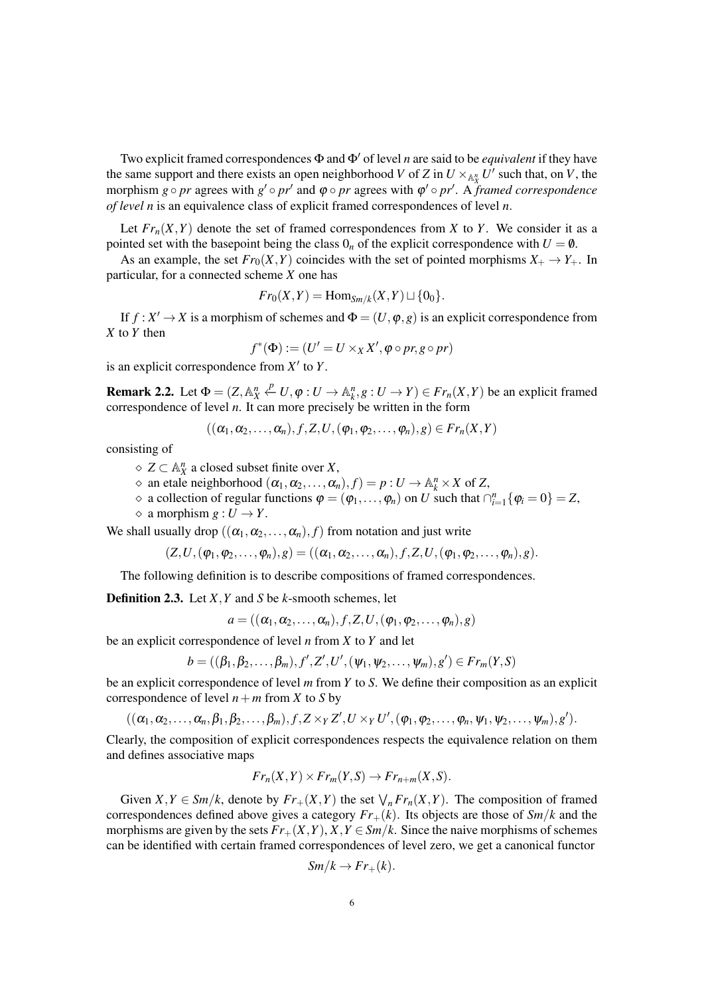Two explicit framed correspondences  $\Phi$  and  $\Phi'$  of level *n* are said to be *equivalent* if they have the same support and there exists an open neighborhood *V* of *Z* in  $U \times_{\mathbb{A}^n_X} U'$  such that, on *V*, the morphism  $g \circ pr$  agrees with  $g' \circ pr'$  and  $\varphi \circ pr$  agrees with  $\varphi' \circ pr'$ . A *framed correspondence of level n* is an equivalence class of explicit framed correspondences of level *n*.

Let  $Fr_n(X, Y)$  denote the set of framed correspondences from X to Y. We consider it as a pointed set with the basepoint being the class  $0<sub>n</sub>$  of the explicit correspondence with  $U = \emptyset$ .

As an example, the set  $Fr_0(X, Y)$  coincides with the set of pointed morphisms  $X_+ \to Y_+$ . In particular, for a connected scheme *X* one has

$$
Fr_0(X,Y) = \operatorname{Hom}_{Sm/k}(X,Y) \sqcup \{0_0\}.
$$

If  $f: X' \to X$  is a morphism of schemes and  $\Phi = (U, \varphi, g)$  is an explicit correspondence from *X* to *Y* then

$$
f^*(\Phi) := (U' = U \times_X X', \varphi \circ pr, g \circ pr)
$$

is an explicit correspondence from  $X'$  to  $Y$ .

**Remark 2.2.** Let  $\Phi = (Z, \mathbb{A}_X^n \stackrel{p}{\leftarrow} U, \varphi : U \to \mathbb{A}_k^n, g : U \to Y) \in Fr_n(X, Y)$  be an explicit framed correspondence of level *n*. It can more precisely be written in the form

$$
((\alpha_1,\alpha_2,\ldots,\alpha_n),f,Z,U,(\varphi_1,\varphi_2,\ldots,\varphi_n),g)\in Fr_n(X,Y)
$$

consisting of

*Z* ⊂ A *n X* a closed subset finite over *X*,

- $\Diamond$  an etale neighborhood  $(\alpha_1, \alpha_2, ..., \alpha_n), f$  =  $p: U \rightarrow \mathbb{A}_k^n \times X$  of *Z*,
- $\phi$  a collection of regular functions  $\phi = (\phi_1, \dots, \phi_n)$  on *U* such that  $\bigcap_{i=1}^n {\{\phi_i = 0\}} = Z$ ,
- $\Diamond$  a morphism  $g: U \rightarrow Y$ .

We shall usually drop  $((\alpha_1, \alpha_2, ..., \alpha_n), f)$  from notation and just write

 $(Z, U, (\varphi_1, \varphi_2, \ldots, \varphi_n), g) = ((\alpha_1, \alpha_2, \ldots, \alpha_n), f, Z, U, (\varphi_1, \varphi_2, \ldots, \varphi_n), g).$ 

The following definition is to describe compositions of framed correspondences.

Definition 2.3. Let *X*,*Y* and *S* be *k*-smooth schemes, let

 $a = ((\alpha_1, \alpha_2, \ldots, \alpha_n), f, Z, U, (\varphi_1, \varphi_2, \ldots, \varphi_n), g)$ 

be an explicit correspondence of level *n* from *X* to *Y* and let

 $b = ((\beta_1, \beta_2, \ldots, \beta_m), f', Z', U', (\psi_1, \psi_2, \ldots, \psi_m), g') \in Fr_m(Y, S)$ 

be an explicit correspondence of level *m* from *Y* to *S*. We define their composition as an explicit correspondence of level  $n + m$  from *X* to *S* by

 $((\alpha_1,\alpha_2,\ldots,\alpha_n,\beta_1,\beta_2,\ldots,\beta_m), f, Z \times_Y Z', U \times_Y U', (\varphi_1,\varphi_2,\ldots,\varphi_n,\psi_1,\psi_2,\ldots,\psi_m), g').$ 

Clearly, the composition of explicit correspondences respects the equivalence relation on them and defines associative maps

$$
Fr_n(X,Y) \times Fr_m(Y,S) \to Fr_{n+m}(X,S).
$$

Given  $X, Y \in \mathcal{S}m/k$ , denote by  $Fr_+(X, Y)$  the set  $\bigvee_n Fr_n(X, Y)$ . The composition of framed correspondences defined above gives a category  $Fr_+(k)$ . Its objects are those of  $Sm/k$  and the morphisms are given by the sets  $Fr_{+}(X,Y), X, Y \in \mathcal{S}m/k$ . Since the naive morphisms of schemes can be identified with certain framed correspondences of level zero, we get a canonical functor

$$
Sm/k \to Fr_+(k).
$$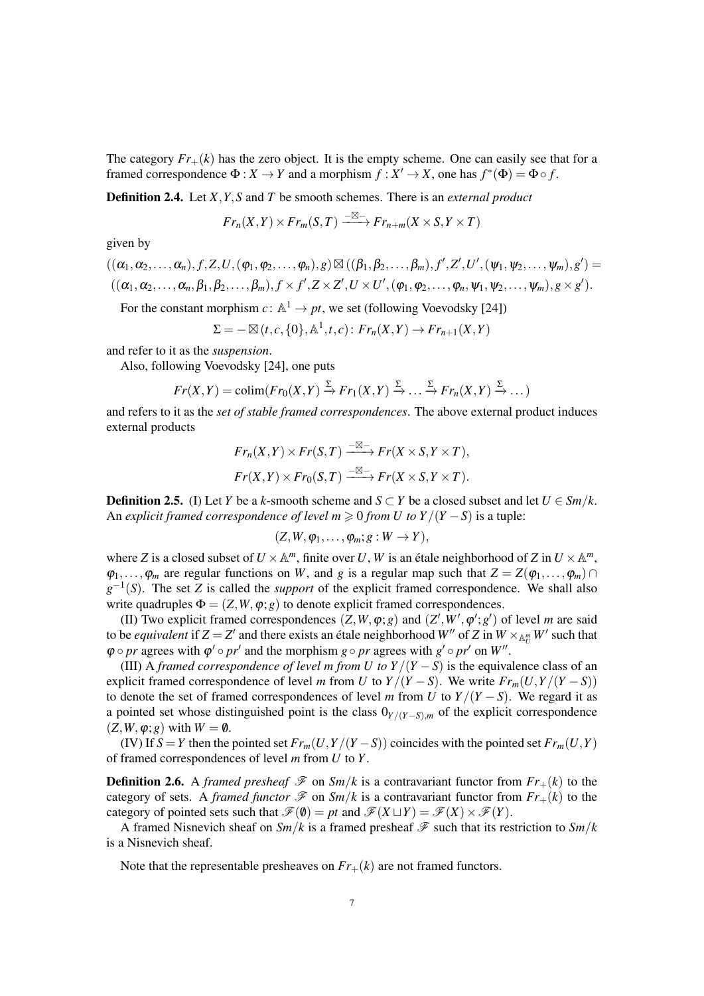The category  $Fr_+(k)$  has the zero object. It is the empty scheme. One can easily see that for a framed correspondence  $\Phi: X \to Y$  and a morphism  $f: X' \to X$ , one has  $f^*(\Phi) = \Phi \circ f$ .

Definition 2.4. Let *X*,*Y*,*S* and *T* be smooth schemes. There is an *external product*

$$
Fr_n(X,Y) \times Fr_m(S,T) \xrightarrow{-\boxtimes -} Fr_{n+m}(X \times S, Y \times T)
$$

given by

$$
((\alpha_1,\alpha_2,\ldots,\alpha_n),f,Z,U,(\varphi_1,\varphi_2,\ldots,\varphi_n),g)\boxtimes((\beta_1,\beta_2,\ldots,\beta_m),f',Z',U',(\psi_1,\psi_2,\ldots,\psi_m),g')=((\alpha_1,\alpha_2,\ldots,\alpha_n,\beta_1,\beta_2,\ldots,\beta_m),f\times f',Z\times Z',U\times U',(\varphi_1,\varphi_2,\ldots,\varphi_n,\psi_1,\psi_2,\ldots,\psi_m),g\times g').
$$

For the constant morphism  $c: \mathbb{A}^1 \to pt$ , we set (following Voevodsky [24])

$$
\Sigma = -\boxtimes (t, c, \{0\}, \mathbb{A}^1, t, c) : Fr_n(X, Y) \to Fr_{n+1}(X, Y)
$$

and refer to it as the *suspension*.

Also, following Voevodsky [24], one puts

$$
Fr(X,Y) = \text{colim}(Fr_0(X,Y) \xrightarrow{\Sigma} Fr_1(X,Y) \xrightarrow{\Sigma} \dots \xrightarrow{\Sigma} Fr_n(X,Y) \xrightarrow{\Sigma} \dots)
$$

and refers to it as the *set of stable framed correspondences*. The above external product induces external products

$$
Fr_n(X,Y) \times Fr(S,T) \xrightarrow{-\boxtimes -} Fr(X \times S, Y \times T),
$$
  

$$
Fr(X,Y) \times Fr_0(S,T) \xrightarrow{-\boxtimes -} Fr(X \times S, Y \times T).
$$

**Definition 2.5.** (I) Let *Y* be a *k*-smooth scheme and  $S \subset Y$  be a closed subset and let  $U \in \mathcal{S}m/k$ . An *explicit framed correspondence of level*  $m \geq 0$  *<i>from U to Y*/(*Y* − *S*) is a tuple:

$$
(Z,W,\varphi_1,\ldots,\varphi_m;g:W\to Y),
$$

where *Z* is a closed subset of  $U \times \mathbb{A}^m$ , finite over *U*, *W* is an étale neighborhood of *Z* in  $U \times \mathbb{A}^m$ ,  $\varphi_1, \ldots, \varphi_m$  are regular functions on *W*, and *g* is a regular map such that  $Z = Z(\varphi_1, \ldots, \varphi_m) \cap$  $g^{-1}(S)$ . The set *Z* is called the *support* of the explicit framed correspondence. We shall also write quadruples  $\Phi = (Z, W, \varphi; g)$  to denote explicit framed correspondences.

(II) Two explicit framed correspondences  $(Z, W, \varphi; g)$  and  $(Z', W', \varphi'; g')$  of level *m* are said to be *equivalent* if  $Z = Z'$  and there exists an étale neighborhood  $W''$  of  $Z$  in  $W \times_{A_U^m} W'$  such that  $\varphi \circ pr$  agrees with  $\varphi' \circ pr'$  and the morphism  $g \circ pr$  agrees with  $g' \circ pr'$  on  $W''$ .

(III) A *framed correspondence of level m from U to*  $Y/(Y - S)$  *is the equivalence class of an* explicit framed correspondence of level *m* from *U* to  $Y/(Y - S)$ . We write  $Fr_m(U, Y/(Y - S))$ to denote the set of framed correspondences of level *m* from *U* to  $Y/(Y - S)$ . We regard it as a pointed set whose distinguished point is the class  $0_{Y/(Y-S),m}$  of the explicit correspondence  $(Z, W, \varphi; g)$  with  $W = \emptyset$ .

(IV) If  $S = Y$  then the pointed set  $Fr_m(U, Y/(Y - S))$  coincides with the pointed set  $Fr_m(U, Y)$ of framed correspondences of level *m* from *U* to *Y*.

**Definition 2.6.** A *framed presheaf*  $\mathcal{F}$  on *Sm*/*k* is a contravariant functor from  $Fr_+(k)$  to the category of sets. A *framed functor*  $\mathcal F$  on  $Sm/k$  is a contravariant functor from  $Fr_+(k)$  to the category of pointed sets such that  $\mathcal{F}(\emptyset) = pt$  and  $\mathcal{F}(X \sqcup Y) = \mathcal{F}(X) \times \mathcal{F}(Y)$ .

A framed Nisnevich sheaf on  $Sm/k$  is a framed presheaf  $\mathcal F$  such that its restriction to  $Sm/k$ is a Nisnevich sheaf.

Note that the representable presheaves on  $Fr_{+}(k)$  are not framed functors.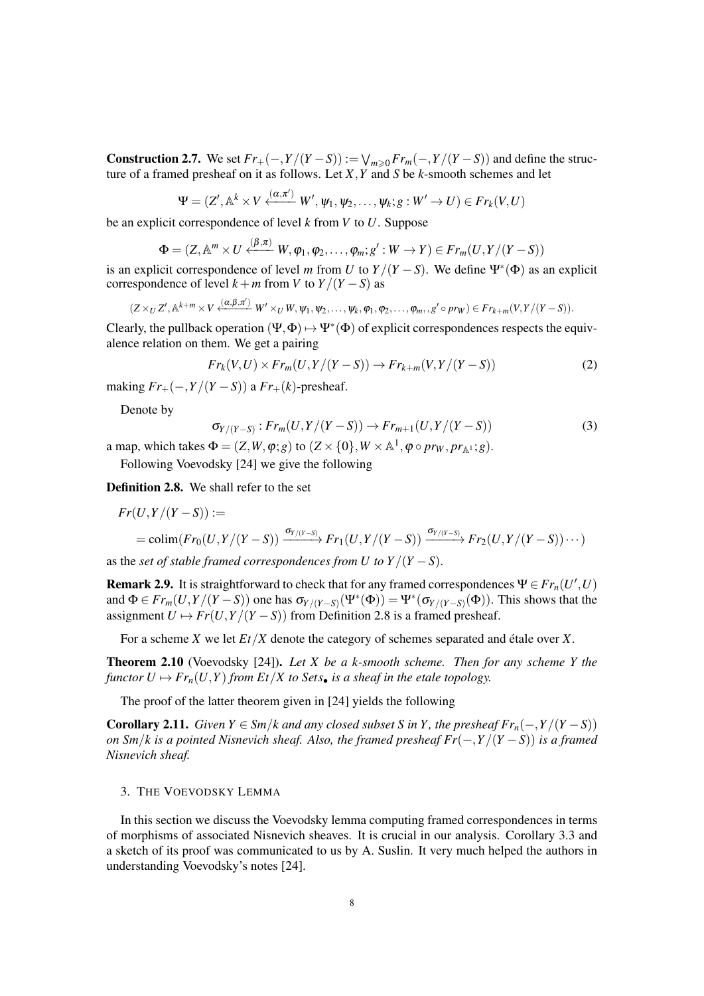Construction 2.7. We set  $Fr_+(-, Y/(Y - S)) := \bigvee_{m \geq 0} Fr_m(-, Y/(Y - S))$  and define the structure of a framed presheaf on it as follows. Let *X*,*Y* and *S* be *k*-smooth schemes and let

$$
\Psi = (Z', \mathbb{A}^k \times V \xleftarrow{(\alpha, \pi')} W', \psi_1, \psi_2, \dots, \psi_k; g: W' \to U) \in Fr_k(V, U)
$$

be an explicit correspondence of level *k* from *V* to *U*. Suppose

$$
\Phi = (Z, \mathbb{A}^m \times U \xleftarrow{(\beta, \pi)} W, \varphi_1, \varphi_2, \dots, \varphi_m; g': W \to Y) \in Fr_m(U, Y/(Y - S))
$$

is an explicit correspondence of level *m* from *U* to  $Y/(Y-S)$ . We define  $\Psi^*(\Phi)$  as an explicit correspondence of level  $k + m$  from *V* to  $Y/(Y - S)$  as

$$
(Z \times_U Z', \mathbb{A}^{k+m} \times V \xleftarrow{(\alpha, \beta, \pi')} W' \times_U W, \psi_1, \psi_2, \dots, \psi_k, \varphi_1, \varphi_2, \dots, \varphi_m, , g' \circ pr_W) \in Fr_{k+m}(V, Y/(Y-S)).
$$

Clearly, the pullback operation  $(\Psi, \Phi) \mapsto \Psi^*(\Phi)$  of explicit correspondences respects the equivalence relation on them. We get a pairing

$$
Fr_k(V, U) \times Fr_m(U, Y/(Y - S)) \to Fr_{k+m}(V, Y/(Y - S))
$$
\n<sup>(2)</sup>

making  $Fr_{+}(-, Y/(Y - S))$  a  $Fr_{+}(k)$ -presheaf.

Denote by

$$
\sigma_{Y/(Y-S)}: Fr_m(U,Y/(Y-S)) \to Fr_{m+1}(U,Y/(Y-S))
$$
\n(3)

a map, which takes  $\Phi = (Z, W, \varphi; g)$  to  $(Z \times \{0\}, W \times \mathbb{A}^1, \varphi \circ pr_W, pr_{\mathbb{A}^1}; g)$ .

Following Voevodsky [24] we give the following

Definition 2.8. We shall refer to the set

$$
Fr(U,Y/(Y-S)) :=
$$
  
= colim $(Fr_0(U,Y/(Y-S)) \xrightarrow{\sigma_{Y/(Y-S)}} Fr_1(U,Y/(Y-S)) \xrightarrow{\sigma_{Y/(Y-S)}} Fr_2(U,Y/(Y-S))\cdots)$ 

as the *set of stable framed correspondences from U to*  $Y/(Y - S)$ *.* 

**Remark 2.9.** It is straightforward to check that for any framed correspondences  $\Psi \in \mathbb{F}r_n(U',U)$ and  $\Phi \in Fr_m(U, Y/(Y-S))$  one has  $\sigma_{Y/(Y-S)}(\Psi^*(\Phi)) = \Psi^*(\sigma_{Y/(Y-S)}(\Phi))$ . This shows that the assignment  $U \mapsto Fr(U, Y/(Y - S))$  from Definition 2.8 is a framed presheaf.

For a scheme *X* we let  $Et/X$  denote the category of schemes separated and étale over *X*.

Theorem 2.10 (Voevodsky [24]). *Let X be a k-smooth scheme. Then for any scheme Y the functor*  $U \mapsto Fr_n(U, Y)$  *from Et*/*X to Sets• is a sheaf in the etale topology.* 

The proof of the latter theorem given in [24] yields the following

**Corollary 2.11.** *Given Y* ∈ *Sm*/*k* and any closed subset *S* in *Y*, the presheaf  $Fr_n(-, Y/(Y - S))$ *on Sm*/*k is a pointed Nisnevich sheaf. Also, the framed presheaf Fr*(−,*Y*/(*Y* −*S*)) *is a framed Nisnevich sheaf.*

## 3. THE VOEVODSKY LEMMA

In this section we discuss the Voevodsky lemma computing framed correspondences in terms of morphisms of associated Nisnevich sheaves. It is crucial in our analysis. Corollary 3.3 and a sketch of its proof was communicated to us by A. Suslin. It very much helped the authors in understanding Voevodsky's notes [24].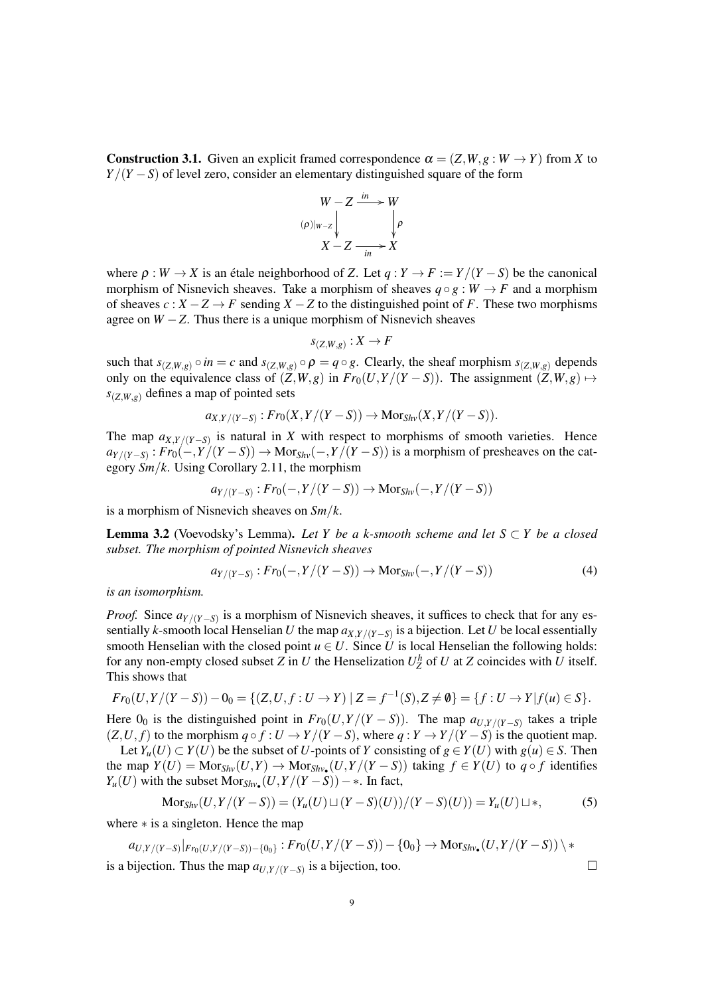**Construction 3.1.** Given an explicit framed correspondence  $\alpha = (Z, W, g : W \to Y)$  from *X* to *Y*/(*Y* − *S*) of level zero, consider an elementary distinguished square of the form



where  $\rho : W \to X$  is an étale neighborhood of *Z*. Let  $q : Y \to F := Y/(Y - S)$  be the canonical morphism of Nisnevich sheaves. Take a morphism of sheaves  $q \circ q : W \to F$  and a morphism of sheaves  $c: X - Z \rightarrow F$  sending  $X - Z$  to the distinguished point of *F*. These two morphisms agree on  $W - Z$ . Thus there is a unique morphism of Nisnevich sheaves

$$
s_{(Z,W,g)}:X\to F
$$

such that  $s_{(Z,W,g)} \circ in = c$  and  $s_{(Z,W,g)} \circ \rho = q \circ g$ . Clearly, the sheaf morphism  $s_{(Z,W,g)}$  depends only on the equivalence class of  $(Z, W, g)$  in  $Fr_0(U, Y/(Y - S))$ . The assignment  $(Z, W, g) \mapsto$  $s_{(Z,W,g)}$  defines a map of pointed sets

$$
a_{X,Y/(Y-S)}:Fr_0(X,Y/(Y-S)) \to \mathrm{Mor}_{Shv}(X,Y/(Y-S)).
$$

The map  $a_{X,Y/(Y-S)}$  is natural in *X* with respect to morphisms of smooth varieties. Hence  $a_{Y/(Y-S)}$ : *Fr*<sub>0</sub>(−,*Y*/(*Y* − *S*)) → Mor<sub>*Shv*</sub>(−,*Y*/(*Y* − *S*)) is a morphism of presheaves on the category *Sm*/*k*. Using Corollary 2.11, the morphism

$$
a_{Y/(Y-S)}:Fr_0(-,Y/(Y-S)) \to \text{Mor}_{Shv}(-,Y/(Y-S))
$$

is a morphism of Nisnevich sheaves on *Sm*/*k*.

**Lemma 3.2** (Voevodsky's Lemma). Let Y be a k-smooth scheme and let  $S \subset Y$  be a closed *subset. The morphism of pointed Nisnevich sheaves*

$$
a_{Y/(Y-S)} : Fr_0(-, Y/(Y-S)) \to \text{Mor}_{Shv}(-, Y/(Y-S))
$$
 (4)

*is an isomorphism.*

*Proof.* Since  $a_{Y/(Y-S)}$  is a morphism of Nisnevich sheaves, it suffices to check that for any essentially *k*-smooth local Henselian *U* the map *aX*,*Y*/(*Y*−*S*) is a bijection. Let *U* be local essentially smooth Henselian with the closed point  $u \in U$ . Since *U* is local Henselian the following holds: for any non-empty closed subset *Z* in *U* the Henselization  $U_Z^h$  of *U* at *Z* coincides with *U* itself. This shows that

$$
Fr_0(U,Y/(Y-S))-0_0=\{(Z,U,f:U\to Y)\mid Z=f^{-1}(S),Z\neq\emptyset\}=\{f:U\to Y|f(u)\in S\}.
$$

Here  $0_0$  is the distinguished point in  $Fr_0(U, Y/(Y - S))$ . The map  $a_{U, Y/(Y - S)}$  takes a triple  $(Z, U, f)$  to the morphism  $q \circ f : U \to Y/(Y - S)$ , where  $q : Y \to Y/(Y - S)$  is the quotient map. *Let Y*<sup>*u*</sup>(*U*) ⊂ *Y*(*U*) be the subset of *U*-points of *Y* consisting of *g* ∈ *Y*(*U*) with *g*(*u*) ∈ *S*. Then

the map  $Y(U) = \text{Mor}_{\text{Shv}}(U, Y) \to \text{Mor}_{\text{Shv}}(U, Y/(Y - S))$  taking  $f \in Y(U)$  to  $q \circ f$  identifies  $Y_u(U)$  with the subset  $Mor_{Shv_{\bullet}}(U, Y/(Y-S)) - *$ . In fact,

$$
Mor_{Shv}(U, Y/(Y-S)) = (Y_u(U) \sqcup (Y-S)(U))/(Y-S)(U)) = Y_u(U) \sqcup *,
$$
 (5)

where ∗ is a singleton. Hence the map

$$
a_{U,Y/(Y-S)}|_{Fr_{0}(U,Y/(Y-S))-\{0_{0}\}}:Fr_{0}(U,Y/(Y-S))-\{0_{0}\} \rightarrow \mathrm{Mor}_{Shv_{\bullet}}(U,Y/(Y-S))\setminus \ast
$$

is a bijection. Thus the map  $a_{U,Y/(Y-S)}$  is a bijection, too. □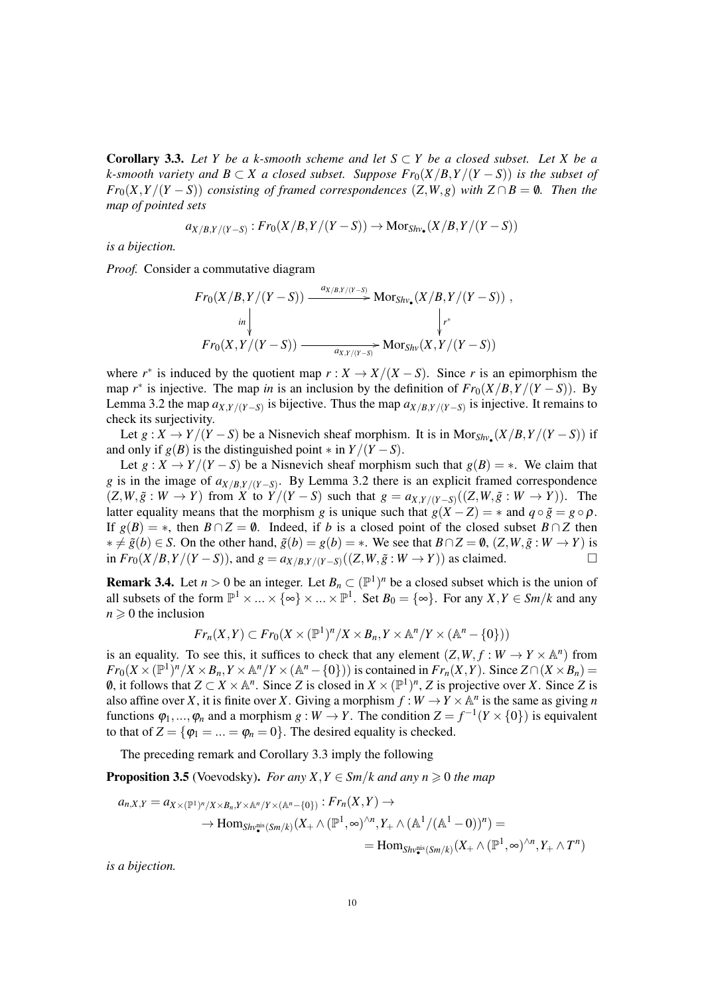**Corollary 3.3.** Let Y be a k-smooth scheme and let  $S \subset Y$  be a closed subset. Let X be a *k*-smooth variety and  $B \subset X$  a closed subset. Suppose  $Fr_0(X/B, Y/(Y - S))$  is the subset of *Fr*<sub>0</sub>(*X*,*Y*/(*Y* − *S*)) *consisting of framed correspondences* (*Z*,*W*,*g*) *with*  $Z \cap B = \emptyset$ *. Then the map of pointed sets*

$$
a_{X/B,Y/(Y-S)}:Fr_0(X/B,Y/(Y-S))\to \mathrm{Mor}_{Shv_{\bullet}}(X/B,Y/(Y-S))
$$

*is a bijection.*

*Proof.* Consider a commutative diagram

$$
Fr_0(X/B, Y/(Y-S)) \xrightarrow{\begin{subarray}{c} a_{X/B,Y/(Y-S)} \\ \text{Im} \downarrow \\ \text{Im}(X, Y/(Y-S)) \end{subarray}} Mor_{Shv_{\bullet}}(X/B, Y/(Y-S)),
$$
\n
$$
Fr_0(X, Y/(Y-S)) \xrightarrow{\begin{subarray}{c} a_{X,Y/(Y-S)} \\ \text{Im}(X, Y/(Y-S)) \end{subarray}} Mor_{Shv}(X, Y/(Y-S))
$$

where  $r^*$  is induced by the quotient map  $r: X \to X/(X - S)$ . Since r is an epimorphism the map  $r^*$  is injective. The map *in* is an inclusion by the definition of  $Fr_0(X/B, Y/(Y-S))$ . By Lemma 3.2 the map  $a_{X,Y/(Y-S)}$  is bijective. Thus the map  $a_{X/B,Y/(Y-S)}$  is injective. It remains to check its surjectivity.

Let  $g: X \to Y/(Y - S)$  be a Nisnevich sheaf morphism. It is in Mor<sub>Shv</sub>( $X/B, Y/(Y - S)$ ) if and only if  $g(B)$  is the distinguished point  $*$  in  $Y/(Y - S)$ .

Let  $g: X \to Y/(Y - S)$  be a Nisnevich sheaf morphism such that  $g(B) = *$ . We claim that *g* is in the image of *aX*/*B*,*Y*/(*Y*−*S*) . By Lemma 3.2 there is an explicit framed correspondence  $(Z, W, \tilde{g}: W \to Y)$  from X to  $Y/(Y-S)$  such that  $g = a_{X,Y/(Y-S)}((Z, W, \tilde{g}: W \to Y))$ . The latter equality means that the morphism *g* is unique such that  $g(X - Z) = *$  and  $g \circ \tilde{g} = g \circ \rho$ . If  $g(B) = *$ , then  $B \cap Z = \emptyset$ . Indeed, if *b* is a closed point of the closed subset  $B \cap Z$  then  $* ≠ \tilde{g}(b) ∈ S$ . On the other hand,  $\tilde{g}(b) = g(b) = *$ . We see that  $B ∩ Z = \emptyset$ ,  $(Z, W, \tilde{g}: W \rightarrow Y)$  is in  $Fr_0(X/B, Y/(Y-S))$ , and  $g = a_{X/B, Y/(Y-S)}((Z, W, \tilde{g}: W \to Y))$  as claimed. □

**Remark 3.4.** Let  $n > 0$  be an integer. Let  $B_n \subset (\mathbb{P}^1)^n$  be a closed subset which is the union of all subsets of the form  $\mathbb{P}^1 \times ... \times \{\infty\} \times ... \times \mathbb{P}^1$ . Set  $B_0 = \{\infty\}$ . For any  $X, Y \in \mathcal{S}m/k$  and any  $n \geqslant 0$  the inclusion

$$
Fr_n(X,Y) \subset Fr_0(X \times (\mathbb{P}^1)^n / X \times B_n, Y \times \mathbb{A}^n / Y \times (\mathbb{A}^n - \{0\}))
$$

is an equality. To see this, it suffices to check that any element  $(Z, W, f : W \to Y \times \mathbb{A}^n)$  from  $Fr_0(X \times (\mathbb{P}^1)^n / X \times B_n, Y \times \mathbb{A}^n / Y \times (\mathbb{A}^n - \{0\})$  is contained in  $Fr_n(X, Y)$ . Since  $Z \cap (X \times B_n)$  = *0*, it follows that *Z* ⊂ *X* ×  $\mathbb{A}^n$ . Since *Z* is closed in *X* ×  $(\mathbb{P}^1)^n$ , *Z* is projective over *X*. Since *Z* is also affine over *X*, it is finite over *X*. Giving a morphism  $f: W \to Y \times \mathbb{A}^n$  is the same as giving *n* functions  $\varphi_1, ..., \varphi_n$  and a morphism  $g : W \to Y$ . The condition  $Z = f^{-1}(Y \times \{0\})$  is equivalent to that of  $Z = {\varphi_1 = ... = \varphi_n = 0}$ . The desired equality is checked.

The preceding remark and Corollary 3.3 imply the following

**Proposition 3.5** (Voevodsky). *For any X,Y*  $\in$  *Sm*/*k* and any  $n \ge 0$  the map

$$
a_{n,X,Y} = a_{X \times (\mathbb{P}^1)^n / X \times B_n, Y \times \mathbb{A}^n / Y \times (\mathbb{A}^n - \{0\})} : Fr_n(X,Y) \to
$$
  

$$
\to \text{Hom}_{Shv_{\bullet}^{\text{mis}}(Sm/k)}(X_+ \wedge (\mathbb{P}^1, \infty)^{\wedge n}, Y_+ \wedge (\mathbb{A}^1 / (\mathbb{A}^1 - 0))^n) =
$$
  

$$
= \text{Hom}_{Shv_{\bullet}^{\text{mis}}(Sm/k)}(X_+ \wedge (\mathbb{P}^1, \infty)^{\wedge n}, Y_+ \wedge T^n)
$$

*is a bijection.*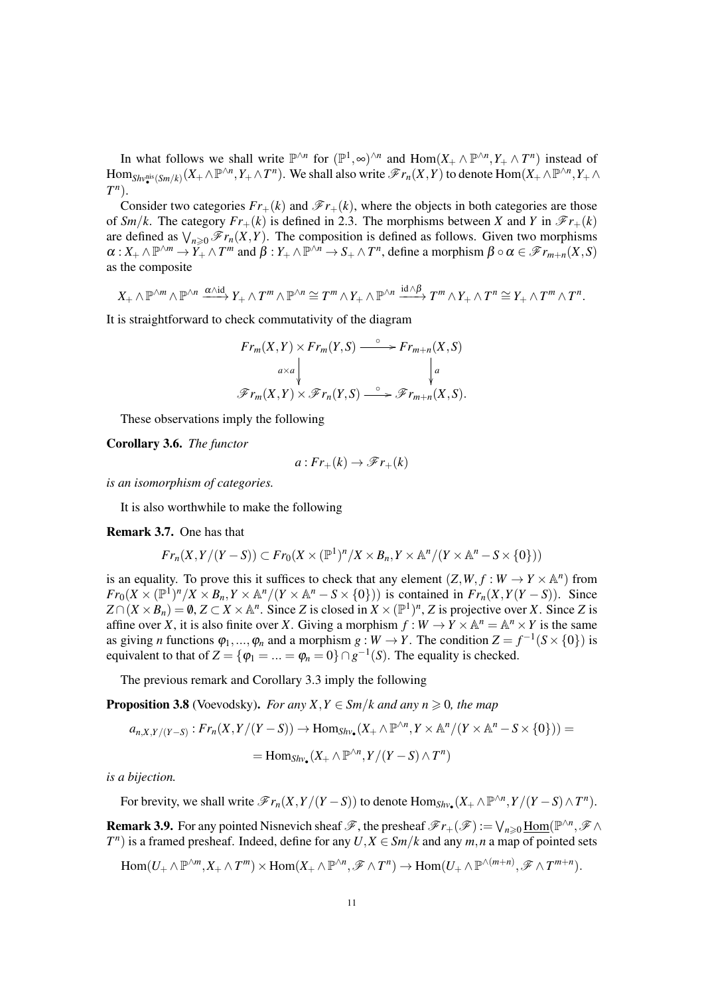In what follows we shall write  $\mathbb{P}^{\wedge n}$  for  $(\mathbb{P}^1, \infty)^{\wedge n}$  and  $\text{Hom}(X_+ \wedge \mathbb{P}^{\wedge n}, Y_+ \wedge T^n)$  instead of  $\text{Hom}_{\textit{Shv}^{\text{mis}}_{\bullet}}(\textit{Sm}/k)}(X_+\wedge\mathbb{P}^{\wedge n},Y_+\wedge T^n).$  We shall also write  $\mathscr{F}r_n(X,Y)$  to denote  $\text{Hom}(X_+\wedge\mathbb{P}^{\wedge n},Y_+\wedge T^n).$ *T n* ).

Consider two categories  $Fr_+(k)$  and  $\mathscr{F}r_+(k)$ , where the objects in both categories are those of *Sm*/*k*. The category  $Fr_+(k)$  is defined in 2.3. The morphisms between *X* and *Y* in  $\mathcal{F}_{r_+}(k)$ are defined as  $\bigvee_{n\geq 0} \mathscr{F}r_n(X, Y)$ . The composition is defined as follows. Given two morphisms  $\alpha: X_+ \wedge \mathbb{P}^{\wedge m} \to Y_+ \wedge T^m$  and  $\beta: Y_+ \wedge \mathbb{P}^{\wedge n} \to S_+ \wedge T^n$ , define a morphism  $\beta \circ \alpha \in \mathscr{F}r_{m+n}(X, S)$ as the composite

$$
X_+ \wedge \mathbb{P}^{\wedge m} \wedge \mathbb{P}^{\wedge n} \xrightarrow{\alpha \wedge id} Y_+ \wedge T^m \wedge \mathbb{P}^{\wedge n} \cong T^m \wedge Y_+ \wedge \mathbb{P}^{\wedge n} \xrightarrow{id \wedge \beta} T^m \wedge Y_+ \wedge T^n \cong Y_+ \wedge T^m \wedge T^n.
$$

It is straightforward to check commutativity of the diagram

$$
Fr_m(X,Y) \times Fr_m(Y,S) \xrightarrow{\circ} Fr_{m+n}(X,S)
$$
  

$$
\downarrow^{a \times a} \qquad \qquad \downarrow^{a}
$$
  

$$
\mathscr{F}r_m(X,Y) \times \mathscr{F}r_n(Y,S) \xrightarrow{\circ} \mathscr{F}r_{m+n}(X,S).
$$

These observations imply the following

Corollary 3.6. *The functor*

$$
a:Fr_+(k) \to \mathscr{F}r_+(k)
$$

*is an isomorphism of categories.*

It is also worthwhile to make the following

#### Remark 3.7. One has that

$$
Fr_n(X, Y/(Y-S)) \subset Fr_0(X \times (\mathbb{P}^1)^n / X \times B_n, Y \times \mathbb{A}^n / (Y \times \mathbb{A}^n - S \times \{0\}))
$$

is an equality. To prove this it suffices to check that any element  $(Z, W, f : W \to Y \times \mathbb{A}^n)$  from  $Fr_0(X \times (\mathbb{P}^1)^n / X \times B_n, Y \times \mathbb{A}^n / (Y \times \mathbb{A}^n - S \times \{0\})$  is contained in  $Fr_n(X, Y(Y - S))$ . Since  $Z \cap (X \times B_n) = \emptyset$ ,  $Z \subset X \times \mathbb{A}^n$ . Since *Z* is closed in  $X \times (\mathbb{P}^1)^n$ , *Z* is projective over *X*. Since *Z* is affine over *X*, it is also finite over *X*. Giving a morphism  $f: W \to Y \times \mathbb{A}^n = \mathbb{A}^n \times Y$  is the same as giving *n* functions  $\varphi_1, ..., \varphi_n$  and a morphism  $g : W \to Y$ . The condition  $Z = f^{-1}(S \times \{0\})$  is equivalent to that of  $Z = {\varphi_1 = ... = \varphi_n = 0} \cap g^{-1}(S)$ . The equality is checked.

The previous remark and Corollary 3.3 imply the following

**Proposition 3.8** (Voevodsky). *For any X,Y*  $\in$  *Sm*/*k* and any  $n \ge 0$ *, the map* 

$$
a_{n,X,Y/(Y-S)}:Fr_n(X,Y/(Y-S))\to \text{Hom}_{Shv_{\bullet}}(X_+\wedge \mathbb{P}^{\wedge n},Y\times \mathbb{A}^n/(Y\times \mathbb{A}^n-S\times \{0\}))=\\ =\text{Hom}_{Shv_{\bullet}}(X_+\wedge \mathbb{P}^{\wedge n},Y/(Y-S)\wedge T^n)
$$

*is a bijection.*

For brevity, we shall write  $\mathscr{F}r_n(X, Y/(Y-S))$  to denote  $\text{Hom}_{Shv_{\bullet}}(X_+ \wedge \mathbb{P}^{\wedge n}, Y/(Y-S) \wedge T^n)$ .

**Remark 3.9.** For any pointed Nisnevich sheaf  $\mathscr{F}$ , the presheaf  $\mathscr{F}r_+(\mathscr{F}) := \bigvee_{n \geq 0} \underline{\text{Hom}}(\mathbb{P}^{\wedge n}, \mathscr{F} \wedge$  $T<sup>n</sup>$ ) is a framed presheaf. Indeed, define for any *U*,  $X \in \frac{Sm}{k}$  and any *m*, *n* a map of pointed sets

 $\text{Hom}(U_+ \wedge \mathbb{P}^{\wedge m}, X_+ \wedge T^m) \times \text{Hom}(X_+ \wedge \mathbb{P}^{\wedge n}, \mathscr{F} \wedge T^n) \to \text{Hom}(U_+ \wedge \mathbb{P}^{\wedge (m+n)}, \mathscr{F} \wedge T^{m+n}).$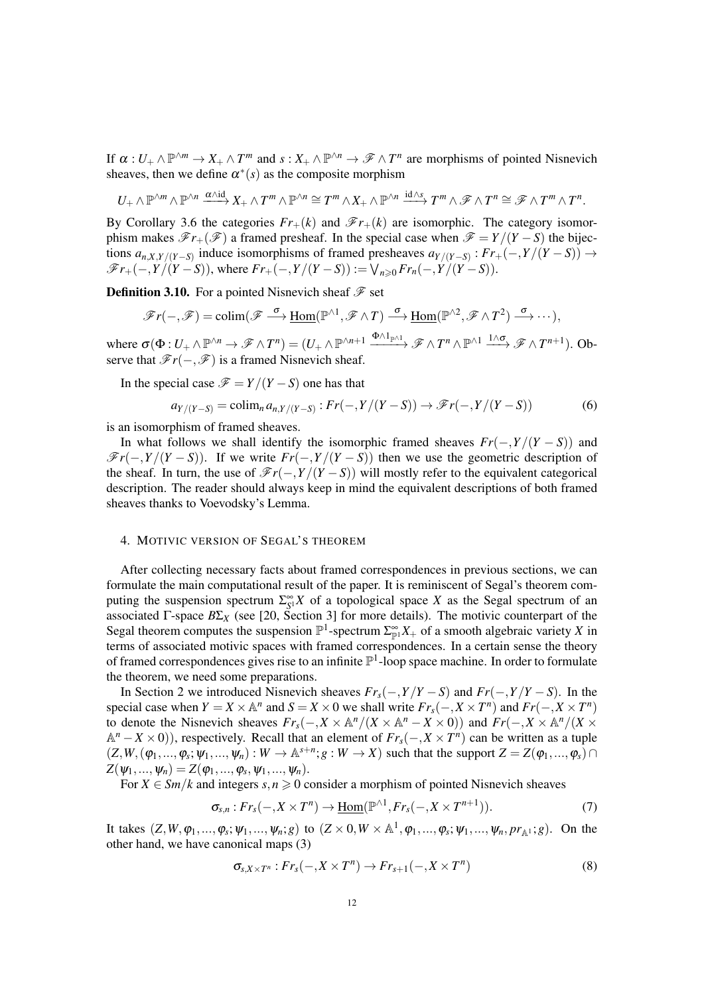If  $\alpha: U_+ \wedge \mathbb{P}^{\wedge m} \to X_+ \wedge T^m$  and  $s: X_+ \wedge \mathbb{P}^{\wedge n} \to \mathscr{F} \wedge T^n$  are morphisms of pointed Nisnevich sheaves, then we define  $\alpha^*(s)$  as the composite morphism

$$
U_+ \wedge \mathbb{P}^{\wedge m} \wedge \mathbb{P}^{\wedge n} \xrightarrow{\alpha \wedge id} X_+ \wedge T^m \wedge \mathbb{P}^{\wedge n} \cong T^m \wedge X_+ \wedge \mathbb{P}^{\wedge n} \xrightarrow{id \wedge s} T^m \wedge \mathscr{F} \wedge T^n \cong \mathscr{F} \wedge T^m \wedge T^n.
$$

By Corollary 3.6 the categories  $Fr_+(k)$  and  $\mathscr{F}r_+(k)$  are isomorphic. The category isomorphism makes  $\mathscr{F}_{r+}(\mathscr{F})$  a framed presheaf. In the special case when  $\mathscr{F} = Y/(Y - S)$  the bijections  $a_{n,X,Y/(Y-S)}$  induce isomorphisms of framed presheaves  $a_{Y/(Y-S)}$ :  $Fr_+(-,Y/(Y-S)) \to$  $\mathscr{F}_{r+}(-, Y/(Y-S))$ , where  $Fr_+(-, Y/(Y-S)) := \bigvee_{n \geq 0} Fr_n(-, Y/(Y-S)).$ 

**Definition 3.10.** For a pointed Nisnevich sheaf  $\mathcal{F}$  set

$$
\mathscr{F}r(-,\mathscr{F})=\operatorname{colim}(\mathscr{F}\stackrel{\sigma}{\longrightarrow}\underline{\operatorname{Hom}}(\mathbb{P}^{\wedge 1},\mathscr{F}\wedge T)\stackrel{\sigma}{\longrightarrow}\underline{\operatorname{Hom}}(\mathbb{P}^{\wedge 2},\mathscr{F}\wedge T^2)\stackrel{\sigma}{\longrightarrow}\cdots,
$$

where  $\sigma(\Phi: U_+ \wedge \mathbb{P}^{\wedge n} \to \mathscr{F} \wedge T^n) = (U_+ \wedge \mathbb{P}^{\wedge n+1} \xrightarrow{\Phi \wedge 1_{\mathbb{P}^{\wedge 1}}} \mathscr{F} \wedge T^n \wedge \mathbb{P}^{\wedge 1} \xrightarrow{1 \wedge \sigma} \mathscr{F} \wedge T^{n+1}).$  Observe that  $\mathcal{F}r(-,\mathcal{F})$  is a framed Nisnevich sheaf.

In the special case  $\mathcal{F} = Y/(Y - S)$  one has that

$$
a_{Y/(Y-S)} = \text{colim}_n a_{n,Y/(Y-S)} : Fr(-, Y/(Y-S)) \to \mathcal{F}r(-, Y/(Y-S))
$$
 (6)

is an isomorphism of framed sheaves.

In what follows we shall identify the isomorphic framed sheaves  $Fr(-, Y/(Y - S))$  and  $\mathcal{F}_r(-, Y/(Y - S))$ . If we write  $Fr(-, Y/(Y - S))$  then we use the geometric description of the sheaf. In turn, the use of  $\mathcal{F}_r(-, Y/(Y - S))$  will mostly refer to the equivalent categorical description. The reader should always keep in mind the equivalent descriptions of both framed sheaves thanks to Voevodsky's Lemma.

#### 4. MOTIVIC VERSION OF SEGAL'S THEOREM

After collecting necessary facts about framed correspondences in previous sections, we can formulate the main computational result of the paper. It is reminiscent of Segal's theorem computing the suspension spectrum  $\Sigma_{S^1}^{\infty} X$  of a topological space *X* as the Segal spectrum of an associated Γ-space  $B\Sigma_X$  (see [20, Section 3] for more details). The motivic counterpart of the Segal theorem computes the suspension  $\mathbb{P}^1$ -spectrum  $\sum_{p=1}^{\infty} X_+$  of a smooth algebraic variety *X* in terms of associated motivic spaces with framed correspondences. In a certain sense the theory of framed correspondences gives rise to an infinite  $\mathbb{P}^1$ -loop space machine. In order to formulate the theorem, we need some preparations.

In Section 2 we introduced Nisnevich sheaves  $Fr_s(-, Y/Y - S)$  and  $Fr(-, Y/Y - S)$ . In the special case when  $Y = X \times \mathbb{A}^n$  and  $S = X \times 0$  we shall write  $Fr_s(-, X \times T^n)$  and  $Fr(-, X \times T^n)$ to denote the Nisnevich sheaves  $Fr_s(-, X \times \mathbb{A}^n / (X \times \mathbb{A}^n - X \times 0))$  and  $Fr(-, X \times \mathbb{A}^n / (X \times$ A *<sup>n</sup>* −*X* ×0)), respectively. Recall that an element of *Frs*(−,*X* ×*T n* ) can be written as a tuple  $(Z, W, (\varphi_1, \ldots, \varphi_s; \psi_1, \ldots, \psi_n) : W \to \mathbb{A}^{s+n}; g : W \to X)$  such that the support  $Z = Z(\varphi_1, \ldots, \varphi_s) \cap$  $Z(\psi_1, ..., \psi_n) = Z(\varphi_1, ..., \varphi_s, \psi_1, ..., \psi_n).$ 

For  $X \in \frac{Sm}{k}$  and integers  $s, n \geq 0$  consider a morphism of pointed Nisnevich sheaves

$$
\sigma_{s,n}: Fr_s(-, X \times T^n) \to \underline{\text{Hom}}(\mathbb{P}^{\wedge 1}, Fr_s(-, X \times T^{n+1})).\tag{7}
$$

It takes  $(Z, W, \varphi_1, ..., \varphi_s; \psi_1, ..., \psi_n; g)$  to  $(Z \times 0, W \times \mathbb{A}^1, \varphi_1, ..., \varphi_s; \psi_1, ..., \psi_n, pr_{\mathbb{A}^1}; g)$ . On the other hand, we have canonical maps (3)

$$
\sigma_{s,X\times T^n}: Fr_s(-,X\times T^n)\to Fr_{s+1}(-,X\times T^n)
$$
\n(8)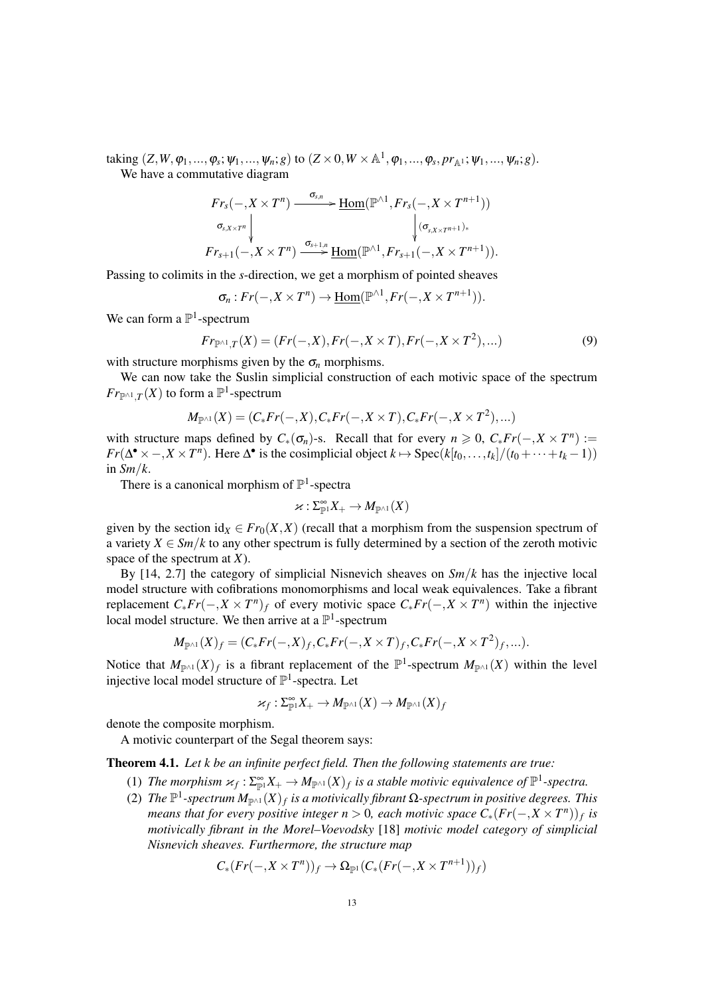taking  $(Z, W, \varphi_1, ..., \varphi_s; \psi_1, ..., \psi_n; g)$  to  $(Z \times 0, W \times \mathbb{A}^1, \varphi_1, ..., \varphi_s, pr_{\mathbb{A}^1}; \psi_1, ..., \psi_n; g)$ . We have a commutative diagram

$$
Fr_s(-, X \times T^n) \xrightarrow{\sigma_{s,n}} \underline{\operatorname{Hom}}(\mathbb{P}^{\wedge 1}, Fr_s(-, X \times T^{n+1}))
$$
  

$$
\sigma_{s, X \times T^n} \downarrow \qquad \qquad \downarrow (\sigma_{s, X \times T^{n+1})*}
$$
  

$$
Fr_{s+1}(-, X \times T^n) \xrightarrow{\sigma_{s+1,n}} \underline{\operatorname{Hom}}(\mathbb{P}^{\wedge 1}, Fr_{s+1}(-, X \times T^{n+1})).
$$

Passing to colimits in the *s*-direction, we get a morphism of pointed sheaves

$$
\sigma_n: Fr(-, X \times T^n) \to \underline{\mathrm{Hom}}(\mathbb{P}^{\wedge 1}, Fr(-, X \times T^{n+1})).
$$

We can form a  $\mathbb{P}^1$ -spectrum

$$
Fr_{\mathbb{P}^{\wedge 1},T}(X) = (Fr(-,X), Fr(-,X \times T), Fr(-,X \times T^2), \dots)
$$
\n(9)

with structure morphisms given by the  $\sigma_n$  morphisms.

We can now take the Suslin simplicial construction of each motivic space of the spectrum  $Fr_{\mathbb{P}^{\wedge 1},T}(X)$  to form a  $\mathbb{P}^1$ -spectrum

$$
M_{\mathbb{P}^{\wedge 1}}(X)=(C_*Fr(-,X),C_*Fr(-,X\times T),C_*Fr(-,X\times T^2),...)
$$

with structure maps defined by  $C_*(\sigma_n)$ -s. Recall that for every  $n \geq 0$ ,  $C_* Fr(-, X \times T^n) :=$  $Fr(\Delta^{\bullet} \times -, X \times T^n)$ . Here  $\Delta^{\bullet}$  is the cosimplicial object  $k \mapsto \text{Spec}(k[t_0, \ldots, t_k]/(t_0 + \cdots + t_k - 1))$ in  $Sm/k$ .

There is a canonical morphism of  $\mathbb{P}^1$ -spectra

$$
\varkappa:\Sigma^\infty_{\mathbb{P}^1}X_+\to M_{\mathbb{P}^{\wedge 1}}(X)
$$

given by the section  $id_X \in Fr_0(X,X)$  (recall that a morphism from the suspension spectrum of a variety  $X \in \mathcal{S}m/k$  to any other spectrum is fully determined by a section of the zeroth motivic space of the spectrum at *X*).

By [14, 2.7] the category of simplicial Nisnevich sheaves on *Sm*/*k* has the injective local model structure with cofibrations monomorphisms and local weak equivalences. Take a fibrant replacement  $C_* Fr(-, X \times T^n)_f$  of every motivic space  $C_* Fr(-, X \times T^n)$  within the injective local model structure. We then arrive at a  $\mathbb{P}^1$ -spectrum

$$
M_{\mathbb{P}^{\wedge 1}}(X)_f=(C_*Fr(-,X)_f,C_*Fr(-,X\times T)_f,C_*Fr(-,X\times T^2)_f,...).
$$

Notice that  $M_{\mathbb{P}^{\wedge 1}}(X)_f$  is a fibrant replacement of the  $\mathbb{P}^1$ -spectrum  $M_{\mathbb{P}^{\wedge 1}}(X)$  within the level injective local model structure of  $\mathbb{P}^1$ -spectra. Let

$$
\varkappa_f: \Sigma^\infty_{\mathbb P^1}X_+ \to M_{\mathbb P^{\wedge 1}}(X) \to M_{\mathbb P^{\wedge 1}}(X)_f
$$

denote the composite morphism.

A motivic counterpart of the Segal theorem says:

Theorem 4.1. *Let k be an infinite perfect field. Then the following statements are true:*

- (1) The morphism  $\varkappa_f : \Sigma_{\mathbb{P}^1}^{\infty} X_+ \to M_{\mathbb{P}^{\wedge 1}}(X)_f$  is a stable motivic equivalence of  $\mathbb{P}^1$ -spectra.
- (2) The  $\mathbb{P}^1$ -spectrum  $M_{\mathbb{P}^{\wedge 1}}(X)_f$  is a motivically fibrant Ω-spectrum in positive degrees. This *means that for every positive integer n* > 0, each motivic space  $C_*(Fr(-, X \times T^n))_f$  is *motivically fibrant in the Morel–Voevodsky* [18] *motivic model category of simplicial Nisnevich sheaves. Furthermore, the structure map*

$$
C_*(Fr(-, X \times T^n))_f \to \Omega_{\mathbb{P}^1}(C_*(Fr(-, X \times T^{n+1}))_f)
$$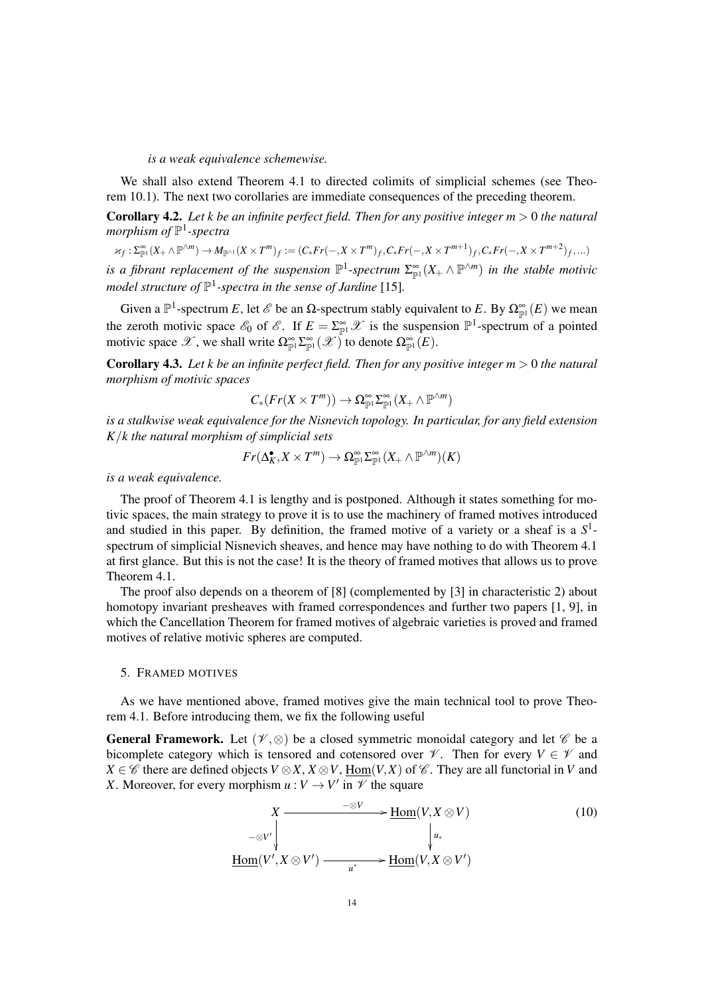*is a weak equivalence schemewise.*

We shall also extend Theorem 4.1 to directed colimits of simplicial schemes (see Theorem 10.1). The next two corollaries are immediate consequences of the preceding theorem.

Corollary 4.2. *Let k be an infinite perfect field. Then for any positive integer m* > 0 *the natural morphism of* P 1 *-spectra*

 $\varkappa_f: \Sigma^\infty_{\mathbb{P}^1}(X_+\wedge \mathbb{P}^{\wedge m})\to M_{\mathbb{P}^{\wedge 1}}(X\times T^m)_f:=(C_*Fr(-,X\times T^m)_f,C_*Fr(-,X\times T^{m+1})_f,C_*Fr(-,X\times T^{m+2})_f,\ldots)$ 

*is a fibrant replacement of the suspension*  $\mathbb{P}^1$ -spectrum  $\Sigma_{\mathbb{P}^1}^{\infty}(X_+\wedge \mathbb{P}^{\wedge m})$  in the stable motivic model structure of  $\mathbb{P}^1$ -spectra in the sense of Jardine [15].

Given a  $\mathbb{P}^1$ -spectrum *E*, let  $\mathscr{E}$  be an  $\Omega$ -spectrum stably equivalent to *E*. By  $\Omega_{\mathbb{P}^1}^{\infty}(E)$  we mean the zeroth motivic space  $\mathscr{E}_0$  of  $\mathscr{E}$ . If  $E = \sum_{p=1}^{\infty} \mathscr{X}$  is the suspension  $\mathbb{P}^1$ -spectrum of a pointed motivic space  $\mathscr{X}$ , we shall write  $\Omega_{\mathbb{P}^1}^{\infty} \Sigma_{\mathbb{P}^1}^{\infty}(\mathscr{X})$  to denote  $\Omega_{\mathbb{P}^1}^{\infty}(E)$ .

Corollary 4.3. *Let k be an infinite perfect field. Then for any positive integer m* > 0 *the natural morphism of motivic spaces*

$$
C_*(Fr(X \times T^m)) \to \Omega_{\mathbb{P}^1}^{\infty} \Sigma_{\mathbb{P}^1}^{\infty}(X_+ \wedge \mathbb{P}^{\wedge m})
$$

*is a stalkwise weak equivalence for the Nisnevich topology. In particular, for any field extension K*/*k the natural morphism of simplicial sets*

$$
Fr(\Delta_K^{\bullet}, X \times T^m) \to \Omega_{\mathbb{P}^1}^{\infty} \Sigma_{\mathbb{P}^1}^{\infty}(X_+ \wedge \mathbb{P}^{\wedge m})(K)
$$

*is a weak equivalence.*

The proof of Theorem 4.1 is lengthy and is postponed. Although it states something for motivic spaces, the main strategy to prove it is to use the machinery of framed motives introduced and studied in this paper. By definition, the framed motive of a variety or a sheaf is a *S* 1 spectrum of simplicial Nisnevich sheaves, and hence may have nothing to do with Theorem 4.1 at first glance. But this is not the case! It is the theory of framed motives that allows us to prove Theorem 4.1.

The proof also depends on a theorem of [8] (complemented by [3] in characteristic 2) about homotopy invariant presheaves with framed correspondences and further two papers [1, 9], in which the Cancellation Theorem for framed motives of algebraic varieties is proved and framed motives of relative motivic spheres are computed.

#### 5. FRAMED MOTIVES

As we have mentioned above, framed motives give the main technical tool to prove Theorem 4.1. Before introducing them, we fix the following useful

**General Framework.** Let  $(\mathcal{V}, \otimes)$  be a closed symmetric monoidal category and let  $\mathcal{C}$  be a bicomplete category which is tensored and cotensored over  $\mathcal V$ . Then for every  $V \in \mathcal V$  and *X* ∈  $\mathscr C$  there are defined objects *V* ⊗ *X*, *X* ⊗ *V*, Hom(*V*,*X*) of  $\mathscr C$ . They are all functorial in *V* and *X*. Moreover, for every morphism  $u: V \to V'$  in  $\mathcal V$  the square

$$
X \longrightarrow \text{Hom}(V, X \otimes V)
$$
  
\n
$$
\downarrow \text{Hom}(V', X \otimes V')
$$
  
\n
$$
\downarrow \text{Hom}(V', X \otimes V')
$$
  
\n
$$
\downarrow \text{Hom}(V', X \otimes V')
$$
  
\n
$$
\downarrow \text{Hom}(V, X \otimes V')
$$
  
\n(10)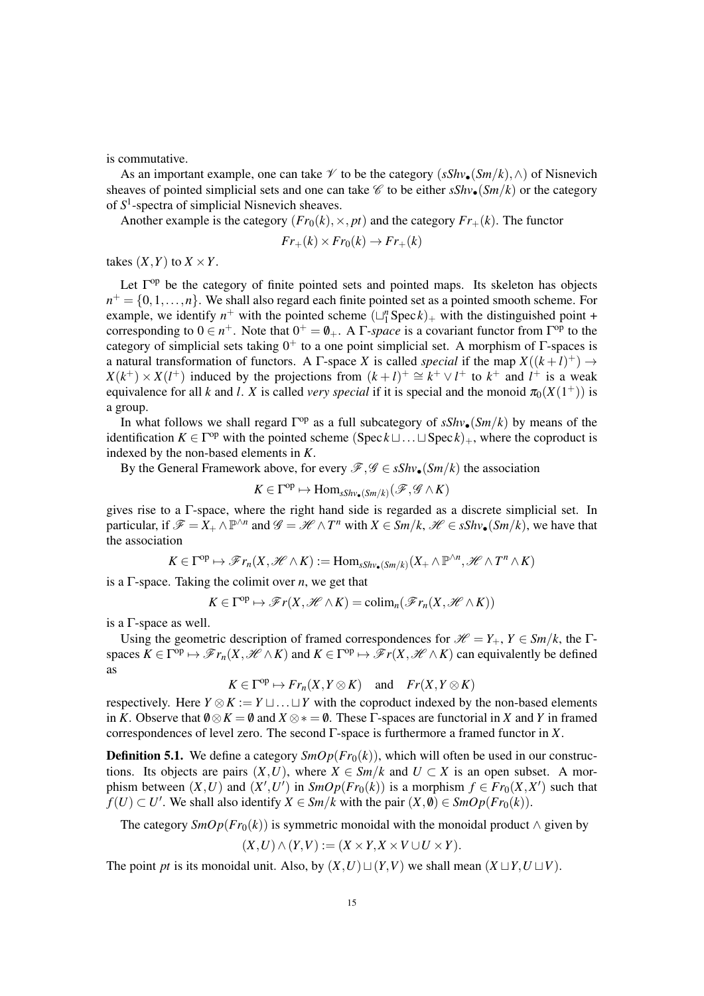is commutative.

As an important example, one can take  $\mathscr V$  to be the category  $(sShv_{\bullet}(Sm/k), \wedge)$  of Nisnevich sheaves of pointed simplicial sets and one can take  $\mathscr C$  to be either  $sShv_{\bullet}(Sm/k)$  or the category of *S* 1 -spectra of simplicial Nisnevich sheaves.

Another example is the category  $(Fr_0(k), \times, pt)$  and the category  $Fr_+(k)$ . The functor

$$
Fr_+(k) \times Fr_0(k) \to Fr_+(k)
$$

takes  $(X, Y)$  to  $X \times Y$ .

Let  $\Gamma^{op}$  be the category of finite pointed sets and pointed maps. Its skeleton has objects  $n^+ = \{0, 1, \ldots, n\}$ . We shall also regard each finite pointed set as a pointed smooth scheme. For example, we identify  $n^+$  with the pointed scheme  $(\Box_1^n \text{Spec } k)_+$  with the distinguished point + corresponding to  $0 \in n^+$ . Note that  $0^+ = \emptyset_+$ . A  $\Gamma$ -*space* is a covariant functor from  $\Gamma^{\text{op}}$  to the category of simplicial sets taking  $0^+$  to a one point simplicial set. A morphism of  $\Gamma$ -spaces is a natural transformation of functors. A  $\Gamma$ -space *X* is called *special* if the map  $X((k+l)^+) \rightarrow$  $X(k^+) \times X(l^+)$  induced by the projections from  $(k+l)^+ \cong k^+ \vee l^+$  to  $k^+$  and  $l^+$  is a weak equivalence for all *k* and *l*. *X* is called *very special* if it is special and the monoid  $\pi_0(X(1^+))$  is a group.

In what follows we shall regard  $\Gamma^{op}$  as a full subcategory of  $sShv_{\bullet}(Sm/k)$  by means of the identification  $K \in \Gamma^{op}$  with the pointed scheme  $(Spec \& \sqcup \dots \sqcup Spec k)_+$ , where the coproduct is indexed by the non-based elements in *K*.

By the General Framework above, for every  $\mathscr{F}, \mathscr{G} \in sShv_{\bullet}(Sm/k)$  the association

$$
K \in \Gamma^{\mathrm{op}} \mapsto \mathrm{Hom}_{sShv_{\bullet}(Sm/k)}(\mathscr{F}, \mathscr{G} \wedge K)
$$

gives rise to a Γ-space, where the right hand side is regarded as a discrete simplicial set. In particular, if  $\mathscr{F} = X_+ \wedge \mathbb{P}^{\wedge n}$  and  $\mathscr{G} = \mathscr{H} \wedge T^n$  with  $X \in \mathcal{S}m/k$ ,  $\mathscr{H} \in \mathcal{S} Shv_{\bullet}(Sm/k)$ , we have that the association

$$
K \in \Gamma^{\mathrm{op}} \mapsto \mathscr{F}r_n(X, \mathscr{H} \wedge K) := \mathrm{Hom}_{sShv_{\bullet}(Sm/k)}(X_+ \wedge \mathbb{P}^{\wedge n}, \mathscr{H} \wedge T^n \wedge K)
$$

is a  $\Gamma$ -space. Taking the colimit over *n*, we get that

$$
K \in \Gamma^{\mathrm{op}} \mapsto \mathscr{F}r(X, \mathscr{H} \wedge K) = \mathrm{colim}_n(\mathscr{F}r_n(X, \mathscr{H} \wedge K))
$$

is a Γ-space as well.

Using the geometric description of framed correspondences for  $\mathcal{H} = Y_+$ ,  $Y \in \mathcal{S}m/k$ , the  $\Gamma$ spaces  $K \in \Gamma^{\text{op}} \mapsto \mathscr{F}r_n(X, \mathscr{H} \wedge K)$  and  $K \in \Gamma^{\text{op}} \mapsto \mathscr{F}r(X, \mathscr{H} \wedge K)$  can equivalently be defined as

$$
K \in \Gamma^{\mathrm{op}} \mapsto Fr_n(X, Y \otimes K) \quad \text{ and } \quad Fr(X, Y \otimes K)
$$

respectively. Here  $Y \otimes K := Y \sqcup ... \sqcup Y$  with the coproduct indexed by the non-based elements in *K*. Observe that  $\emptyset \otimes K = \emptyset$  and  $X \otimes * = \emptyset$ . These  $\Gamma$ -spaces are functorial in *X* and *Y* in framed correspondences of level zero. The second Γ-space is furthermore a framed functor in *X*.

**Definition 5.1.** We define a category  $\text{SmOp}(Fr_0(k))$ , which will often be used in our constructions. Its objects are pairs  $(X, U)$ , where  $X \in \mathcal{S}m/k$  and  $U \subset X$  is an open subset. A morphism between  $(X, U)$  and  $(X', U')$  in  $SmOp(Fr_0(k))$  is a morphism  $f \in Fr_0(X, X')$  such that *f*(*U*) ⊂ *U*'. We shall also identify *X* ∈ *Sm*/*k* with the pair  $(X, \emptyset)$  ∈ *SmOp*(*Fr*<sub>0</sub>(*k*)).

The category  $\mathcal{S}mOp(Fr_0(k))$  is symmetric monoidal with the monoidal product  $\wedge$  given by

$$
(X,U)\wedge (Y,V):=(X\times Y,X\times V\cup U\times Y).
$$

The point *pt* is its monoidal unit. Also, by  $(X, U) \sqcup (Y, V)$  we shall mean  $(X \sqcup Y, U \sqcup V)$ .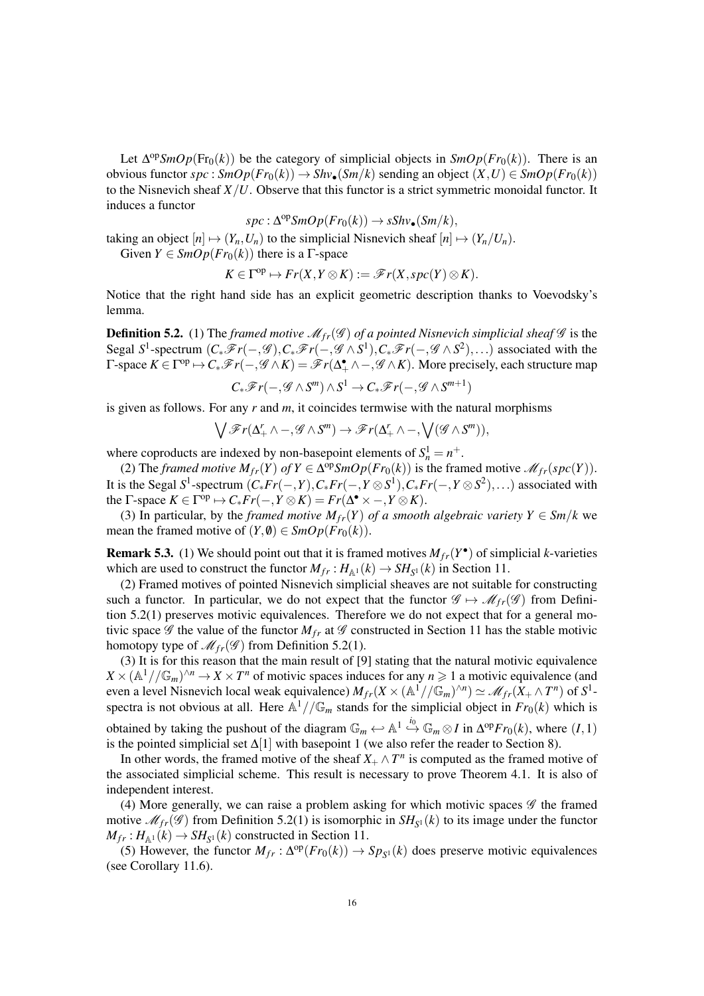Let  $\Delta^{op}SmOp(Fr_0(k))$  be the category of simplicial objects in  $SmOp(Fr_0(k))$ . There is an obvious functor  $spc: SmOp(Fr_0(k)) \to Shv_{\bullet}(Sm/k)$  sending an object  $(X, U) \in SmOp(Fr_0(k))$ to the Nisnevich sheaf  $X/U$ . Observe that this functor is a strict symmetric monoidal functor. It induces a functor

$$
spc: \Delta^{op} SmOp(Fr_0(k)) \to sShv_{\bullet}(Sm/k),
$$

taking an object  $[n] \mapsto (Y_n, U_n)$  to the simplicial Nisnevich sheaf  $[n] \mapsto (Y_n/U_n)$ .

Given  $Y \in SmOp(Fr_0(k))$  there is a  $\Gamma$ -space

$$
K\in\Gamma^{\mathrm{op}}\mapsto Fr(X,Y\otimes K):=\mathscr{F}r(X,spc(Y)\otimes K).
$$

Notice that the right hand side has an explicit geometric description thanks to Voevodsky's lemma.

**Definition 5.2.** (1) The *framed motive*  $\mathcal{M}_{fr}(\mathcal{G})$  *of a pointed Nisnevich simplicial sheaf*  $\mathcal{G}$  is the Segal *S*<sup>1</sup>-spectrum  $(C_*\mathscr{F}r(-,\mathscr{G}), C_*\mathscr{F}r(-,\mathscr{G}\wedge S^1), C_*\mathscr{F}r(-,\mathscr{G}\wedge S^2), \ldots)$  associated with the  $\Gamma$ -space  $K \in \Gamma^{op} \mapsto C_*\mathscr{F}r(-, \mathscr{G} \wedge K) = \mathscr{F}r(\Delta_+^{\bullet} \wedge -, \mathscr{G} \wedge K)$ . More precisely, each structure map

$$
C_*\mathscr{F}r(-,\mathscr{G}\wedge S^m)\wedge S^1\to C_*\mathscr{F}r(-,\mathscr{G}\wedge S^{m+1})
$$

is given as follows. For any *r* and *m*, it coincides termwise with the natural morphisms

$$
\bigvee \mathscr{F}r(\Delta_+^r \wedge -, \mathscr{G} \wedge S^m) \rightarrow \mathscr{F}r(\Delta_+^r \wedge -, \bigvee (\mathscr{G} \wedge S^m)),
$$

where coproducts are indexed by non-basepoint elements of  $S_n^1 = n^+$ .

(2) The *framed motive*  $M_{fr}(Y)$  *of*  $Y \in \Delta^{\text{op}}\mathcal{S}mOp(Fr_0(k))$  is the framed motive  $\mathcal{M}_{fr}(spc(Y))$ . It is the Segal  $S^1$ -spectrum  $(C_* Fr(-, Y), C_* Fr(-, Y \otimes S^1), C_* Fr(-, Y \otimes S^2), \ldots)$  associated with the  $\Gamma$ -space  $K \in \Gamma^{\text{op}} \mapsto C_* Fr(-, Y \otimes K) = Fr(\Delta^{\bullet} \times -, Y \otimes K).$ 

(3) In particular, by the *framed motive*  $M_{fr}(Y)$  *of a smooth algebraic variety*  $Y \in \mathcal{S}m/k$  we mean the framed motive of  $(Y, \emptyset) \in \text{SmOp}(Fr_0(k)).$ 

**Remark 5.3.** (1) We should point out that it is framed motives  $M_{fr}(Y^{\bullet})$  of simplicial *k*-varieties which are used to construct the functor  $M_{fr}: H_{\mathbb{A}^1}(k) \to SH_{S^1}(k)$  in Section 11.

(2) Framed motives of pointed Nisnevich simplicial sheaves are not suitable for constructing such a functor. In particular, we do not expect that the functor  $\mathscr{G} \mapsto \mathscr{M}_{fr}(\mathscr{G})$  from Definition 5.2(1) preserves motivic equivalences. Therefore we do not expect that for a general motivic space  $\mathscr G$  the value of the functor  $M_{fr}$  at  $\mathscr G$  constructed in Section 11 has the stable motivic homotopy type of  $\mathcal{M}_{fr}(\mathcal{G})$  from Definition 5.2(1).

(3) It is for this reason that the main result of [9] stating that the natural motivic equivalence  $X \times (\mathbb{A}^1//\mathbb{G}_m)^{\wedge n} \to X \times T^n$  of motivic spaces induces for any  $n \geq 1$  a motivic equivalence (and even a level Nisnevich local weak equivalence)  $M_{fr}(X \times (\mathbb{A}^1 // \mathbb{G}_m)^{\wedge n}) \simeq \mathcal{M}_{fr}(X_+ \wedge T^n)$  of  $S^1$ spectra is not obvious at all. Here  $\mathbb{A}^1//\mathbb{G}_m$  stands for the simplicial object in  $Fr_0(k)$  which is obtained by taking the pushout of the diagram  $\mathbb{G}_m \leftrightarrow \mathbb{A}^1 \stackrel{i_0}{\hookrightarrow} \mathbb{G}_m \otimes I$  in  $\Delta^{op}Fr_0(k)$ , where  $(I, 1)$ is the pointed simplicial set  $\Delta[1]$  with basepoint 1 (we also refer the reader to Section 8).

In other words, the framed motive of the sheaf  $X_+ \wedge T^n$  is computed as the framed motive of the associated simplicial scheme. This result is necessary to prove Theorem 4.1. It is also of independent interest.

(4) More generally, we can raise a problem asking for which motivic spaces  $\mathscr G$  the framed motive  $\mathcal{M}_{fr}(\mathcal{G})$  from Definition 5.2(1) is isomorphic in  $SH_{S^1}(k)$  to its image under the functor  $M_{fr}: H_{\mathbb{A}^1}(k) \to SH_{S^1}(k)$  constructed in Section 11.

(5) However, the functor  $M_{fr}$ :  $\Delta^{op}(Fr_0(k)) \to Sp_{S^1}(k)$  does preserve motivic equivalences (see Corollary 11.6).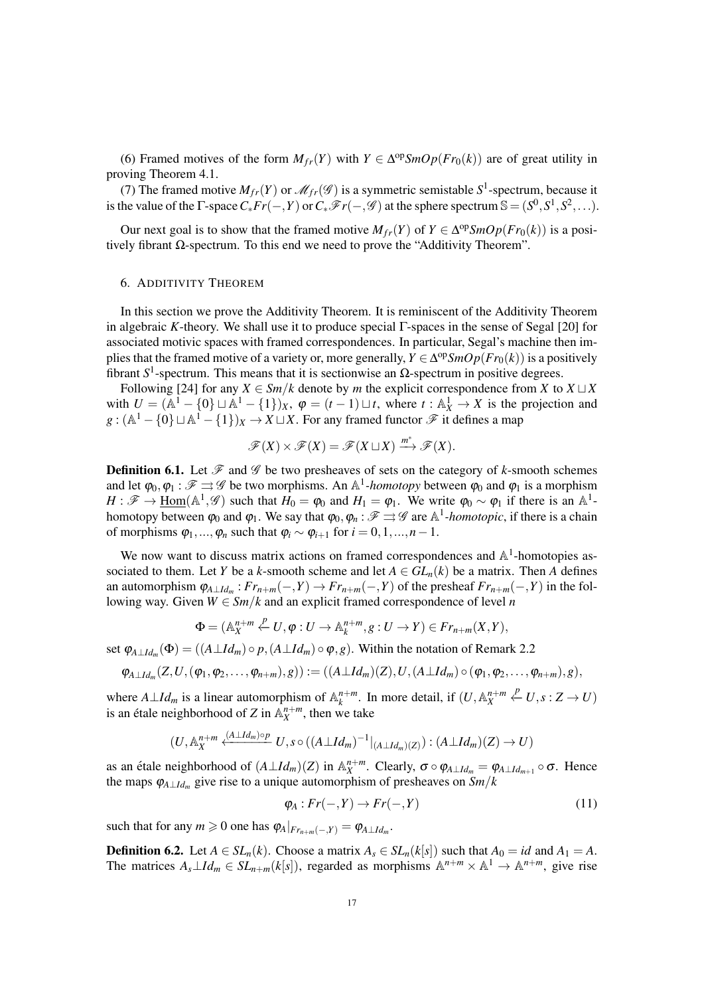(6) Framed motives of the form  $M_{fr}(Y)$  with  $Y \in \Delta^{\text{op}} \text{SmOp}(Fr_0(k))$  are of great utility in proving Theorem 4.1.

(7) The framed motive  $M_{fr}(Y)$  or  $\mathcal{M}_{fr}(\mathcal{G})$  is a symmetric semistable  $S^1$ -spectrum, because it is the value of the  $\Gamma$ -space  $C^*Fr(-,Y)$  or  $C^*F(r(-, \mathscr{G})$  at the sphere spectrum  $\mathbb{S} = (S^0, S^1, S^2, \ldots)$ .

Our next goal is to show that the framed motive  $M_{fr}(Y)$  of  $Y \in \Delta^{\text{op}} \text{SmOp}(Fr_0(k))$  is a positively fibrant  $\Omega$ -spectrum. To this end we need to prove the "Additivity Theorem".

#### 6. ADDITIVITY THEOREM

In this section we prove the Additivity Theorem. It is reminiscent of the Additivity Theorem in algebraic *K*-theory. We shall use it to produce special Γ-spaces in the sense of Segal [20] for associated motivic spaces with framed correspondences. In particular, Segal's machine then implies that the framed motive of a variety or, more generally,  $Y \in \Delta^{op}SmOp(Fr_0(k))$  is a positively fibrant  $S^1$ -spectrum. This means that it is sectionwise an  $Ω$ -spectrum in positive degrees.

Following [24] for any  $X \in \frac{Sm}{k}$  denote by *m* the explicit correspondence from *X* to  $X \sqcup X$ with  $U = (A^1 - \{0\} \sqcup A^1 - \{1\})_X$ ,  $\varphi = (t-1) \sqcup t$ , where  $t : A_X^1 \to X$  is the projection and  $g: (\mathbb{A}^1 - \{0\} \sqcup \mathbb{A}^1 - \{1\})_X \to X \sqcup X$ . For any framed functor  $\mathscr{F}$  it defines a map

$$
\mathscr{F}(X)\times \mathscr{F}(X)=\mathscr{F}(X\sqcup X)\xrightarrow{m^*}\mathscr{F}(X).
$$

**Definition 6.1.** Let  $\mathcal{F}$  and  $\mathcal{G}$  be two presheaves of sets on the category of *k*-smooth schemes and let  $\varphi_0, \varphi_1 : \mathscr{F} \rightrightarrows \mathscr{G}$  be two morphisms. An  $\mathbb{A}^1$ -homotopy between  $\varphi_0$  and  $\varphi_1$  is a morphism  $H: \mathscr{F} \to \underline{\text{Hom}}(\mathbb{A}^1, \mathscr{G})$  such that  $H_0 = \varphi_0$  and  $H_1 = \varphi_1$ . We write  $\varphi_0 \sim \varphi_1$  if there is an  $\mathbb{A}^1$ homotopy between  $\varphi_0$  and  $\varphi_1$ . We say that  $\varphi_0, \varphi_n : \mathscr{F} \rightrightarrows \mathscr{G}$  are  $\mathbb{A}^1$ *-homotopic*, if there is a chain of morphisms  $\varphi_1, ..., \varphi_n$  such that  $\varphi_i \sim \varphi_{i+1}$  for  $i = 0, 1, ..., n-1$ .

We now want to discuss matrix actions on framed correspondences and  $\mathbb{A}^1$ -homotopies associated to them. Let *Y* be a *k*-smooth scheme and let  $A \in GL_n(k)$  be a matrix. Then *A* defines an automorphism  $\varphi_{A\perp Id_m}: Fr_{n+m}(-,Y) \to Fr_{n+m}(-,Y)$  of the presheaf  $Fr_{n+m}(-,Y)$  in the following way. Given  $W \in \frac{Sm}{k}$  and an explicit framed correspondence of level *n* 

$$
\Phi = (\mathbb{A}_{X}^{n+m} \stackrel{p}{\leftarrow} U, \varphi : U \to \mathbb{A}_{k}^{n+m}, g : U \to Y) \in Fr_{n+m}(X, Y),
$$

set  $\varphi_{A\perp Id_m}(\Phi) = ((A\perp Id_m) \circ p, (A\perp Id_m) \circ \varphi, g)$ . Within the notation of Remark 2.2

$$
\varphi_{A\perp Id_m}(Z,U,(\varphi_1,\varphi_2,\ldots,\varphi_{n+m}),g)):=((A\perp Id_m)(Z),U,(A\perp Id_m)\circ(\varphi_1,\varphi_2,\ldots,\varphi_{n+m}),g),
$$

where  $A \perp Id_m$  is a linear automorphism of  $\mathbb{A}_k^{n+m}$ . In more detail, if  $(U, \mathbb{A}_X^{n+m} \stackrel{p}{\leftarrow} U, s: Z \to U)$ is an étale neighborhood of Z in  $\mathbb{A}_X^{n+m}$ , then we take

$$
(U, \mathbb{A}_X^{n+m} \xleftarrow{(A \perp Id_m) \circ p} U, s \circ ((A \perp Id_m)^{-1}|_{(A \perp Id_m)(Z)}) : (A \perp Id_m)(Z) \to U)
$$

as an étale neighborhood of  $(A \perp Id_m)(Z)$  in  $\mathbb{A}_X^{n+m}$ . Clearly,  $\sigma \circ \varphi_{A \perp Id_m} = \varphi_{A \perp Id_{m+1}} \circ \sigma$ . Hence the maps ϕ*A*⊥*Id<sup>m</sup>* give rise to a unique automorphism of presheaves on *Sm*/*k*

$$
\varphi_A: Fr(-,Y) \to Fr(-,Y) \tag{11}
$$

such that for any  $m \ge 0$  one has  $\varphi_A|_{Fr_{n+m}(-,Y)} = \varphi_{A \perp Id_m}$ .

**Definition 6.2.** Let  $A \in SL_n(k)$ . Choose a matrix  $A_s \in SL_n(k[s])$  such that  $A_0 = id$  and  $A_1 = A$ . The matrices  $A_s \perp Id_m \in SL_{n+m}(k[s])$ , regarded as morphisms  $\mathbb{A}^{n+m} \times \mathbb{A}^1 \to \mathbb{A}^{n+m}$ , give rise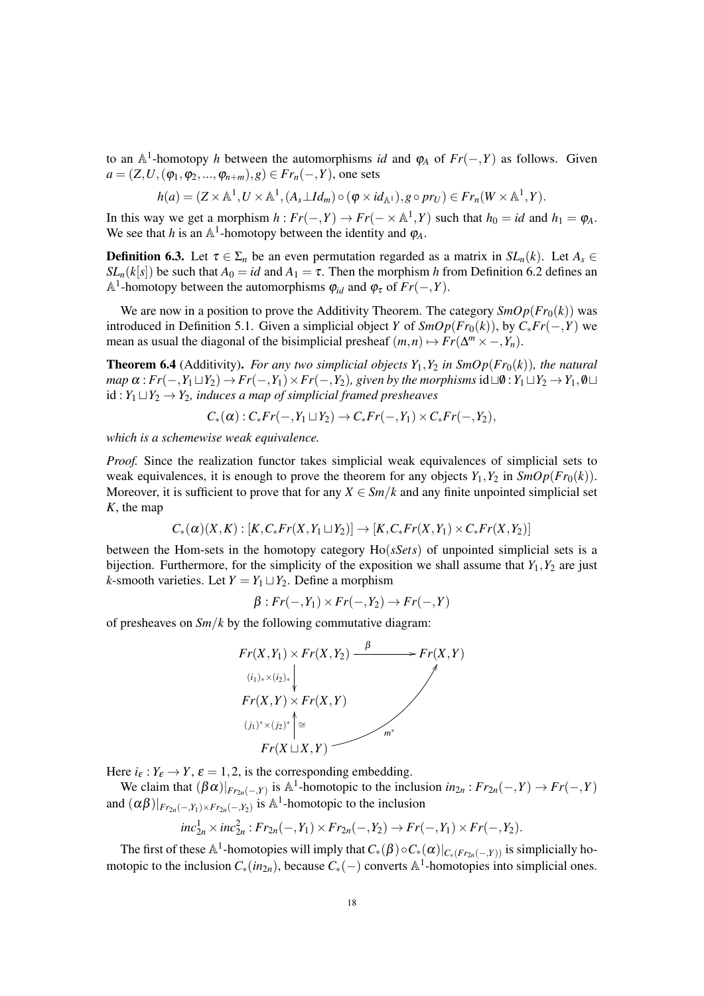to an  $\mathbb{A}^1$ -homotopy *h* between the automorphisms *id* and  $\varphi_A$  of  $Fr(-,Y)$  as follows. Given *a* = (*Z*,*U*, ( $\varphi_1, \varphi_2, ..., \varphi_{n+m}$ ), *g*) ∈ *Fr*<sub>*n*</sub>(−,*Y*), one sets

$$
h(a) = (Z \times \mathbb{A}^1, U \times \mathbb{A}^1, (A_s \perp Id_m) \circ (\varphi \times id_{\mathbb{A}^1}), g \circ pr_U) \in Fr_n(W \times \mathbb{A}^1, Y).
$$

In this way we get a morphism  $h: Fr(-, Y) \to Fr(- \times \mathbb{A}^1, Y)$  such that  $h_0 = id$  and  $h_1 = \varphi_A$ . We see that *h* is an  $\mathbb{A}^1$ -homotopy between the identity and  $\varphi_A$ .

**Definition 6.3.** Let  $\tau \in \Sigma_n$  be an even permutation regarded as a matrix in  $SL_n(k)$ . Let  $A_s \in$ *SL<sub>n</sub>*(*k*[*s*]) be such that  $A_0 = id$  and  $A_1 = \tau$ . Then the morphism *h* from Definition 6.2 defines an  $\mathbb{A}^1$ -homotopy between the automorphisms  $\varphi_{id}$  and  $\varphi_{\tau}$  of  $Fr(-,Y)$ .

We are now in a position to prove the Additivity Theorem. The category  $\mathcal{S}mOp(\mathcal{F}r_0(k))$  was introduced in Definition 5.1. Given a simplicial object *Y* of  $\text{SmOp}(Fr_0(k))$ , by  $C_*Fr(-,Y)$  we mean as usual the diagonal of the bisimplicial presheaf  $(m, n) \mapsto Fr(\Delta^m \times \text{-}, Y_n)$ .

**Theorem 6.4** (Additivity). *For any two simplicial objects*  $Y_1, Y_2$  *in*  $SmOp(Fr_0(k))$ *, the natural map*  $\alpha$ :  $Fr(-, Y_1 \sqcup Y_2) \rightarrow Fr(-, Y_1) \times Fr(-, Y_2)$ , given by the morphisms id  $\sqcup \emptyset$ :  $Y_1 \sqcup Y_2 \rightarrow Y_1, \emptyset \sqcup$  $id: Y_1 \sqcup Y_2 \rightarrow Y_2$ *, induces a map of simplicial framed presheaves* 

$$
C_*(\alpha): C_*Fr(-,Y_1\sqcup Y_2)\to C_*Fr(-,Y_1)\times C_*Fr(-,Y_2),
$$

*which is a schemewise weak equivalence.*

*Proof.* Since the realization functor takes simplicial weak equivalences of simplicial sets to weak equivalences, it is enough to prove the theorem for any objects  $Y_1, Y_2$  in  $\mathcal{S}mOp(Fr_0(k))$ . Moreover, it is sufficient to prove that for any  $X \in \mathcal{S}m/k$  and any finite unpointed simplicial set *K*, the map

$$
C_*(\alpha)(X,K): [K, C_* Fr(X,Y_1 \sqcup Y_2)] \to [K, C_* Fr(X,Y_1) \times C_* Fr(X,Y_2)]
$$

between the Hom-sets in the homotopy category Ho(*sSets*) of unpointed simplicial sets is a bijection. Furthermore, for the simplicity of the exposition we shall assume that  $Y_1, Y_2$  are just *k*-smooth varieties. Let  $Y = Y_1 \sqcup Y_2$ . Define a morphism

$$
\beta: Fr(-,Y_1) \times Fr(-,Y_2) \to Fr(-,Y)
$$

of presheaves on *Sm*/*k* by the following commutative diagram:



Here  $i_{\varepsilon}: Y_{\varepsilon} \to Y$ ,  $\varepsilon = 1, 2$ , is the corresponding embedding.

We claim that  $(\beta \alpha)|_{F_{r_{2n}(-,Y)}}$  is  $\mathbb{A}^1$ -homotopic to the inclusion  $in_{2n}: Fr_{2n}(-,Y) \to Fr(-,Y)$ and  $(\alpha \beta)|_{F_{r_{2n}}(-,Y_1)\times F_{r_{2n}}(-,Y_2)}$  is A<sup>1</sup>-homotopic to the inclusion

$$
inc_{2n}^{1} \times inc_{2n}^{2}: Fr_{2n}(-,Y_1) \times Fr_{2n}(-,Y_2) \to Fr(-,Y_1) \times Fr(-,Y_2).
$$

The first of these  $\mathbb{A}^1$ -homotopies will imply that  $C_*(\beta) \circ C_*(\alpha)|_{C_*(Fr_{2n}(-,Y))}$  is simplicially homotopic to the inclusion *C*∗(*in*2*n*), because *C*∗(−) converts A 1 -homotopies into simplicial ones.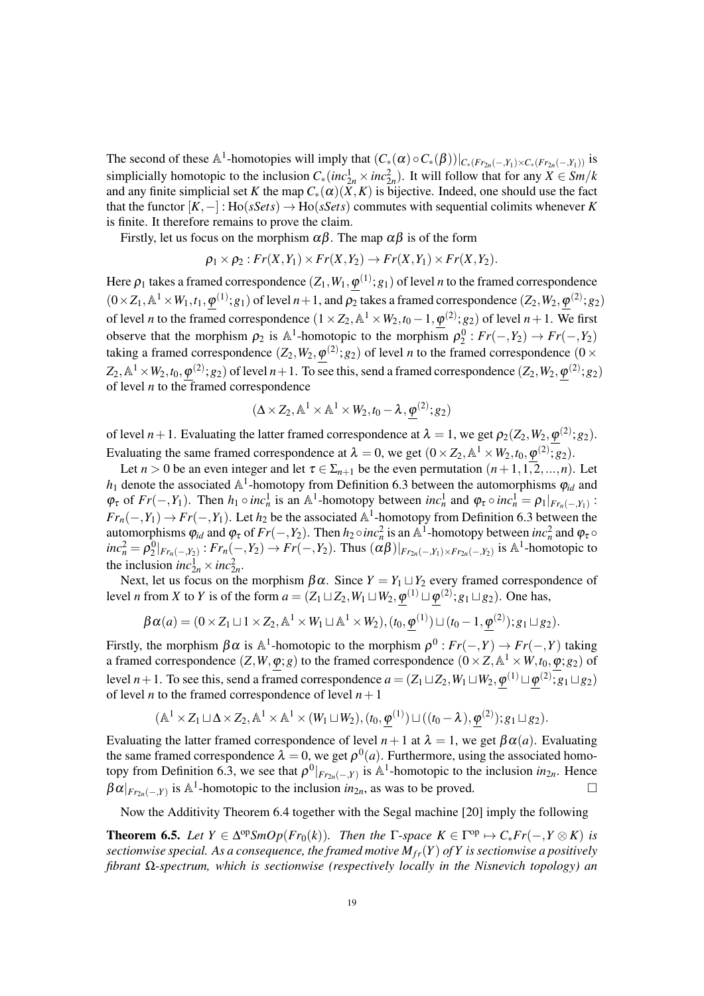The second of these  $\mathbb{A}^1$ -homotopies will imply that  $(C_*(\alpha) \circ C_*(\beta))|_{C_*(Fr_{2n}(-,Y_1) \times C_*(Fr_{2n}(-,Y_1))}$  is simplicially homotopic to the inclusion  $C_*(inc_{2n}^1 \times inc_{2n}^2)$ . It will follow that for any  $X \in Sm/k$ and any finite simplicial set *K* the map  $C_*(\alpha)(\overline{X}, K)$  is bijective. Indeed, one should use the fact that the functor  $[K, -]:$  Ho(*sSets*)  $\rightarrow$  Ho(*sSets*) commutes with sequential colimits whenever *K* is finite. It therefore remains to prove the claim.

Firstly, let us focus on the morphism  $\alpha\beta$ . The map  $\alpha\beta$  is of the form

$$
\rho_1 \times \rho_2 : Fr(X,Y_1) \times Fr(X,Y_2) \to Fr(X,Y_1) \times Fr(X,Y_2).
$$

Here  $\rho_1$  takes a framed correspondence  $(Z_1,W_1,\pmb{\varphi}^{(1)};g_1)$  of level  $n$  to the framed correspondence  $(0 \times Z_1, \mathbb{A}^1 \times W_1, t_1, \varphi^{(1)}; g_1)$  of level  $n+1$ , and  $\rho_2$  takes a framed correspondence  $(Z_2, W_2, \varphi^{(2)}; g_2)$ of level *n* to the framed correspondence  $(1 \times Z_2, \mathbb{A}^1 \times W_2, t_0 - 1, \varphi^{(2)}; g_2)$  of level  $n + 1$ . We first observe that the morphism  $\rho_2$  is  $\mathbb{A}^1$ -homotopic to the morphism  $\rho_2^0$ :  $Fr(-, Y_2) \to Fr(-, Y_2)$ taking a framed correspondence  $(Z_2, W_2, \varphi^{(2)}; g_2)$  of level *n* to the framed correspondence  $(0 \times$  $Z_2$ ,  $\mathbb{A}^1\times W_2$ ,  $t_0,\phi^{(2)};g_2)$  of level  $n+1$ . To see this, send a framed correspondence  $(Z_2,W_2,\phi^{(2)};g_2)$ of level *n* to the framed correspondence

$$
(\Delta \times Z_2, \mathbb{A}^1 \times \mathbb{A}^1 \times W_2, t_0 - \lambda, \varphi^{(2)}; g_2)
$$

of level  $n+1$ . Evaluating the latter framed correspondence at  $\lambda = 1$ , we get  $\rho_2(Z_2, W_2, \varphi^{(2)}; g_2)$ . Evaluating the same framed correspondence at  $\lambda = 0$ , we get  $(0 \times Z_2, \mathbb{A}^1 \times W_2, t_0, \varphi^{(2)}; g_2)$ .

Let  $n > 0$  be an even integer and let  $\tau \in \Sigma_{n+1}$  be the even permutation  $(n+1,1,2,...,n)$ . Let  $h_1$  denote the associated  $\mathbb{A}^1$ -homotopy from Definition 6.3 between the automorphisms  $\varphi_{id}$  and  $\varphi_{\tau}$  of  $Fr(-, Y_1)$ . Then  $h_1 \circ inc_n^1$  is an  $\mathbb{A}^1$ -homotopy between  $inc_n^1$  and  $\varphi_{\tau} \circ inc_n^1 = \rho_1|_{Fr_n(-, Y_1)}$ :  $Fr_n(-, Y_1) \to Fr(-, Y_1)$ . Let  $h_2$  be the associated  $\mathbb{A}^1$ -homotopy from Definition 6.3 between the automorphisms  $\varphi_{id}$  and  $\varphi_{\tau}$  of  $Fr(-, Y_2)$ . Then  $h_2 \circ inc_n^2$  is an  $\mathbb{A}^1$ -homotopy between  $inc_n^2$  and  $\varphi_{\tau} \circ$  $inc_n^2 = \rho_2^0|_{Fr_n(-,Y_2)}$ :  $Fr_n(-,Y_2) \rightarrow Fr(-,Y_2)$ . Thus  $(\alpha\beta)|_{Fr_{2n}(-,Y_1) \times Fr_{2n}(-,Y_2)}$  is A<sup>1</sup>-homotopic to the inclusion  $inc_{2n}^1 \times inc_{2n}^2$ .

*P* inclusion  $mc_{2n}$   $\lt m c_{2n}$ .<br>Next, let us focus on the morphism  $\beta \alpha$ . Since  $Y = Y_1 \sqcup Y_2$  every framed correspondence of level *n* from *X* to *Y* is of the form  $a = (Z_1 \sqcup Z_2, W_1 \sqcup W_2, \varphi^{(1)} \sqcup \varphi^{(2)}; g_1 \sqcup g_2)$ . One has,

$$
\beta \alpha(a) = (0 \times Z_1 \sqcup 1 \times Z_2, \mathbb{A}^1 \times W_1 \sqcup \mathbb{A}^1 \times W_2), (t_0, \underline{\phi}^{(1)}) \sqcup (t_0 - 1, \underline{\phi}^{(2)}); g_1 \sqcup g_2).
$$

Firstly, the morphism  $\beta \alpha$  is  $\mathbb{A}^1$ -homotopic to the morphism  $\rho^0 : Fr(-,Y) \to Fr(-,Y)$  taking a framed correspondence  $(Z, W, \varphi; g)$  to the framed correspondence  $(0 \times Z, \mathbb{A}^1 \times W, t_0, \varphi; g_2)$  of level *n* + 1. To see this, send a framed correspondence  $a = (Z_1 \sqcup Z_2, W_1 \sqcup W_2, \phi^{(1)} \sqcup \phi^{(2)}; g_1 \sqcup g_2)$ of level *n* to the framed correspondence of level  $n+1$ 

$$
(\mathbb{A}^1 \times Z_1 \sqcup \Delta \times Z_2, \mathbb{A}^1 \times \mathbb{A}^1 \times (W_1 \sqcup W_2), (t_0, \underline{\varphi}^{(1)}) \sqcup ((t_0 - \lambda), \underline{\varphi}^{(2)}); g_1 \sqcup g_2).
$$

Evaluating the latter framed correspondence of level  $n+1$  at  $\lambda = 1$ , we get  $\beta \alpha(a)$ . Evaluating the same framed correspondence  $\lambda = 0$ , we get  $\rho^{0}(a)$ . Furthermore, using the associated homotopy from Definition 6.3, we see that  $\rho^0|_{Fr_{2n}(-,Y)}$  is  $\mathbb{A}^1$ -homotopic to the inclusion  $in_{2n}$ . Hence  $\beta \alpha|_{Fr_{2n}(-,Y)}$  is  $\mathbb{A}^1$ -homotopic to the inclusion  $in_{2n}$ , as was to be proved.

Now the Additivity Theorem 6.4 together with the Segal machine [20] imply the following

**Theorem 6.5.** Let  $Y \in \Delta^{op}SmOp(Fr_0(k))$ . Then the  $\Gamma$ -space  $K \in \Gamma^{op} \mapsto C_*Fr(-, Y \otimes K)$  is *sectionwise special. As a consequence, the framed motive*  $M_f(Y)$  *of Y is sectionwise a positively fibrant* Ω*-spectrum, which is sectionwise (respectively locally in the Nisnevich topology) an*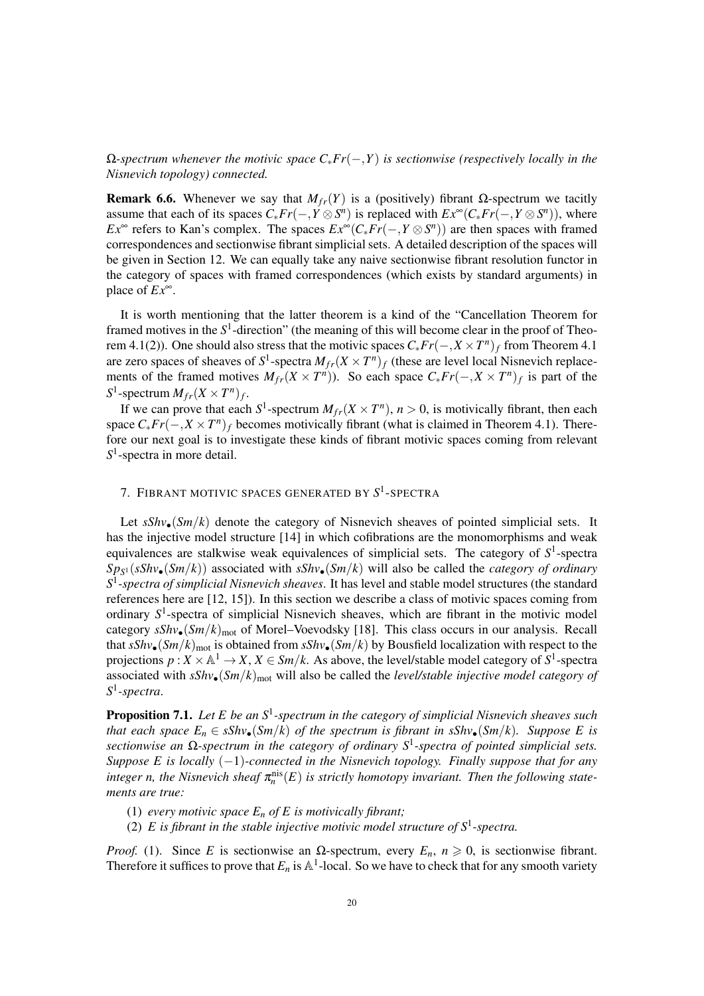Ω*-spectrum whenever the motivic space C*∗*Fr*(−,*Y*) *is sectionwise (respectively locally in the Nisnevich topology) connected.*

**Remark 6.6.** Whenever we say that  $M_f(r)$  is a (positively) fibrant Ω-spectrum we tacitly assume that each of its spaces  $C_* Fr(-, Y \otimes S^n)$  is replaced with  $Ex^\infty(C_* Fr(-, Y \otimes S^n))$ , where *Ex*<sup>∞</sup> refers to Kan's complex. The spaces  $Ex^{\infty}(C_* Fr(-, Y \otimes S^n))$  are then spaces with framed correspondences and sectionwise fibrant simplicial sets. A detailed description of the spaces will be given in Section 12. We can equally take any naive sectionwise fibrant resolution functor in the category of spaces with framed correspondences (which exists by standard arguments) in place of *Ex*∞.

It is worth mentioning that the latter theorem is a kind of the "Cancellation Theorem for framed motives in the  $S<sup>1</sup>$ -direction" (the meaning of this will become clear in the proof of Theorem 4.1(2)). One should also stress that the motivic spaces  $C_* Fr(-, X \times T^n)_f$  from Theorem 4.1 are zero spaces of sheaves of  $S^1$ -spectra  $M_{fr}(X \times T^n)_f$  (these are level local Nisnevich replacements of the framed motives  $M_{fr}(X \times T^n)$ ). So each space  $C_* Fr(-, X \times T^n)_f$  is part of the  $S^1$ -spectrum  $M_{fr}(X \times T^n)_f$ .

If we can prove that each  $S^1$ -spectrum  $M_{fr}(X \times T^n)$ ,  $n > 0$ , is motivically fibrant, then each space  $C_* Fr(-, X \times T^n)_f$  becomes motivically fibrant (what is claimed in Theorem 4.1). Therefore our next goal is to investigate these kinds of fibrant motivic spaces coming from relevant S<sup>1</sup>-spectra in more detail.

# 7. FIBRANT MOTIVIC SPACES GENERATED BY *S* 1 -SPECTRA

Let  $sShv_{\bullet}(Sm/k)$  denote the category of Nisnevich sheaves of pointed simplicial sets. It has the injective model structure [14] in which cofibrations are the monomorphisms and weak equivalences are stalkwise weak equivalences of simplicial sets. The category of  $S^1$ -spectra *Sp<sup>S</sup>* <sup>1</sup> (*sShv*•(*Sm*/*k*)) associated with *sShv*•(*Sm*/*k*) will also be called the *category of ordinary S* 1 *-spectra of simplicial Nisnevich sheaves*. It has level and stable model structures (the standard references here are [12, 15]). In this section we describe a class of motivic spaces coming from ordinary S<sup>1</sup>-spectra of simplicial Nisnevich sheaves, which are fibrant in the motivic model category  $sShv_{\bullet}(Sm/k)_{mot}$  of Morel–Voevodsky [18]. This class occurs in our analysis. Recall that  $sShv_{\bullet}(Sm/k)_{mot}$  is obtained from  $sShv_{\bullet}(Sm/k)$  by Bousfield localization with respect to the projections  $p: X \times \mathbb{A}^1 \to X$ ,  $X \in \mathcal{S}m/k$ . As above, the level/stable model category of  $S^1$ -spectra associated with *sShv*•(*Sm*/*k*)mot will also be called the *level/stable injective model category of S* 1 *-spectra*.

Proposition 7.1. Let E be an S<sup>1</sup>-spectrum in the category of simplicial Nisnevich sheaves such *that each space*  $E_n \in sShv_{\bullet}(Sm/k)$  *of the spectrum is fibrant in*  $sShv_{\bullet}(Sm/k)$ *. Suppose* E is *sectionwise an* Ω*-spectrum in the category of ordinary S*<sup>1</sup> *-spectra of pointed simplicial sets. Suppose E is locally* (−1)*-connected in the Nisnevich topology. Finally suppose that for any*  $\mathit{integer}\ n$ , the Nisnevich sheaf  $\pi^{\text{nis}}_n(E)$  is strictly homotopy invariant. Then the following state*ments are true:*

- (1) *every motivic space E<sup>n</sup> of E is motivically fibrant;*
- (2)  $E$  is fibrant in the stable injective motivic model structure of  $S^1$ -spectra.

*Proof.* (1). Since *E* is sectionwise an  $\Omega$ -spectrum, every  $E_n$ ,  $n \ge 0$ , is sectionwise fibrant. Therefore it suffices to prove that  $E_n$  is  $\mathbb{A}^1$ -local. So we have to check that for any smooth variety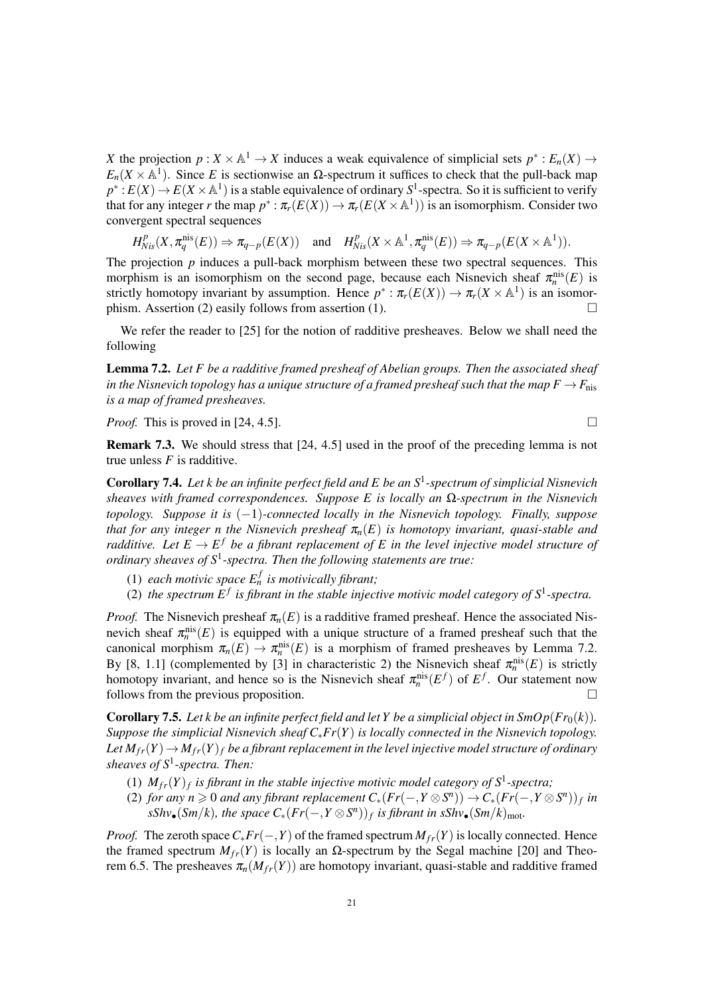*X* the projection  $p: X \times \mathbb{A}^1 \to X$  induces a weak equivalence of simplicial sets  $p^*: E_n(X) \to X$  $E_n(X \times \mathbb{A}^1)$ . Since *E* is sectionwise an  $\Omega$ -spectrum it suffices to check that the pull-back map  $p^*$ :  $E(X) \to E(X \times \mathbb{A}^1)$  is a stable equivalence of ordinary  $S^1$ -spectra. So it is sufficient to verify that for any integer *r* the map  $p^* : \pi_r(E(X)) \to \pi_r(E(X \times \mathbb{A}^1))$  is an isomorphism. Consider two convergent spectral sequences

$$
H^p_{Nis}(X, \pi^{\mathrm{nis}}_q(E)) \Rightarrow \pi_{q-p}(E(X)) \quad \text{and} \quad H^p_{Nis}(X \times \mathbb{A}^1, \pi^{\mathrm{nis}}_q(E)) \Rightarrow \pi_{q-p}(E(X \times \mathbb{A}^1)).
$$

The projection *p* induces a pull-back morphism between these two spectral sequences. This morphism is an isomorphism on the second page, because each Nisnevich sheaf  $\pi_n^{\text{nis}}(E)$  is strictly homotopy invariant by assumption. Hence  $p^* : \pi_r(E(X)) \to \pi_r(X \times \mathbb{A}^1)$  is an isomorphism. Assertion (2) easily follows from assertion (1).

We refer the reader to [25] for the notion of radditive presheaves. Below we shall need the following

Lemma 7.2. *Let F be a radditive framed presheaf of Abelian groups. Then the associated sheaf in the Nisnevich topology has a unique structure of a framed presheaf such that the map*  $F \rightarrow F_{\text{nis}}$ *is a map of framed presheaves.*

*Proof.* This is proved in [24, 4.5].

Remark 7.3. We should stress that [24, 4.5] used in the proof of the preceding lemma is not true unless  $F$  is radditive.

Corollary 7.4. *Let k be an infinite perfect field and E be an S*<sup>1</sup> *-spectrum of simplicial Nisnevich sheaves with framed correspondences. Suppose E is locally an* Ω*-spectrum in the Nisnevich topology. Suppose it is* (−1)*-connected locally in the Nisnevich topology. Finally, suppose that for any integer n the Nisnevich presheaf*  $\pi_n(E)$  *is homotopy invariant, quasi-stable and radditive. Let*  $E \to E^f$  *be a fibrant replacement of* E in the level injective model structure of *ordinary sheaves of S*<sup>1</sup> *-spectra. Then the following statements are true:*

- (1) *each motivic space*  $E_n^f$  *is motivically fibrant;*
- (2) the spectrum  $E^f$  is fibrant in the stable injective motivic model category of  $S^1$ -spectra.

*Proof.* The Nisnevich presheaf  $\pi_n(E)$  is a radditive framed presheaf. Hence the associated Nisnevich sheaf  $\pi_n^{\text{nis}}(E)$  is equipped with a unique structure of a framed presheaf such that the canonical morphism  $\pi_n(E) \to \pi_n^{\text{nis}}(E)$  is a morphism of framed presheaves by Lemma 7.2. By [8, 1.1] (complemented by [3] in characteristic 2) the Nisnevich sheaf  $\pi_n^{\text{nis}}(E)$  is strictly homotopy invariant, and hence so is the Nisnevich sheaf  $\pi_n^{\text{nis}}(E^f)$  of  $E^f$ . Our statement now follows from the previous proposition.

**Corollary 7.5.** Let k be an infinite perfect field and let Y be a simplicial object in  $\text{SmOp}(Fr_0(k))$ . *Suppose the simplicial Nisnevich sheaf C*∗*Fr*(*Y*) *is locally connected in the Nisnevich topology.* Let  $M_{fr}(Y) \to M_{fr}(Y)$  *f* be a fibrant replacement in the level injective model structure of ordinary *sheaves of S*<sup>1</sup> *-spectra. Then:*

- (1)  $M_{fr}(Y)_f$  is fibrant in the stable injective motivic model category of  $S^1$ -spectra;
- $P(X|X) = P(X \leq 0 \text{ and any fibrant replacement } C_*(Fr(-, Y \otimes S^n)) \to C_*(Fr(-, Y \otimes S^n))$  *in*  $sShv_{\bullet}(Sm/k)$ , the space  $C_*(Fr(-, Y \otimes S^n))_f$  is fibrant in  $sShv_{\bullet}(Sm/k)_{\text{mot}}$ .

*Proof.* The zeroth space  $C_* Fr(-, Y)$  of the framed spectrum  $M_{fr}(Y)$  is locally connected. Hence the framed spectrum  $M_{fr}(Y)$  is locally an  $\Omega$ -spectrum by the Segal machine [20] and Theorem 6.5. The presheaves  $\pi_n(M_{fr}(Y))$  are homotopy invariant, quasi-stable and radditive framed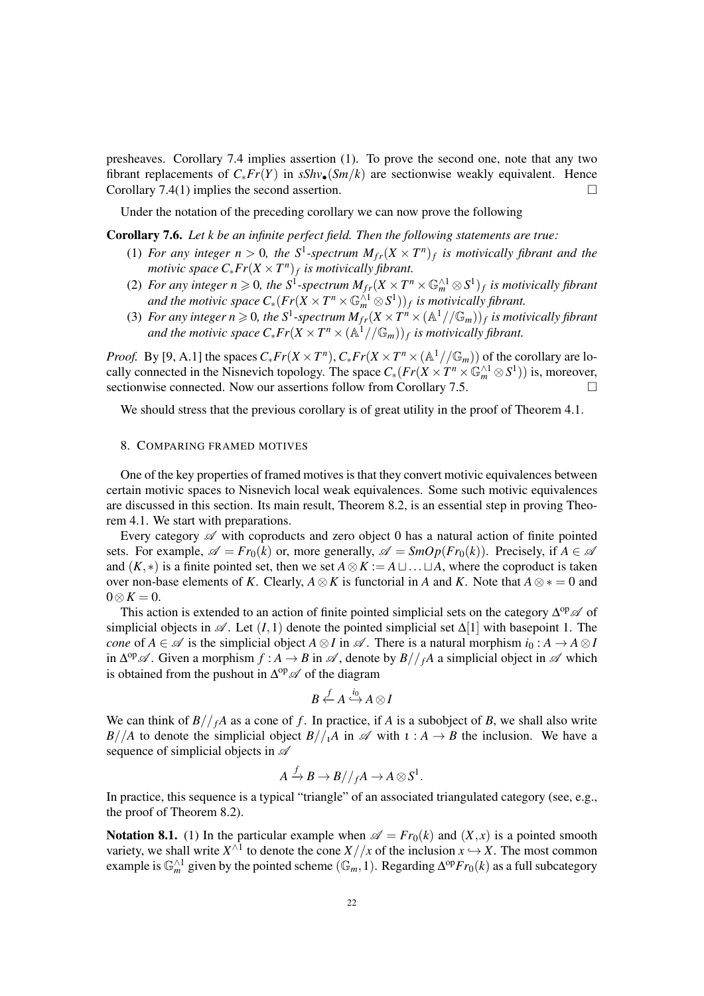presheaves. Corollary 7.4 implies assertion (1). To prove the second one, note that any two fibrant replacements of  $C_* Fr(Y)$  in  $sShv_{\bullet}(Sm/k)$  are sectionwise weakly equivalent. Hence Corollary 7.4(1) implies the second assertion.  $\Box$ 

Under the notation of the preceding corollary we can now prove the following

Corollary 7.6. *Let k be an infinite perfect field. Then the following statements are true:*

- (1) For any integer  $n > 0$ , the S<sup>1</sup>-spectrum  $M_{fr}(X \times T^n)_f$  is motivically fibrant and the *motivic space*  $C_* Fr(X \times T^n)_f$  *is motivically fibrant.*
- (2) For any integer  $n \geqslant 0$ , the  $S^1$ -spectrum  $M_{fr}(X \times T^n \times \mathbb{G}_m^{\wedge 1} \otimes S^1)_f$  is motivically fibrant and the motivic space  $C_*(Fr(X \times T^n \times \mathbb{G}_m^{\wedge 1} \otimes S^1))_f$  is motivically fibrant.
- (3) For any integer  $n \ge 0$ , the S<sup>1</sup>-spectrum  $M_{fr}(X \times T^n \times (\mathbb{A}^1//\mathbb{G}_m))_f$  is motivically fibrant and the motivic space  $C_* Fr(X \times T^n \times (\mathbb{A}^1//\mathbb{G}_m))_f$  is motivically fibrant.

*Proof.* By [9, A.1] the spaces  $C_* Fr(X \times T^n)$ ,  $C_* Fr(X \times T^n \times (\mathbb{A}^1 // \mathbb{G}_m))$  of the corollary are locally connected in the Nisnevich topology. The space  $C_*(Fr(X \times T^n \times \mathbb{G}_m^{\wedge 1} \otimes S^1))$  is, moreover, sectionwise connected. Now our assertions follow from Corollary 7.5.

We should stress that the previous corollary is of great utility in the proof of Theorem 4.1.

## 8. COMPARING FRAMED MOTIVES

One of the key properties of framed motives is that they convert motivic equivalences between certain motivic spaces to Nisnevich local weak equivalences. Some such motivic equivalences are discussed in this section. Its main result, Theorem 8.2, is an essential step in proving Theorem 4.1. We start with preparations.

Every category  $\mathscr A$  with coproducts and zero object 0 has a natural action of finite pointed sets. For example,  $\mathscr{A} = Fr_0(k)$  or, more generally,  $\mathscr{A} = SmOp(Fr_0(k))$ . Precisely, if  $A \in \mathscr{A}$ and  $(K, *)$  is a finite pointed set, then we set  $A \otimes K := A \sqcup ... \sqcup A$ , where the coproduct is taken over non-base elements of *K*. Clearly,  $A \otimes K$  is functorial in *A* and *K*. Note that  $A \otimes * = 0$  and  $0 \otimes K = 0.$ 

This action is extended to an action of finite pointed simplicial sets on the category  $\Delta^{op}$  of simplicial objects in  $\mathscr A$ . Let  $(I, 1)$  denote the pointed simplicial set  $\Delta[1]$  with basepoint 1. The *cone* of  $A \in \mathcal{A}$  is the simplicial object  $A \otimes I$  in  $\mathcal{A}$ . There is a natural morphism  $i_0 : A \to A \otimes I$ in  $\Delta^{op}$  A. Given a morphism  $f : A \to B$  in  $\mathscr A$ , denote by  $B//_fA$  a simplicial object in  $\mathscr A$  which is obtained from the pushout in  $\Delta^{op}$  of the diagram

$$
B\overset{f}{\leftarrow}A\overset{i_{0}}{\hookrightarrow}A\otimes I
$$

We can think of  $B//<sub>f</sub>A$  as a cone of *f*. In practice, if *A* is a subobject of *B*, we shall also write *B*//*A* to denote the simplicial object  $B//iA$  in  $\mathscr A$  with  $\iota : A \to B$  the inclusion. We have a sequence of simplicial objects in  $\mathscr A$ 

$$
A\stackrel{f}{\to}B\to B//_{f}A\to A\otimes S^{1}.
$$

In practice, this sequence is a typical "triangle" of an associated triangulated category (see, e.g., the proof of Theorem 8.2).

**Notation 8.1.** (1) In the particular example when  $\mathscr{A} = Fr_0(k)$  and  $(X, x)$  is a pointed smooth variety, we shall write  $X^{\wedge 1}$  to denote the cone  $X//x$  of the inclusion  $x \hookrightarrow X$ . The most common example is  $\mathbb{G}_m^{\wedge 1}$  given by the pointed scheme  $(\mathbb{G}_m, 1)$ . Regarding  $\Delta^{\text{op}} F_{r_0}(k)$  as a full subcategory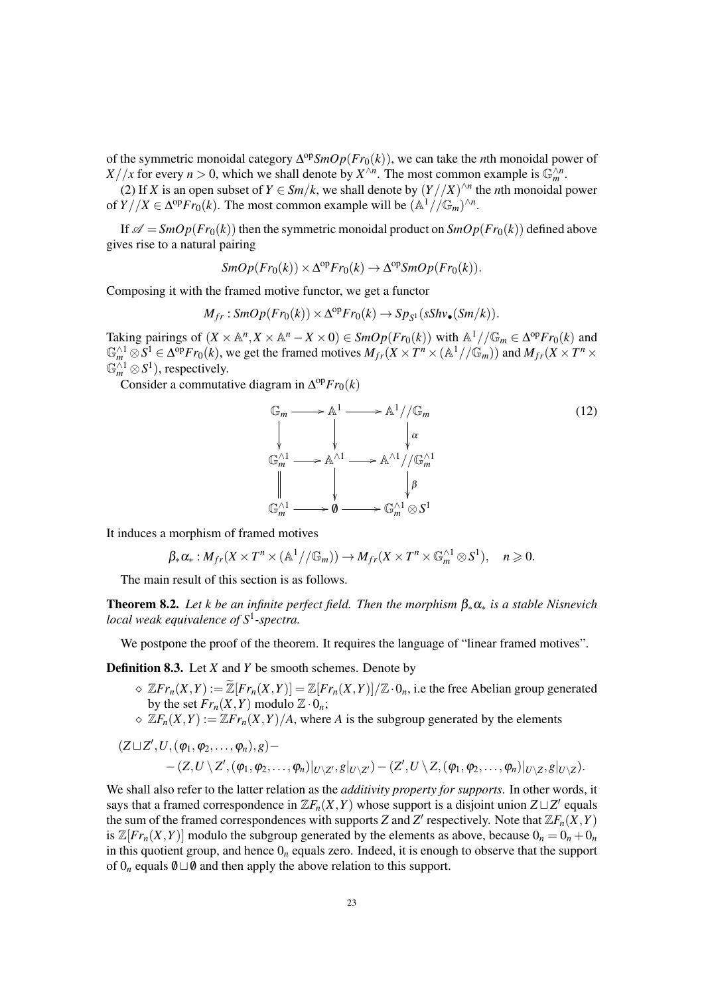of the symmetric monoidal category ∆ op*SmOp*(*Fr*0(*k*)), we can take the *n*th monoidal power of *X* / /*x* for every *n* > 0, which we shall denote by *X*<sup>∧*n*</sup>. The most common example is  $\mathbb{G}_m^{\wedge n}$ .

(2) If *X* is an open subset of  $Y \in \frac{Sm}{k}$ , we shall denote by  $\left(\frac{Y}{X}\right)^{\wedge n}$  the *n*th monoidal power of  $Y//X \in \Delta^{\text{op}} Fr_0(k)$ . The most common example will be  $(\mathbb{A}^1//\mathbb{G}_m)^{\wedge n}$ .

If  $\mathscr{A} = SmOp(Fr_0(k))$  then the symmetric monoidal product on  $SmOp(Fr_0(k))$  defined above gives rise to a natural pairing

$$
SmOp(Fr_0(k)) \times \Delta^{op}Fr_0(k) \to \Delta^{op} SmOp(Fr_0(k)).
$$

Composing it with the framed motive functor, we get a functor

$$
M_{fr}: SmOp(Fr_0(k))\times\Delta^{op}Fr_0(k)\to Sp_{S^1}(sShv_{\bullet}(Sm/k)).
$$

Taking pairings of  $(X \times \mathbb{A}^n, X \times \mathbb{A}^n - X \times 0) \in SmOp(Fr_0(k))$  with  $\mathbb{A}^1//\mathbb{G}_m \in \Delta^{\text{op}}Fr_0(k)$  and  $\mathbb{G}_m^{\wedge 1} \otimes S^1 \in \Delta^{\text{op}} Fr_0(k)$ , we get the framed motives  $M_{fr}(X \times T^n \times (\mathbb{A}^1 // \mathbb{G}_m))$  and  $M_{fr}(X \times T^n \times T^n)$  $\mathbb{G}_m^{\wedge 1} \otimes S^1$ ), respectively.

Consider a commutative diagram in  $\Delta^{op}Fr_0(k)$ 

$$
\mathbb{G}_m \longrightarrow \mathbb{A}^1 \longrightarrow \mathbb{A}^1 // \mathbb{G}_m
$$
\n
$$
\downarrow \qquad \qquad \downarrow \qquad \qquad \downarrow \qquad \qquad \downarrow
$$
\n
$$
\mathbb{G}_m^{\wedge 1} \longrightarrow \mathbb{A}^{\wedge 1} \longrightarrow \mathbb{A}^{\wedge 1} // \mathbb{G}_m^{\wedge 1}
$$
\n
$$
\parallel \qquad \qquad \downarrow \qquad \qquad \downarrow \qquad \qquad \downarrow
$$
\n
$$
\mathbb{G}_m^{\wedge 1} \longrightarrow \mathbf{0} \longrightarrow \mathbb{G}_m^{\wedge 1} \otimes S^1
$$
\n(12)

It induces a morphism of framed motives

$$
\beta_* \alpha_*: M_{fr}(X \times T^n \times (\mathbb{A}^1//\mathbb{G}_m)) \to M_{fr}(X \times T^n \times \mathbb{G}_m^{\wedge 1} \otimes S^1), \quad n \geq 0.
$$

The main result of this section is as follows.

Theorem 8.2. *Let k be an infinite perfect field. Then the morphism* β∗α<sup>∗</sup> *is a stable Nisnevich local weak equivalence of S*<sup>1</sup> *-spectra.*

We postpone the proof of the theorem. It requires the language of "linear framed motives".

Definition 8.3. Let *X* and *Y* be smooth schemes. Denote by

- $\infty$   $\mathbb{Z}$ *Fr*<sub>*n*</sub>(*X*,*Y*) :=  $\mathbb{Z}$ [*Fr<sub>n</sub>*(*X*,*Y*)] =  $\mathbb{Z}$ [*Fr<sub>n</sub>*(*X*,*Y*)]/ $\mathbb{Z} \cdot 0$ <sub>*n*</sub>, i.e the free Abelian group generated by the set  $Fr_n(X, Y)$  modulo  $\mathbb{Z} \cdot 0_n$ ;
- $\Diamond$   $\mathbb{Z}F_n(X,Y) := \mathbb{Z}Fr_n(X,Y)/A$ , where *A* is the subgroup generated by the elements

$$
\begin{aligned} &(Z\sqcup Z',U,(\phi_1,\phi_2,\dots,\phi_n),g)-\\ &-(Z,U\setminus Z',(\phi_1,\phi_2,\dots,\phi_n)|_{U\setminus Z'},g|_{U\setminus Z'})-(Z',U\setminus Z,(\phi_1,\phi_2,\dots,\phi_n)|_{U\setminus Z},g|_{U\setminus Z}).\end{aligned}
$$

We shall also refer to the latter relation as the *additivity property for supports*. In other words, it says that a framed correspondence in  $\mathbb{Z}F_n(X,Y)$  whose support is a disjoint union  $Z \sqcup Z'$  equals the sum of the framed correspondences with supports *Z* and *Z'* respectively. Note that  $\mathbb{Z}F_n(\tilde{X}, Y)$ is  $\mathbb{Z}[F_r_n(X,Y)]$  modulo the subgroup generated by the elements as above, because  $0_n = 0_n + 0_n$ in this quotient group, and hence  $0<sub>n</sub>$  equals zero. Indeed, it is enough to observe that the support of  $0_n$  equals  $\emptyset \sqcup \emptyset$  and then apply the above relation to this support.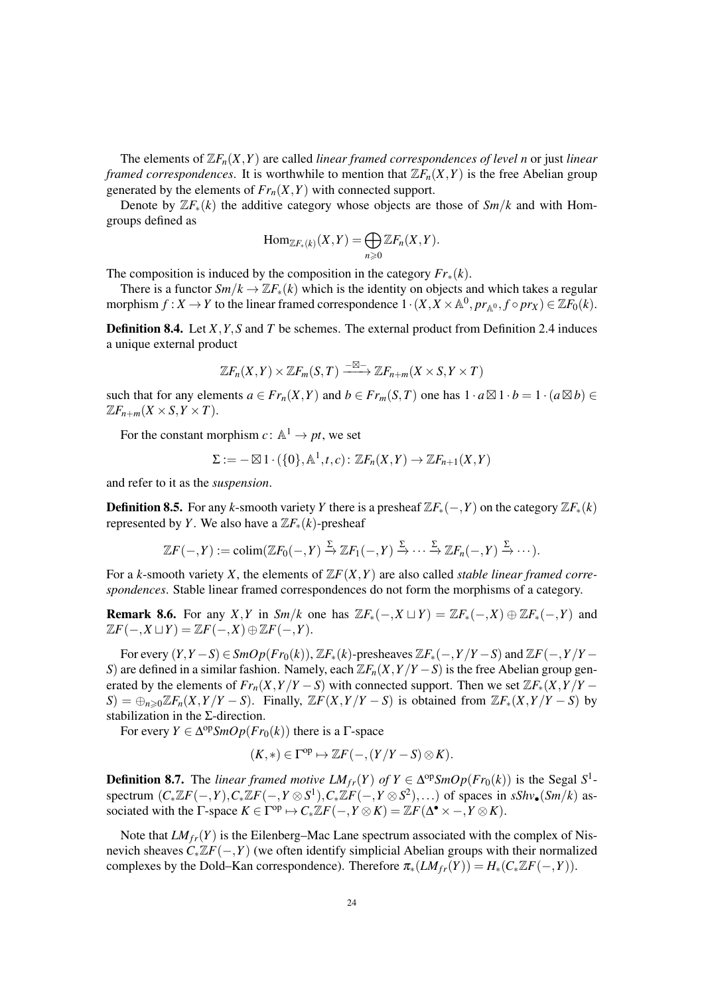The elements of  $\mathbb{Z}F_n(X,Y)$  are called *linear framed correspondences of level n* or just *linear framed correspondences.* It is worthwhile to mention that  $\mathbb{Z}F_n(X,Y)$  is the free Abelian group generated by the elements of  $Fr_n(X, Y)$  with connected support.

Denote by  $\mathbb{Z}F_{*}(k)$  the additive category whose objects are those of  $Sm/k$  and with Homgroups defined as

$$
\mathrm{Hom}_{\mathbb{Z}F_*(k)}(X,Y)=\bigoplus_{n\geqslant 0}\mathbb{Z}F_n(X,Y).
$$

The composition is induced by the composition in the category  $Fr_*(k)$ .

There is a functor  $Sm/k \to \mathbb{Z}F_*(k)$  which is the identity on objects and which takes a regular morphism  $f: X \to Y$  to the linear framed correspondence  $1 \cdot (X, X \times \mathbb{A}^0, pr_{\mathbb{A}^0}, f \circ pr_X) \in \mathbb{Z}F_0(k)$ .

Definition 8.4. Let *X*,*Y*,*S* and *T* be schemes. The external product from Definition 2.4 induces a unique external product

$$
\mathbb{Z}F_n(X,Y)\times \mathbb{Z}F_m(S,T)\xrightarrow{-\boxtimes-} \mathbb{Z}F_{n+m}(X\times S,Y\times T)
$$

such that for any elements  $a \in Fr_n(X, Y)$  and  $b \in Fr_m(S, T)$  one has  $1 \cdot a \boxtimes 1 \cdot b = 1 \cdot (a \boxtimes b) \in$  $\mathbb{Z}F_{n+m}(X\times S,Y\times T).$ 

For the constant morphism  $c: \mathbb{A}^1 \to pt$ , we set

$$
\Sigma := -\boxtimes 1 \cdot (\{0\}, \mathbb{A}^1, t, c) \colon \mathbb{Z}F_n(X, Y) \to \mathbb{Z}F_{n+1}(X, Y)
$$

and refer to it as the *suspension*.

**Definition 8.5.** For any *k*-smooth variety *Y* there is a presheaf  $\mathbb{Z}F_*(-, Y)$  on the category  $\mathbb{Z}F_*(k)$ represented by *Y*. We also have a  $\mathbb{Z}F_{*}(k)$ -presheaf

$$
\mathbb{Z}F(-,Y):= \text{colim}(\mathbb{Z}F_0(-,Y)\xrightarrow{\Sigma}\mathbb{Z}F_1(-,Y)\xrightarrow{\Sigma}\cdots\xrightarrow{\Sigma}\mathbb{Z}F_n(-,Y)\xrightarrow{\Sigma}\cdots).
$$

For a *k*-smooth variety *X*, the elements of  $\mathbb{Z}F(X,Y)$  are also called *stable linear framed correspondences*. Stable linear framed correspondences do not form the morphisms of a category.

**Remark 8.6.** For any *X*, *Y* in *Sm*/*k* one has  $\mathbb{Z}F_*(-,X \sqcup Y) = \mathbb{Z}F_*(-,X) \oplus \mathbb{Z}F_*(-,Y)$  and  $\mathbb{Z}F(-, X \sqcup Y) = \mathbb{Z}F(-, X) \oplus \mathbb{Z}F(-, Y).$ 

For every  $(Y, Y - S) \in SmOp(Fr_0(k))$ ,  $\mathbb{Z}F_*(k)$ -presheaves  $\mathbb{Z}F_*(-, Y/Y - S)$  and  $\mathbb{Z}F(-, Y/Y - S)$ *S*) are defined in a similar fashion. Namely, each  $\mathbb{Z}F_n(X, Y/Y - S)$  is the free Abelian group generated by the elements of  $Fr_n(X, Y/Y - S)$  with connected support. Then we set  $\mathbb{Z}F_*(X, Y/Y - S)$  $S$ ) =  $\bigoplus_{n\geq 0} \mathbb{Z}F_n(X, Y/Y-S)$ . Finally,  $\mathbb{Z}F(X, Y/Y-S)$  is obtained from  $\mathbb{Z}F_*(X, Y/Y-S)$  by stabilization in the Σ-direction.

For every  $Y \in \Delta^{\text{op}}SmOp(Fr_0(k))$  there is a  $\Gamma$ -space

$$
(K,*)\in \Gamma^{\mathrm{op}}\mapsto \mathbb{Z} F(-,(Y/Y-S)\otimes K).
$$

**Definition 8.7.** The *linear framed motive LM*<sub>*fr</sub>*(*Y*) *of*  $Y \in \Delta^{op}SmOp(Fr_0(k))$  is the Segal S<sup>1</sup>-</sub> spectrum  $(C_*\mathbb{Z}F(-,Y),C_*\mathbb{Z}F(-,Y\otimes S^1),C_*\mathbb{Z}F(-,Y\otimes S^2),\ldots)$  of spaces in  $sShv_{\bullet}(Sm/k)$  associated with the  $\Gamma$ -space  $K \in \Gamma^{\text{op}} \mapsto C_* \mathbb{Z}F(-, Y \otimes K) = \mathbb{Z}F(\Delta^{\bullet} \times -, Y \otimes K)$ .

Note that  $LM_{fr}(Y)$  is the Eilenberg–Mac Lane spectrum associated with the complex of Nisnevich sheaves *C*∗Z*F*(−,*Y*) (we often identify simplicial Abelian groups with their normalized complexes by the Dold–Kan correspondence). Therefore  $\pi_*(LM_{fr}(Y)) = H_*(C_*\mathbb{Z}F(-,Y)).$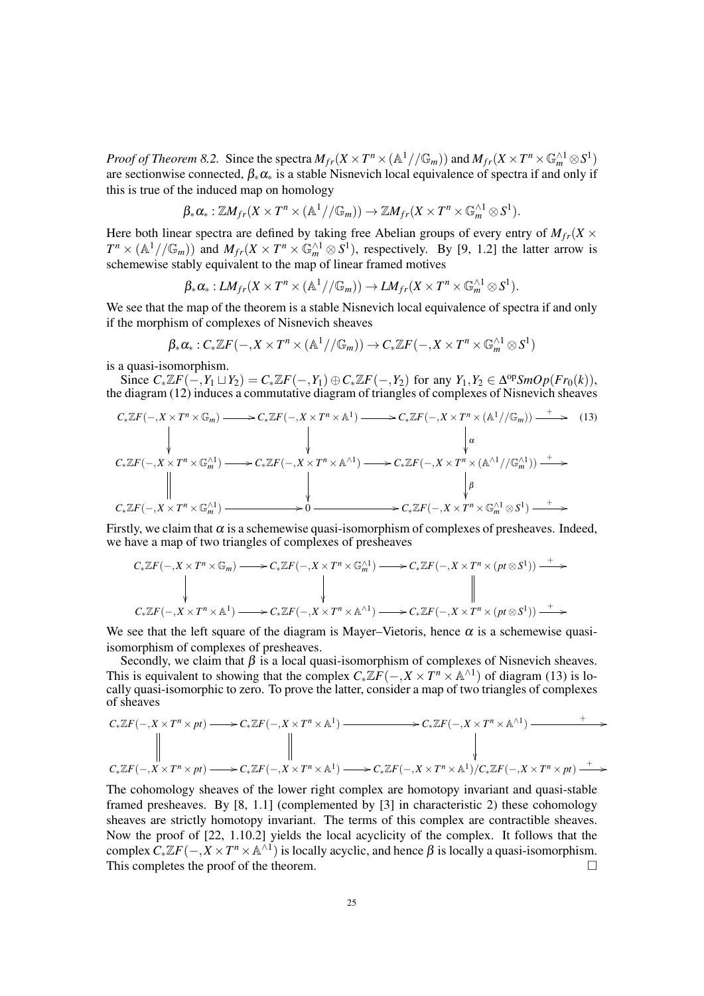*Proof of Theorem 8.2.* Since the spectra  $M_{fr}(X \times T^n \times (\mathbb{A}^1 // \mathbb{G}_m))$  and  $M_{fr}(X \times T^n \times \mathbb{G}_m^{\wedge 1} \otimes S^1)$ are sectionwise connected,  $\beta_* \alpha_*$  is a stable Nisnevich local equivalence of spectra if and only if this is true of the induced map on homology

$$
\beta_*\alpha_*: \mathbb{Z}M_{fr}(X \times T^n \times (\mathbb{A}^1//\mathbb{G}_m)) \to \mathbb{Z}M_{fr}(X \times T^n \times \mathbb{G}_m^{\wedge 1} \otimes S^1).
$$

Here both linear spectra are defined by taking free Abelian groups of every entry of  $M_f$   $(X \times Y)$  $T^n \times (\mathbb{A}^1//\mathbb{G}_m)$  and  $M_{fr}(X \times T^n \times \mathbb{G}_m^{\wedge 1} \otimes S^1)$ , respectively. By [9, 1.2] the latter arrow is schemewise stably equivalent to the map of linear framed motives

$$
\beta_* \alpha_*: LM_{fr}(X \times T^n \times (\mathbb{A}^1 // \mathbb{G}_m)) \to LM_{fr}(X \times T^n \times \mathbb{G}_m^{\wedge 1} \otimes S^1).
$$

We see that the map of the theorem is a stable Nisnevich local equivalence of spectra if and only if the morphism of complexes of Nisnevich sheaves

$$
\beta_* \alpha_*: C_* \mathbb{Z} F(-, X \times T^n \times (\mathbb{A}^1 // \mathbb{G}_m)) \to C_* \mathbb{Z} F(-, X \times T^n \times \mathbb{G}_m^{\wedge 1} \otimes S^1)
$$

is a quasi-isomorphism.

Since  $C_*\mathbb{Z}F(-, Y_1 \sqcup Y_2) = C_*\mathbb{Z}F(-, Y_1) \oplus C_*\mathbb{Z}F(-, Y_2)$  for any  $Y_1, Y_2 \in \Delta^{\text{op}}smOp(Fr_0(k)),$ the diagram (12) induces a commutative diagram of triangles of complexes of Nisnevich sheaves

$$
C_*\mathbb{Z}F(-, X \times T^n \times \mathbb{G}_m) \longrightarrow C_*\mathbb{Z}F(-, X \times T^n \times \mathbb{A}^1) \longrightarrow C_*\mathbb{Z}F(-, X \times T^n \times (\mathbb{A}^1//\mathbb{G}_m)) \longrightarrow (13)
$$
\n
$$
\downarrow \qquad \qquad \downarrow \qquad \qquad \downarrow
$$
\n
$$
C_*\mathbb{Z}F(-, X \times T^n \times \mathbb{G}_m^{\wedge 1}) \longrightarrow C_*\mathbb{Z}F(-, X \times T^n \times \mathbb{A}^{\wedge 1}) \longrightarrow C_*\mathbb{Z}F(-, X \times T^n \times (\mathbb{A}^{\wedge 1}//\mathbb{G}_m^{\wedge 1})) \longrightarrow
$$
\n
$$
\downarrow \qquad \qquad \downarrow
$$
\n
$$
C_*\mathbb{Z}F(-, X \times T^n \times \mathbb{G}_m^{\wedge 1}) \longrightarrow 0 \longrightarrow C_*\mathbb{Z}F(-, X \times T^n \times \mathbb{G}_m^{\wedge 1} \otimes S^1) \longrightarrow
$$
\n
$$
\downarrow
$$

Firstly, we claim that  $\alpha$  is a schemewise quasi-isomorphism of complexes of presheaves. Indeed, we have a map of two triangles of complexes of presheaves

$$
C_*\mathbb{Z}F(-, X \times T^n \times \mathbb{G}_m) \longrightarrow C_*\mathbb{Z}F(-, X \times T^n \times \mathbb{G}_m^{\wedge 1}) \longrightarrow C_*\mathbb{Z}F(-, X \times T^n \times (pt \otimes S^1)) \longrightarrow
$$
  
\n
$$
\downarrow \qquad \qquad \downarrow \qquad \qquad \downarrow \qquad \qquad \downarrow
$$
  
\n
$$
C_*\mathbb{Z}F(-, X \times T^n \times \mathbb{A}^1) \longrightarrow C_*\mathbb{Z}F(-, X \times T^n \times \mathbb{A}^{\wedge 1}) \longrightarrow C_*\mathbb{Z}F(-, X \times T^n \times (pt \otimes S^1)) \longrightarrow
$$

We see that the left square of the diagram is Mayer–Vietoris, hence  $\alpha$  is a schemewise quasiisomorphism of complexes of presheaves.

Secondly, we claim that  $\beta$  is a local quasi-isomorphism of complexes of Nisnevich sheaves. This is equivalent to showing that the complex  $C_*\mathbb{Z}\tilde{F}(-,X\times T^n\times \mathbb{A}^{\wedge 1})$  of diagram (13) is locally quasi-isomorphic to zero. To prove the latter, consider a map of two triangles of complexes of sheaves

$$
C_*\mathbb{Z}F(-, X \times T^n \times pt) \longrightarrow C_*\mathbb{Z}F(-, X \times T^n \times \mathbb{A}^1) \longrightarrow C_*\mathbb{Z}F(-, X \times T^n \times \mathbb{A}^{\wedge 1}) \longrightarrow +
$$
  
\n
$$
\downarrow
$$
\n
$$
C_*\mathbb{Z}F(-, X \times T^n \times pt) \longrightarrow C_*\mathbb{Z}F(-, X \times T^n \times \mathbb{A}^1) \longrightarrow C_*\mathbb{Z}F(-, X \times T^n \times \mathbb{A}^1)/C_*\mathbb{Z}F(-, X \times T^n \times pt) \longrightarrow
$$

The cohomology sheaves of the lower right complex are homotopy invariant and quasi-stable framed presheaves. By [8, 1.1] (complemented by [3] in characteristic 2) these cohomology sheaves are strictly homotopy invariant. The terms of this complex are contractible sheaves. Now the proof of [22, 1.10.2] yields the local acyclicity of the complex. It follows that the complex  $C_*\mathbb{Z}F(-,X\times T^n\times \mathbb{A}^{\wedge 1})$  is locally acyclic, and hence  $\beta$  is locally a quasi-isomorphism. This completes the proof of the theorem.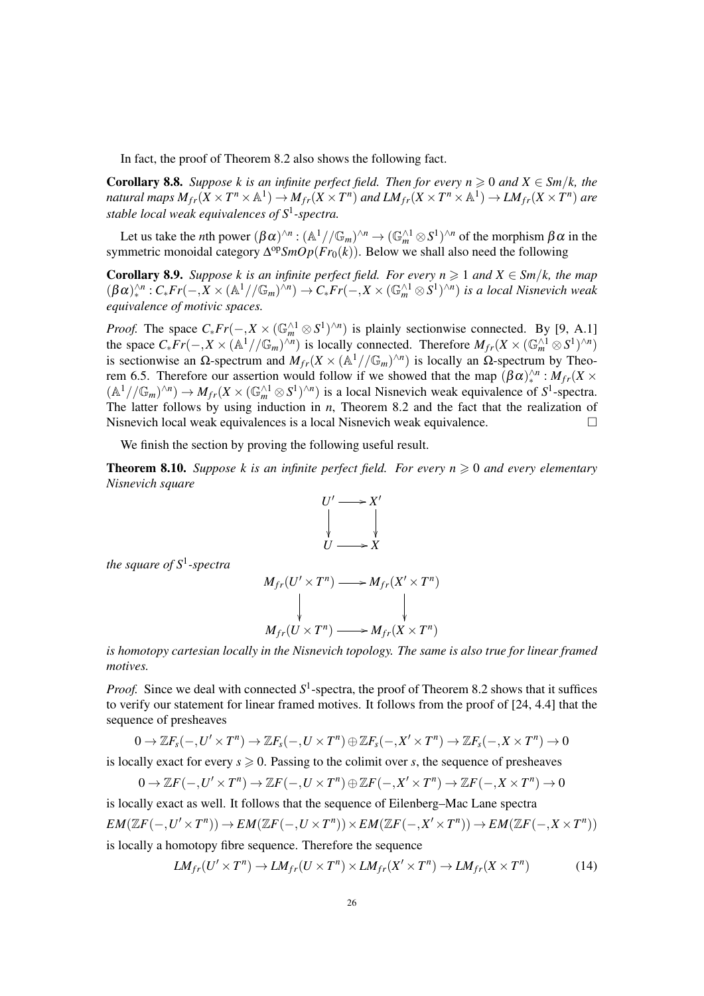In fact, the proof of Theorem 8.2 also shows the following fact.

**Corollary 8.8.** Suppose k is an infinite perfect field. Then for every  $n \geq 0$  and  $X \in \mathcal{S}m/k$ , the natural maps  $M_{fr}(X\times T^n\times {\mathbb A}^1)\to M_{fr}(X\times T^n)$  and  $LM_{fr}(X\times T^n\times {\mathbb A}^1)\to LM_{fr}(X\times T^n)$  are *stable local weak equivalences of S*<sup>1</sup> *-spectra.*

Let us take the *n*th power  $(\beta \alpha)^{\wedge n} : (\mathbb{A}^1//\mathbb{G}_m)^{\wedge n} \to (\mathbb{G}_m^{\wedge 1} \otimes S^1)^{\wedge n}$  of the morphism  $\beta \alpha$  in the symmetric monoidal category Δ<sup>op</sup>*SmOp*(*Fr*<sub>0</sub>(*k*)). Below we shall also need the following

**Corollary 8.9.** Suppose k is an infinite perfect field. For every  $n \geq 1$  and  $X \in \mathcal{S}m/k$ , the map  $(\beta \alpha)_*^{\wedge n}: C_* Fr(-, X \times (\mathbb{A}^1//\mathbb{G}_m)^{\wedge n}) \to C_* Fr(-, X \times (\mathbb{G}_m^{\wedge 1} \otimes S^1)^{\wedge n})$  *is a local Nisnevich weak equivalence of motivic spaces.*

*Proof.* The space  $C_* Fr(-, X \times (\mathbb{G}_m^{\wedge 1} \otimes S^1)^{\wedge n})$  is plainly sectionwise connected. By [9, A.1] the space  $C_* Fr(-, X \times (\mathbb{A}^1 // \mathbb{G}_m)^{\wedge n})$  is locally connected. Therefore  $M_{fr}(X \times (\mathbb{G}_m^{\wedge 1} \otimes S^1)^{\wedge n})$ is sectionwise an  $\Omega$ -spectrum and  $M_{fr}(X \times (\mathbb{A}^1//\mathbb{G}_m)^{\wedge n})$  is locally an  $\Omega$ -spectrum by Theorem 6.5. Therefore our assertion would follow if we showed that the map  $(βα)^{\wedge n}$  :  $M_f(x)$  $(A^1//\mathbb{G}_m)^{\wedge n}) \to M_{fr}(X \times (\mathbb{G}_m^{\wedge 1} \otimes S^1)^{\wedge n})$  is a local Nisnevich weak equivalence of  $S^1$ -spectra. The latter follows by using induction in *n*, Theorem 8.2 and the fact that the realization of Nisnevich local weak equivalences is a local Nisnevich weak equivalence.  $\Box$ 

We finish the section by proving the following useful result.

**Theorem 8.10.** *Suppose k is an infinite perfect field. For every n*  $\geq 0$  *and every elementary Nisnevich square*



*the square of S*<sup>1</sup> *-spectra*

$$
M_{fr}(U' \times T^n) \longrightarrow M_{fr}(X' \times T^n)
$$
  
\n
$$
\downarrow \qquad \qquad \downarrow
$$
  
\n
$$
M_{fr}(U \times T^n) \longrightarrow M_{fr}(X \times T^n)
$$

*is homotopy cartesian locally in the Nisnevich topology. The same is also true for linear framed motives.*

*Proof.* Since we deal with connected  $S^1$ -spectra, the proof of Theorem 8.2 shows that it suffices to verify our statement for linear framed motives. It follows from the proof of [24, 4.4] that the sequence of presheaves

$$
0\to \mathbb{Z} F_s(-,U'\times T^n)\to \mathbb{Z} F_s(-,U\times T^n)\oplus \mathbb{Z} F_s(-,X'\times T^n)\to \mathbb{Z} F_s(-,X\times T^n)\to 0
$$

is locally exact for every  $s \ge 0$ . Passing to the colimit over *s*, the sequence of presheaves

$$
0 \to \mathbb{Z}F(-,U' \times T^n) \to \mathbb{Z}F(-,U \times T^n) \oplus \mathbb{Z}F(-,X' \times T^n) \to \mathbb{Z}F(-,X \times T^n) \to 0
$$

is locally exact as well. It follows that the sequence of Eilenberg–Mac Lane spectra

$$
EM(\mathbb{Z}F(-,U' \times T^n)) \to EM(\mathbb{Z}F(-,U \times T^n)) \times EM(\mathbb{Z}F(-,X' \times T^n)) \to EM(\mathbb{Z}F(-,X \times T^n))
$$

is locally a homotopy fibre sequence. Therefore the sequence

$$
LM_{fr}(U' \times T^n) \to LM_{fr}(U \times T^n) \times LM_{fr}(X' \times T^n) \to LM_{fr}(X \times T^n)
$$
 (14)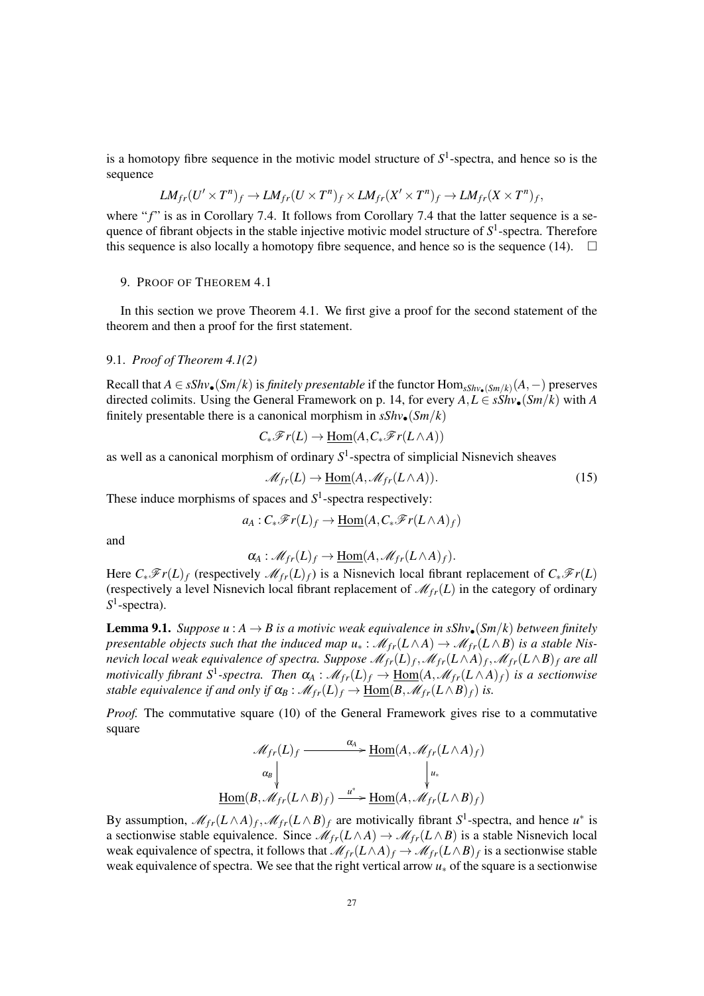is a homotopy fibre sequence in the motivic model structure of  $S<sup>1</sup>$ -spectra, and hence so is the sequence

$$
LM_{fr}(U' \times T^n)_f \to LM_{fr}(U \times T^n)_f \times LM_{fr}(X' \times T^n)_f \to LM_{fr}(X \times T^n)_f,
$$

where "f" is as in Corollary 7.4. It follows from Corollary 7.4 that the latter sequence is a sequence of fibrant objects in the stable injective motivic model structure of  $S^1$ -spectra. Therefore this sequence is also locally a homotopy fibre sequence, and hence so is the sequence (14).  $\Box$ 

#### 9. PROOF OF THEOREM 4.1

In this section we prove Theorem 4.1. We first give a proof for the second statement of the theorem and then a proof for the first statement.

## 9.1. *Proof of Theorem 4.1(2)*

Recall that  $A \in sShv$ •(*Sm*/*k*) is *finitely presentable* if the functor  $Hom_{sShv}$ •<sub>(*Sm*/*k*)</sub>( $A$ , −) preserves directed colimits. Using the General Framework on p. 14, for every  $A, L \in sShv_{\bullet}(Sm/k)$  with *A* finitely presentable there is a canonical morphism in  $sShv_{\bullet}(Sm/k)$ 

$$
C_*\mathscr{F}r(L) \to \underline{\mathrm{Hom}}(A, C_*\mathscr{F}r(L \wedge A))
$$

as well as a canonical morphism of ordinary *S* 1 -spectra of simplicial Nisnevich sheaves

$$
\mathcal{M}_{fr}(L) \to \underline{\text{Hom}}(A, \mathcal{M}_{fr}(L \wedge A)). \tag{15}
$$

These induce morphisms of spaces and  $S<sup>1</sup>$ -spectra respectively:

$$
a_A: C_*\mathscr{F}r(L)_f \to \underline{\mathrm{Hom}}(A, C_*\mathscr{F}r(L \wedge A)_f)
$$

and

$$
\alpha_A: \mathscr{M}_{fr}(L)_f \to \underline{\mathrm{Hom}}(A, \mathscr{M}_{fr}(L \wedge A)_f).
$$

Here  $C_*\mathscr{F}r(L)_f$  (respectively  $\mathscr{M}_{fr}(L)_f$ ) is a Nisnevich local fibrant replacement of  $C_*\mathscr{F}r(L)$ (respectively a level Nisnevich local fibrant replacement of  $\mathcal{M}_{fr}(L)$  in the category of ordinary S<sup>1</sup>-spectra).

**Lemma 9.1.** *Suppose*  $u : A \rightarrow B$  *is a motivic weak equivalence in sShv* $\bullet$  (*Sm*/*k*) *between finitely presentable objects such that the induced map*  $u_* : \mathcal{M}_{fr}(L \wedge A) \to \mathcal{M}_{fr}(L \wedge B)$  *is a stable Nisnevich local weak equivalence of spectra. Suppose*  $\mathscr{M}_{fr}(L)_f, \mathscr{M}_{fr}(L \wedge A)_f, \mathscr{M}_{fr}(L \wedge B)_f$  *are all motivically fibrant*  $S^1$ -spectra. Then  $\alpha_A : \mathcal{M}_{fr}(L)_f \to \underline{\text{Hom}}(A, \mathcal{M}_{fr}(L \wedge A)_f)$  is a sectionwise *stable equivalence if and only if*  $\alpha_B : \mathcal{M}_{fr}(L) \to \underline{Hom}(B, \mathcal{M}_{fr}(L \wedge B)_f)$  *is.* 

*Proof.* The commutative square (10) of the General Framework gives rise to a commutative square

$$
\mathcal{M}_{fr}(L)_f \xrightarrow{\alpha_A} \underline{\operatorname{Hom}}(A, \mathcal{M}_{fr}(L \wedge A)_f)
$$

$$
\alpha_B \downarrow \qquad \qquad \downarrow u_*
$$

$$
\underline{\operatorname{Hom}}(B, \mathcal{M}_{fr}(L \wedge B)_f) \xrightarrow{u^*} \underline{\operatorname{Hom}}(A, \mathcal{M}_{fr}(L \wedge B)_f)
$$

By assumption,  $\mathcal{M}_{fr}(L \wedge A)_f$ ,  $\mathcal{M}_{fr}(L \wedge B)_f$  are motivically fibrant  $S^1$ -spectra, and hence  $u^*$  is a sectionwise stable equivalence. Since  $\mathcal{M}_{fr}(L \wedge A) \to \mathcal{M}_{fr}(L \wedge B)$  is a stable Nisnevich local weak equivalence of spectra, it follows that  $\mathcal{M}_{fr}(L \wedge A)_f \to \mathcal{M}_{fr}(L \wedge B)_f$  is a sectionwise stable weak equivalence of spectra. We see that the right vertical arrow *u*<sup>∗</sup> of the square is a sectionwise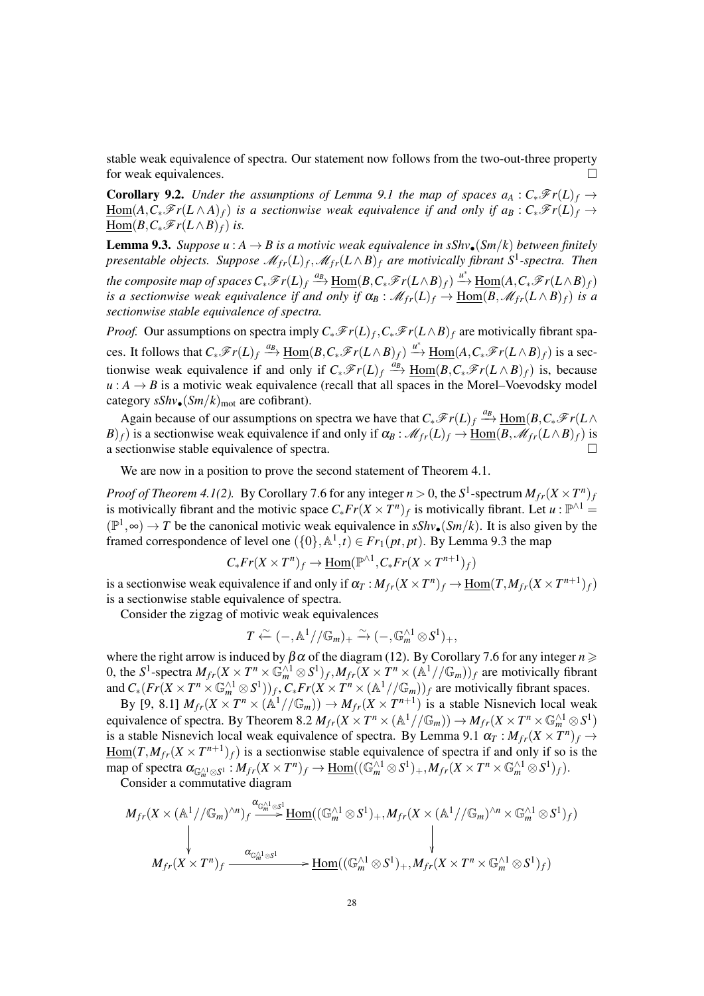stable weak equivalence of spectra. Our statement now follows from the two-out-three property for weak equivalences.

**Corollary 9.2.** *Under the assumptions of Lemma 9.1 the map of spaces*  $a_A : C_*\mathscr{F}_r(L)_f \to$  $Hom(A, C_*\mathscr{F}r(L \wedge A)_f)$  *is a sectionwise weak equivalence if and only if*  $a_B : C_*\mathscr{F}r(L)_f \rightarrow$  $\underline{\text{Hom}}(B, C_*\mathscr{F}r(L \wedge B)_f)$  *is.* 

**Lemma 9.3.** *Suppose*  $u : A \rightarrow B$  *is a motivic weak equivalence in sShv* $\bullet$ (*Sm*/*k*) *between finitely presentable objects. Suppose*  $\mathscr{M}_{fr}(L)_{f}, \mathscr{M}_{fr}(L \wedge B)_{f}$  are motivically fibrant S<sup>1</sup>-spectra. Then  $t$ he composite map of spaces  $C_*\overline{\mathscr{F}}r(L)_f \stackrel{a_B}{\longrightarrow} \underline{\text{Hom}}(B,C_*\overline{\mathscr{F}}r(L\wedge B)_f) \stackrel{u^*}{\longrightarrow} \underline{\text{Hom}}(A,C_*\overline{\mathscr{F}}r(L\wedge B)_f)$ *is a sectionwise weak equivalence if and only if*  $\alpha_B : \mathcal{M}_{fr}(L)_f \to \underline{\text{Hom}}(B, \mathcal{M}_{fr}(L \wedge B)_f)$  *is a sectionwise stable equivalence of spectra.*

*Proof.* Our assumptions on spectra imply  $C_*\mathscr{F}r(L)f$ ,  $C_*\mathscr{F}r(L\wedge B)f$  are motivically fibrant spaces. It follows that  $C_*\mathscr{F}r(L)_f \stackrel{a_B}{\longrightarrow} \underline{\text{Hom}}(B, C_*\mathscr{F}r(L \wedge B)_f) \stackrel{u^*}{\longrightarrow} \underline{\text{Hom}}(A, C_*\mathscr{F}r(L \wedge B)_f)$  is a sectionwise weak equivalence if and only if  $C_*\mathscr{F}r(L)_f \xrightarrow{a_B} \underline{Hom}(B,C_*\mathscr{F}r(L\wedge B)_f)$  is, because  $u : A \rightarrow B$  is a motivic weak equivalence (recall that all spaces in the Morel–Voevodsky model category  $sShv_{\bullet}(Sm/k)_{mot}$  are cofibrant).

Again because of our assumptions on spectra we have that  $C_*\mathscr{F}r(L)_f \xrightarrow{a_B} \underline{Hom}(B,C_*\mathscr{F}r(L) \wedge$ *B*)*f*) is a sectionwise weak equivalence if and only if  $\alpha_B : \mathcal{M}_{fr}(L)_f \to \text{Hom}(B, \mathcal{M}_{fr}(L \wedge B)_f)$  is a sectionwise stable equivalence of spectra.

We are now in a position to prove the second statement of Theorem 4.1.

*Proof of Theorem 4.1(2).* By Corollary 7.6 for any integer  $n > 0$ , the  $S^1$ -spectrum  $M_{fr}(X \times T^n)_j$ is motivically fibrant and the motivic space  $C_* Fr(X \times T^n)_f$  is motivically fibrant. Let  $u : \mathbb{P}^{\wedge 1} =$  $(\mathbb{P}^1, \infty)$  → *T* be the canonical motivic weak equivalence in *sShv*•(*Sm*/*k*). It is also given by the framed correspondence of level one  $({0}, \mathbb{A}^1, t) \in Fr_1(pt, pt)$ . By Lemma 9.3 the map

$$
C_*Fr(X \times T^n)_f \to \underline{\text{Hom}}(\mathbb{P}^{\wedge 1}, C_*Fr(X \times T^{n+1})_f)
$$

is a sectionwise weak equivalence if and only if  $\alpha_T : M_{fr}(X \times T^n)_f \to \underline{\text{Hom}}(T, M_{fr}(X \times T^{n+1})_f)$ is a sectionwise stable equivalence of spectra.

Consider the zigzag of motivic weak equivalences

$$
T \stackrel{\sim}{\leftarrow} (-, \mathbb{A}^1//\mathbb{G}_m)_+ \stackrel{\sim}{\rightarrow} (-, \mathbb{G}_m^{\wedge 1} \otimes S^1)_+,
$$

where the right arrow is induced by  $\beta \alpha$  of the diagram (12). By Corollary 7.6 for any integer  $n \geq$ 0, the S<sup>1</sup>-spectra  $M_{fr}(X \times T^n \times \mathbb{G}_m^{\wedge 1} \otimes S^1)_f$ ,  $M_{fr}(X \times T^n \times (\mathbb{A}^1//\mathbb{G}_m))_f$  are motivically fibrant and  $C_*(Fr(X \times T^n \times \mathbb{G}_m^{\wedge 1} \otimes S^1))_f$ ,  $C_*Fr(X \times T^n \times (\mathbb{A}^1//\mathbb{G}_m))_f$  are motivically fibrant spaces.

By [9, 8.1]  $M_{fr}(X \times T^n \times (\mathbb{A}^1//\mathbb{G}_m)) \to M_{fr}(X \times T^{n+1})$  is a stable Nisnevich local weak equivalence of spectra. By Theorem 8.2  $M_{fr}(X \times T^n \times (\mathbb{A}^1 // \mathbb{G}_m)) \to M_{fr}(X \times T^n \times \mathbb{G}_m^{\wedge 1} \otimes S^1)$ is a stable Nisnevich local weak equivalence of spectra. By Lemma 9.1  $\alpha_T : M_{fr}(X \times T^n)_f \to$  $\underline{\text{Hom}}(T, M_{fr}(X \times T^{n+1})_f)$  is a sectionwise stable equivalence of spectra if and only if so is the  $\text{map of spectra } \alpha_{\mathbb{G}_m^{\wedge 1} \otimes S^1} : M_{fr}(X \times T^n)_f \to \underline{\text{Hom}}((\mathbb{G}_m^{\wedge 1} \otimes S^1)_+, M_{fr}(X \times T^n \times \mathbb{G}_m^{\wedge 1} \otimes S^1)_f).$ 

Consider a commutative diagram

$$
\begin{CD} M_{fr}(X \times (\mathbb{A}^1//\mathbb{G}_m)^{\wedge n})_f \xrightarrow{\alpha_{\mathbb{G}_m^{\wedge 1} \otimes S^1}} \underline{\mathrm{Hom}}((\mathbb{G}_m^{\wedge 1} \otimes S^1)_+, M_{fr}(X \times (\mathbb{A}^1//\mathbb{G}_m)^{\wedge n} \times \mathbb{G}_m^{\wedge 1} \otimes S^1)_f) \\ & \downarrow \\ M_{fr}(X \times T^n)_f \xrightarrow{\alpha_{\mathbb{G}_m^{\wedge 1} \otimes S^1}} \underline{\mathrm{Hom}}((\mathbb{G}_m^{\wedge 1} \otimes S^1)_+, M_{fr}(X \times T^n \times \mathbb{G}_m^{\wedge 1} \otimes S^1)_f) \end{CD}
$$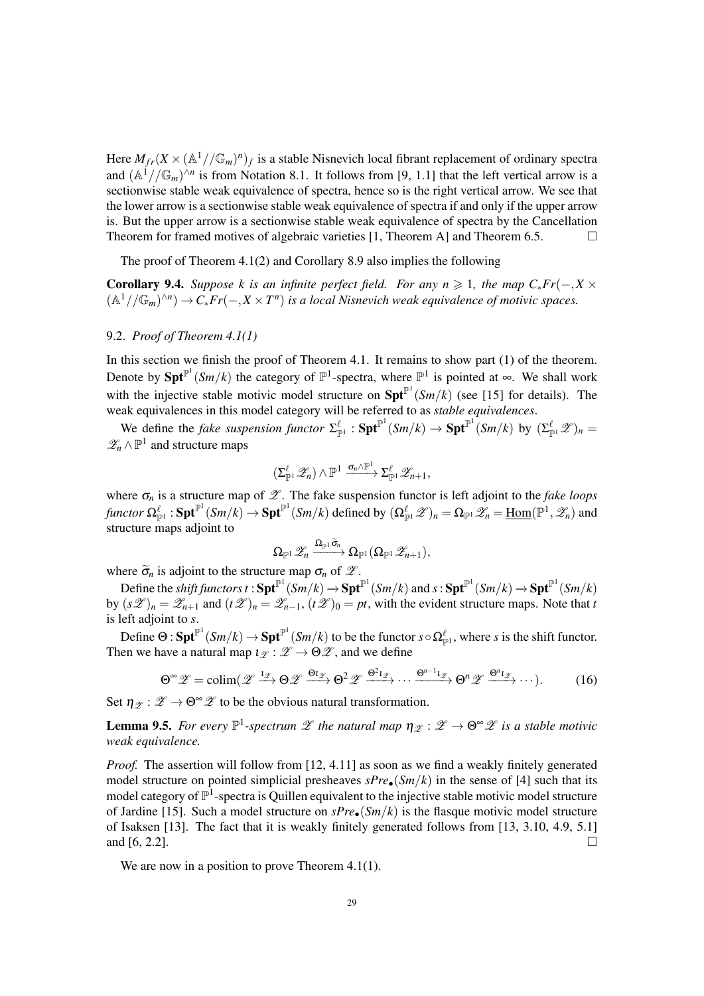Here  $M_{fr}(X \times (\mathbb{A}^1//\mathbb{G}_m)^n)_f$  is a stable Nisnevich local fibrant replacement of ordinary spectra and  $(\mathbb{A}^1//\mathbb{G}_m)^{\wedge n}$  is from Notation 8.1. It follows from [9, 1.1] that the left vertical arrow is a sectionwise stable weak equivalence of spectra, hence so is the right vertical arrow. We see that the lower arrow is a sectionwise stable weak equivalence of spectra if and only if the upper arrow is. But the upper arrow is a sectionwise stable weak equivalence of spectra by the Cancellation Theorem for framed motives of algebraic varieties [1, Theorem A] and Theorem 6.5.  $\Box$ 

The proof of Theorem 4.1(2) and Corollary 8.9 also implies the following

**Corollary 9.4.** *Suppose k is an infinite perfect field. For any n*  $\geq 1$ *, the map C*<sub>\*</sub>*Fr*(−,*X*  $\times$  $(A^1//\mathbb{G}_m)^{\wedge n}) \to C_*Fr(-, X \times T^n)$  is a local Nisnevich weak equivalence of motivic spaces.

# 9.2. *Proof of Theorem 4.1(1)*

In this section we finish the proof of Theorem 4.1. It remains to show part (1) of the theorem. Denote by  $\text{Spt}^{\mathbb{P}^1}(Sm/k)$  the category of  $\mathbb{P}^1$ -spectra, where  $\mathbb{P}^1$  is pointed at  $\infty$ . We shall work with the injective stable motivic model structure on  $\text{Spt}^{\mathbb{P}^1}(Sm/k)$  (see [15] for details). The weak equivalences in this model category will be referred to as *stable equivalences*.

We define the *fake suspension functor*  $\Sigma_{\mathbb{P}^1}^{\ell}$  :  $\mathbf{Spt}^{\mathbb{P}^1}(Sm/k) \to \mathbf{Spt}^{\mathbb{P}^1}(Sm/k)$  by  $(\Sigma_{\mathbb{P}^1}^{\ell} \mathscr{Z})_n =$  $\mathscr{Z}_n$  ∧  $\mathbb{P}^1$  and structure maps

$$
(\Sigma_{\mathbb{P}^1}^\ell \mathscr{Z}_n) \wedge \mathbb{P}^1 \xrightarrow{\sigma_n \wedge \mathbb{P}^1} \Sigma_{\mathbb{P}^1}^\ell \mathscr{Z}_{n+1},
$$

where  $\sigma_n$  is a structure map of  $\mathscr{Z}$ . The fake suspension functor is left adjoint to the *fake loops*  $f$ *unctor*  $\Omega^{\ell}_{\mathbb{P}^1}$  :  $\mathbf{Spt}^{\mathbb{P}^1}(Sm/k) \to \mathbf{Spt}^{\mathbb{P}^1}(Sm/k)$  defined by  $(\Omega^{\ell}_{\mathbb{P}^1}\mathscr{Z})_n = \Omega_{\mathbb{P}^1}\mathscr{Z}_n = \underline{\mathrm{Hom}}(\mathbb{P}^1,\mathscr{Z}_n)$  and structure maps adjoint to

$$
\Omega_{\mathbb{P}^1}\mathscr{Z}_n \xrightarrow{\Omega_{\mathbb{P}^1}\tilde{\sigma}_n} \Omega_{\mathbb{P}^1}(\Omega_{\mathbb{P}^1}\mathscr{Z}_{n+1}),
$$

where  $\tilde{\sigma}_n$  is adjoint to the structure map  $\sigma_n$  of  $\mathscr{Z}$ .

 $\text{Define the shift functors } t: \textbf{Spt}^{\mathbb{P}^1}(Sm/k) \to \textbf{Spt}^{\mathbb{P}^1}(Sm/k) \text{ and } s: \textbf{Spt}^{\mathbb{P}^1}(Sm/k) \to \textbf{Spt}^{\mathbb{P}^1}(Sm/k)$ by  $(s\mathscr{L})_n = \mathscr{L}_{n+1}$  and  $(t\mathscr{L})_n = \mathscr{L}_{n-1}$ ,  $(t\mathscr{L})_0 = pt$ , with the evident structure maps. Note that *t* is left adjoint to *s*.

Define  $\Theta: \mathbf{Spt}^{\mathbb{P}^1}(Sm/k) \to \mathbf{Spt}^{\mathbb{P}^1}(Sm/k)$  to be the functor  $s \circ \Omega_{\mathbb{P}^1}^{\ell}$ , where *s* is the shift functor. Then we have a natural map  $\iota_{\mathscr{Z}} : \mathscr{Z} \to \Theta \mathscr{Z}$ , and we define

$$
\Theta^{\infty}\mathscr{Z}=\text{colim}(\mathscr{Z}\xrightarrow{1_{\mathscr{Z}}}\Theta\mathscr{Z}\xrightarrow{\Theta_{1_{\mathscr{Z}}}}\Theta^{2}\mathscr{Z}\xrightarrow{\Theta^{2}1_{\mathscr{Z}}}\cdots\xrightarrow{\Theta^{n-1}1_{\mathscr{Z}}}\Theta^{n}\mathscr{Z}\xrightarrow{\Theta^{n}1_{\mathscr{Z}}}\cdots).
$$
 (16)

Set  $\eta_{\mathscr{F}} : \mathscr{Z} \to \Theta^{\infty} \mathscr{Z}$  to be the obvious natural transformation.

**Lemma 9.5.** For every  $\mathbb{P}^1$ -spectrum  $\mathscr{Z}$  the natural map  $\eta_{\mathscr{Z}} : \mathscr{Z} \to \Theta^{\infty} \mathscr{Z}$  is a stable motivic *weak equivalence.*

*Proof.* The assertion will follow from [12, 4.11] as soon as we find a weakly finitely generated model structure on pointed simplicial presheaves  $sPre_{\bullet}(Sm/k)$  in the sense of [4] such that its model category of  $\mathbb{P}^1$ -spectra is Quillen equivalent to the injective stable motivic model structure of Jardine [15]. Such a model structure on *sPre*•(*Sm*/*k*) is the flasque motivic model structure of Isaksen [13]. The fact that it is weakly finitely generated follows from [13, 3.10, 4.9, 5.1] and [6, 2.2].

We are now in a position to prove Theorem 4.1(1).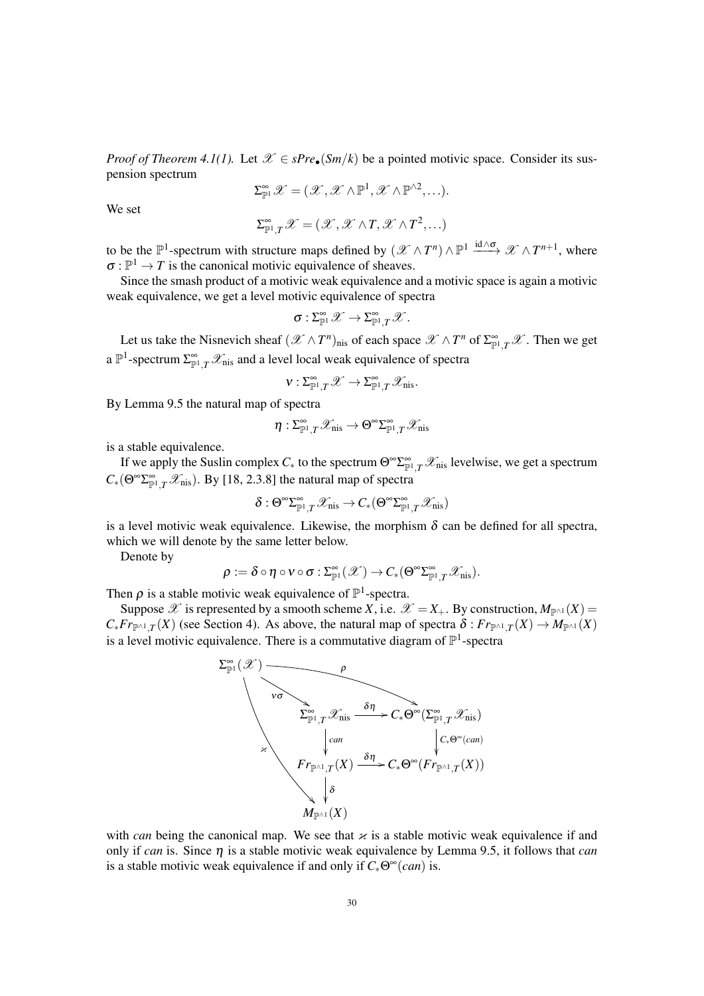*Proof of Theorem 4.1(1).* Let  $\mathcal{X} \in sPre_{\bullet}(Sm/k)$  be a pointed motivic space. Consider its suspension spectrum

$$
\Sigma^{\infty}_{\mathbb{P}^1}\mathscr{X}=(\mathscr{X},\mathscr{X}\wedge\mathbb{P}^1,\mathscr{X}\wedge\mathbb{P}^{\wedge 2},\ldots).
$$

We set

$$
\Sigma^{\infty}_{\mathbb{P}^1,T}\mathscr{X}=(\mathscr{X},\mathscr{X}\wedge T,\mathscr{X}\wedge T^2,\ldots)
$$

to be the  $\mathbb{P}^1$ -spectrum with structure maps defined by  $(\mathscr{X} \wedge T^n) \wedge \mathbb{P}^1 \xrightarrow{\text{id} \wedge \sigma} \mathscr{X} \wedge T^{n+1}$ , where  $\sigma : \mathbb{P}^1 \to T$  is the canonical motivic equivalence of sheaves.

Since the smash product of a motivic weak equivalence and a motivic space is again a motivic weak equivalence, we get a level motivic equivalence of spectra

$$
\sigma: \Sigma^\infty_{\mathbb{P}^1} \mathscr{X} \to \Sigma^\infty_{\mathbb{P}^1, T} \mathscr{X}.
$$

Let us take the Nisnevich sheaf  $(X \wedge T^n)_{\text{nis}}$  of each space  $X \wedge T^n$  of  $\Sigma_{\mathbb{P}^1,T}^{\infty}X$ . Then we get a  $\mathbb{P}^1$ -spectrum  $\sum_{p=1}^{\infty} \mathcal{X}_{\text{nis}}$  and a level local weak equivalence of spectra

$$
v: \Sigma^{\infty}_{{\mathbb P}^1,T} {\mathscr X} \to \Sigma^{\infty}_{{\mathbb P}^1,T} {\mathscr X}_{\text{nis}}.
$$

By Lemma 9.5 the natural map of spectra

$$
\eta: \Sigma^\infty_{\mathbb{P}^1, T} \mathscr{X}_{\mathrm{nis}} \to \Theta^\infty \Sigma^\infty_{\mathbb{P}^1, T} \mathscr{X}_{\mathrm{nis}}
$$

is a stable equivalence.

If we apply the Suslin complex  $C_*$  to the spectrum  $\Theta^{\infty} \Sigma^{\infty}_{\mathbb{P}^1,T}$   $\mathscr{X}_{\text{nis}}$  levelwise, we get a spectrum  $C_*(\Theta^{\infty} \Sigma^{\infty}_{\mathbb{P}^1, T} \mathcal{X}_{\text{nis}})$ . By [18, 2.3.8] the natural map of spectra

$$
\delta: \Theta^{\infty}\Sigma^{\infty}_{\mathbb{P}^1,T}\mathscr{X}_{\mathrm{nis}} \to C_*(\Theta^{\infty}\Sigma^{\infty}_{\mathbb{P}^1,T}\mathscr{X}_{\mathrm{nis}})
$$

is a level motivic weak equivalence. Likewise, the morphism  $\delta$  can be defined for all spectra, which we will denote by the same letter below.

Denote by

$$
\rho:=\delta\circ\eta\circ\nu\circ\sigma:\Sigma^\infty_{\mathbb{P}^1}(\mathscr{X})\rightarrow C_*(\Theta^\infty\Sigma^\infty_{\mathbb{P}^1,T}\mathscr{X}_{\mathrm{nis}}).
$$

Then  $\rho$  is a stable motivic weak equivalence of  $\mathbb{P}^1$ -spectra.

Suppose  $\mathscr X$  is represented by a smooth scheme *X*, i.e.  $\mathscr X = X_+$ . By construction,  $M_{\mathbb{P}^{\wedge 1}}(X) =$  $C_* Fr_{\mathbb{P} \wedge 1,T}(X)$  (see Section 4). As above, the natural map of spectra  $\delta: Fr_{\mathbb{P} \wedge 1,T}(X) \to M_{\mathbb{P} \wedge 1}(X)$ is a level motivic equivalence. There is a commutative diagram of  $\mathbb{P}^1$ -spectra



with *can* being the canonical map. We see that  $\varkappa$  is a stable motivic weak equivalence if and only if *can* is. Since  $\eta$  is a stable motivic weak equivalence by Lemma 9.5, it follows that *can* is a stable motivic weak equivalence if and only if  $C_*\Theta^{\infty}(can)$  is.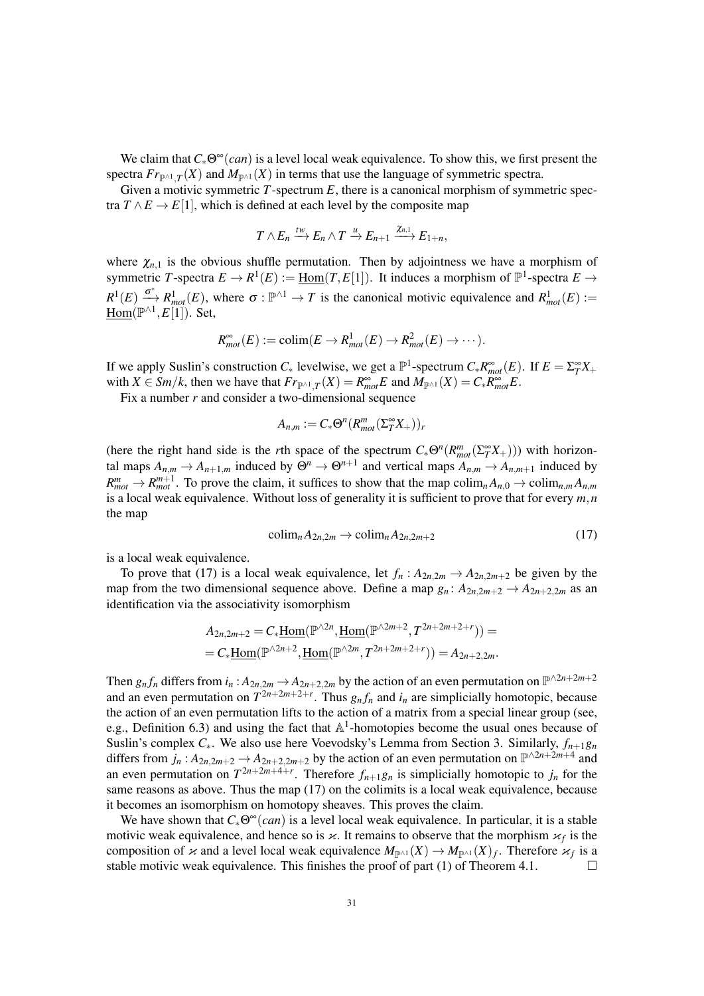We claim that  $C_*\Theta^{\infty}(can)$  is a level local weak equivalence. To show this, we first present the spectra  $Fr_{\mathbb{P}^{\wedge 1},T}(X)$  and  $M_{\mathbb{P}^{\wedge 1}}(X)$  in terms that use the language of symmetric spectra.

Given a motivic symmetric *T*-spectrum *E*, there is a canonical morphism of symmetric spectra  $T \wedge E \rightarrow E[1]$ , which is defined at each level by the composite map

$$
T \wedge E_n \xrightarrow{tw} E_n \wedge T \xrightarrow{u} E_{n+1} \xrightarrow{\chi_{n,1}} E_{1+n},
$$

where  $\chi_{n,1}$  is the obvious shuffle permutation. Then by adjointness we have a morphism of symmetric *T*-spectra  $E \to R^1(E) := \underline{Hom}(T, E[1])$ . It induces a morphism of  $\mathbb{P}^1$ -spectra  $E \to$  $R^1(E) \xrightarrow{\sigma^*} R^1_{mot}(E)$ , where  $\sigma : \mathbb{P}^{\wedge 1} \to T$  is the canonical motivic equivalence and  $R^1_{mot}(E) :=$ Hom(P ∧1 ,*E*[1]). Set,

$$
R_{mot}^{\infty}(E) := \text{colim}(E \to R_{mot}^1(E) \to R_{mot}^2(E) \to \cdots).
$$

If we apply Suslin's construction  $C_*$  levelwise, we get a  $\mathbb{P}^1$ -spectrum  $C_* R_{mot}^\infty(E)$ . If  $E = \sum_{T}^\infty X_+$ with  $X \in \mathcal{S}m/k$ , then we have that  $Fr_{\mathbb{P}^{\wedge 1},T}(X) = R^{\infty}_{mot}E$  and  $M_{\mathbb{P}^{\wedge 1}}(X) = C_{*}R^{\infty}_{mot}E$ .

Fix a number *r* and consider a two-dimensional sequence

$$
A_{n,m} := C_* \Theta^n (R_{mot}^m(\Sigma_T^{\infty}X_+))_r
$$

(here the right hand side is the *r*th space of the spectrum  $C_*\Theta^n(R_{mot}^m(\Sigma_T^{\infty}X_+)))$  with horizontal maps  $A_{n,m} \to A_{n+1,m}$  induced by  $\Theta^n \to \Theta^{n+1}$  and vertical maps  $A_{n,m} \to A_{n,m+1}$  induced by  $R_{mot}^m \to R_{mot}^{m+1}$ . To prove the claim, it suffices to show that the map colim<sub>*n*</sub>  $A_{n,0} \to \text{colim}_{n,m} A_{n,m}$ is a local weak equivalence. Without loss of generality it is sufficient to prove that for every *m*,*n* the map

$$
\text{colim}_n A_{2n,2m} \to \text{colim}_n A_{2n,2m+2} \tag{17}
$$

is a local weak equivalence.

To prove that (17) is a local weak equivalence, let  $f_n$  :  $A_{2n,2m} \rightarrow A_{2n,2m+2}$  be given by the map from the two dimensional sequence above. Define a map  $g_n: A_{2n,2m+2} \to A_{2n+2,2m}$  as an identification via the associativity isomorphism

$$
A_{2n,2m+2} = C_* \underline{\text{Hom}}(\mathbb{P}^{\wedge 2n}, \underline{\text{Hom}}(\mathbb{P}^{\wedge 2m+2}, T^{2n+2m+2+r})) =
$$
  
=  $C_* \underline{\text{Hom}}(\mathbb{P}^{\wedge 2n+2}, \underline{\text{Hom}}(\mathbb{P}^{\wedge 2m}, T^{2n+2m+2+r})) = A_{2n+2,2m}.$ 

Then  $g_n f_n$  differs from  $i_n : A_{2n,2m} \to A_{2n+2,2m}$  by the action of an even permutation on  $\mathbb{P}^{\wedge 2n+2m+2}$ and an even permutation on  $T^{2n+2m+2+r}$ . Thus  $g_n f_n$  and  $i_n$  are simplicially homotopic, because the action of an even permutation lifts to the action of a matrix from a special linear group (see, e.g., Definition 6.3) and using the fact that  $\mathbb{A}^1$ -homotopies become the usual ones because of Suslin's complex  $C_*$ . We also use here Voevodsky's Lemma from Section 3. Similarly,  $f_{n+1}g_n$ differs from  $j_n$ :  $A_{2n,2m+2} \to A_{2n+2,2m+2}$  by the action of an even permutation on  $\mathbb{P}^{\wedge 2n+2m+4}$  and an even permutation on  $T^{2n+2m+4+r}$ . Therefore  $f_{n+1}g_n$  is simplicially homotopic to  $j_n$  for the same reasons as above. Thus the map (17) on the colimits is a local weak equivalence, because it becomes an isomorphism on homotopy sheaves. This proves the claim.

We have shown that  $C_*\Theta^{\infty}(can)$  is a level local weak equivalence. In particular, it is a stable motivic weak equivalence, and hence so is  $\varkappa$ . It remains to observe that the morphism  $\varkappa_f$  is the composition of  $\kappa$  and a level local weak equivalence  $M_{\mathbb{P}^{\wedge 1}}(X) \to M_{\mathbb{P}^{\wedge 1}}(X)_f$ . Therefore  $\varkappa_f$  is a stable motivic weak equivalence. This finishes the proof of part (1) of Theorem 4.1.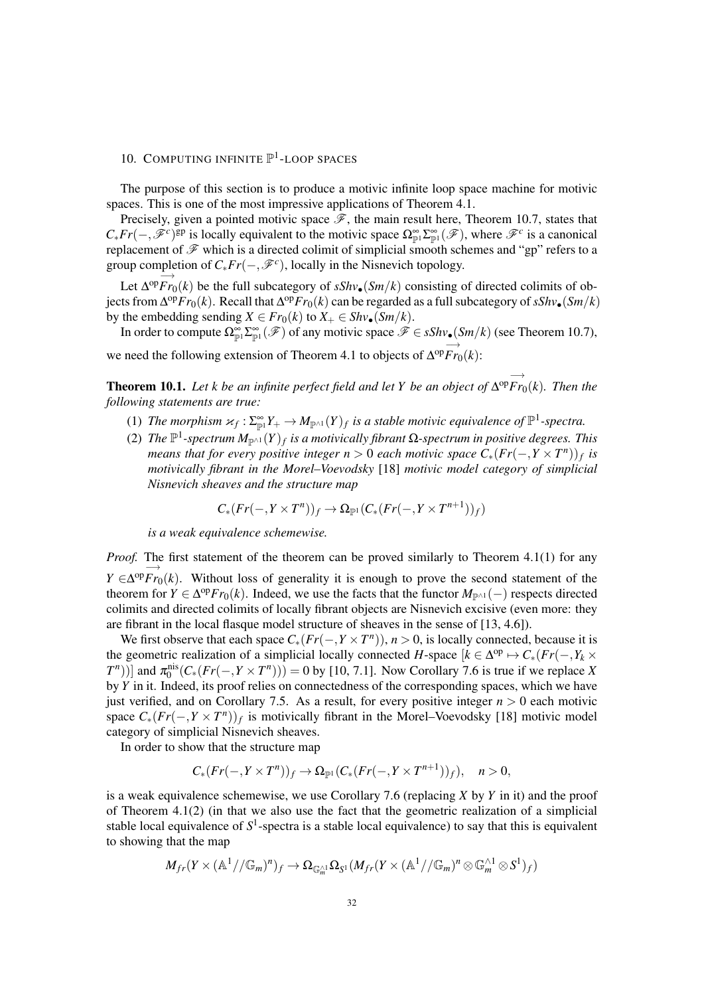# 10. COMPUTING INFINITE  $\mathbb{P}^1$ -LOOP SPACES

The purpose of this section is to produce a motivic infinite loop space machine for motivic spaces. This is one of the most impressive applications of Theorem 4.1.

Precisely, given a pointed motivic space  $\mathscr F$ , the main result here, Theorem 10.7, states that  $C_* Fr(-, \mathscr{F}^c)$ <sup>gp</sup> is locally equivalent to the motivic space  $\Omega_{\mathbb{P}^1}^{\infty} \Sigma_{\mathbb{P}^1}^{\infty}(\mathscr{F})$ , where  $\mathscr{F}^c$  is a canonical replacement of  $\mathscr F$  which is a directed colimit of simplicial smooth schemes and "gp" refers to a group completion of  $C_* Fr(-, \mathscr{F}^c)$ , locally in the Nisnevich topology.  $\xrightarrow{\text{--}}$ 

Let ∆ op*Fr*0(*k*) be the full subcategory of *sShv*•(*Sm*/*k*) consisting of directed colimits of objects from  $\Delta^{op}Fr_0(k)$ . Recall that  $\Delta^{op}Fr_0(k)$  can be regarded as a full subcategory of  $sShv_{\bullet}(Sm/k)$ by the embedding sending  $X \in Fr_0(k)$  to  $X_+ \in Shv_{\bullet}(Sm/k)$ .

In order to compute  $\Omega_{\mathbb{P}^1}^{\infty} \Sigma_{\mathbb{P}^1}^{\infty}(\mathscr{F})$  of any motivic space  $\mathscr{F} \in sShv_{\bullet}(Sm/k)$  (see Theorem 10.7), −→

we need the following extension of Theorem 4.1 to objects of  $\Delta^{op}Fr_0(k)$ :

Theorem 10.1. *Let k be an infinite perfect field and let Y be an object of* −→ ∆ op*Fr*0(*k*)*. Then the following statements are true:*

- (1) The morphism  $\varkappa_f : \Sigma_{\mathbb{P}^1}^{\infty} Y_+ \to M_{\mathbb{P}^{\wedge 1}}(Y)_f$  is a stable motivic equivalence of  $\mathbb{P}^1$ -spectra.
- (2) The  $\mathbb{P}^1$ -spectrum  $M_{\mathbb{P}^{\wedge 1}}(Y)_f$  is a motivically fibrant Ω-spectrum in positive degrees. This *means that for every positive integer*  $n > 0$  *each motivic space*  $C_*(Fr(-, Y \times T^n))_f$  *is motivically fibrant in the Morel–Voevodsky* [18] *motivic model category of simplicial Nisnevich sheaves and the structure map*

$$
C_*\big(\text{Fr}(-, Y \times T^n)\big)_f \to \Omega_{\mathbb{P}^1}\big(C_*\big(\text{Fr}(-, Y \times T^{n+1})\big)_f\big)
$$

*is a weak equivalence schemewise.*

*Proof.* The first statement of the theorem can be proved similarly to Theorem 4.1(1) for any *Y* ∈ −→  $\Delta^{\text{op}} F r_0(k)$ . Without loss of generality it is enough to prove the second statement of the theorem for  $Y \in \Delta^{\text{op}} F_{r_0}(k)$ . Indeed, we use the facts that the functor  $M_{\mathbb{P}^{\wedge 1}}(-)$  respects directed colimits and directed colimits of locally fibrant objects are Nisnevich excisive (even more: they are fibrant in the local flasque model structure of sheaves in the sense of [13, 4.6]).

We first observe that each space  $C_*(Fr(-, Y \times T^n))$ ,  $n > 0$ , is locally connected, because it is the geometric realization of a simplicial locally connected *H*-space  $[k \in \Delta^{op} \mapsto C_*(Fr(-, Y_k \times T))]$  $(T^n)$ )] and  $\pi_0^{\text{nis}}(C_*(Fr(-, Y \times T^n))) = 0$  by [10, 7.1]. Now Corollary 7.6 is true if we replace *X* by *Y* in it. Indeed, its proof relies on connectedness of the corresponding spaces, which we have just verified, and on Corollary 7.5. As a result, for every positive integer  $n > 0$  each motivic space  $C_*(Fr(-, Y \times T^n))_f$  is motivically fibrant in the Morel–Voevodsky [18] motivic model category of simplicial Nisnevich sheaves.

In order to show that the structure map

$$
C_*(Fr(-, Y \times T^n))_f \to \Omega_{\mathbb{P}^1}(C_*(Fr(-, Y \times T^{n+1}))_f), \quad n > 0,
$$

is a weak equivalence schemewise, we use Corollary 7.6 (replacing *X* by *Y* in it) and the proof of Theorem  $4.1(2)$  (in that we also use the fact that the geometric realization of a simplicial stable local equivalence of  $S^1$ -spectra is a stable local equivalence) to say that this is equivalent to showing that the map

$$
M_{fr}(Y \times (\mathbb{A}^1//\mathbb{G}_m)^n)_f \to \Omega_{\mathbb{G}_m^{\wedge 1}} \Omega_{S^1}(M_{fr}(Y \times (\mathbb{A}^1//\mathbb{G}_m)^n \otimes \mathbb{G}_m^{\wedge 1} \otimes S^1)_f)
$$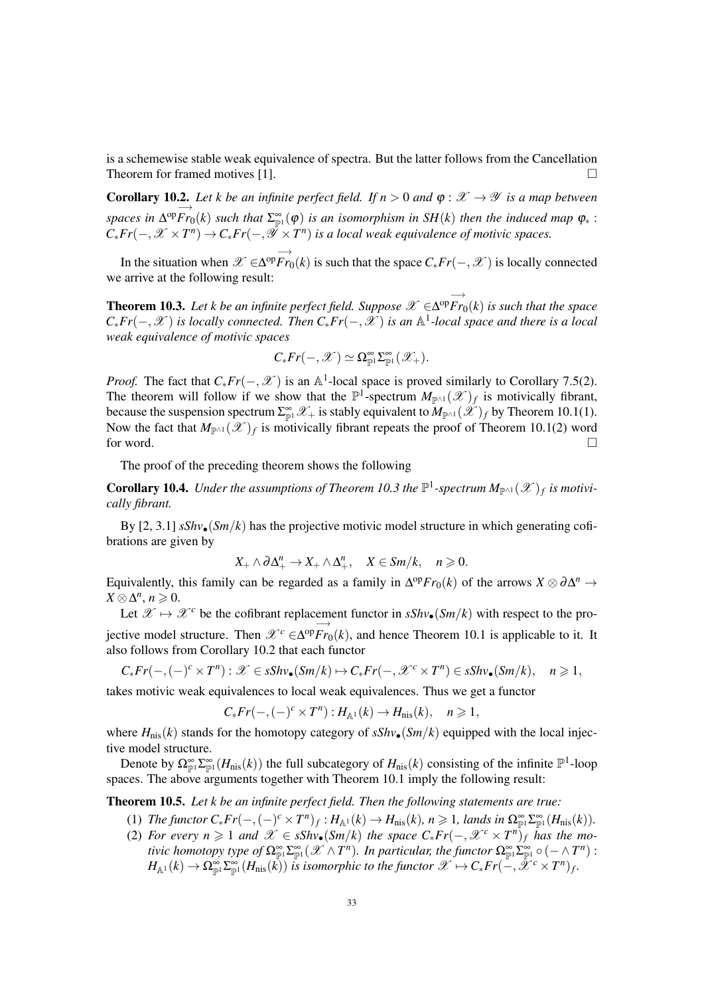is a schemewise stable weak equivalence of spectra. But the latter follows from the Cancellation Theorem for framed motives [1].  $\Box$ 

**Corollary 10.2.** Let k be an infinite perfect field. If  $n > 0$  and  $\varphi : \mathcal{X} \to \mathcal{Y}$  is a map between *spaces in* −→  $\Delta^{op}Fr_0(k)$  such that  $\Sigma^{\infty}_{\mathbb{P}^1}(\varphi)$  is an isomorphism in SH(k) then the induced map  $\varphi_*$  :  $C_*Fr(-, \mathscr{X} \times T^n) \to C_*Fr(-, \mathscr{Y} \times T^n)$  is a local weak equivalence of motivic spaces.

In the situation when  $\mathscr{X} \in$ −→  $\Delta^{op}Fr_0(k)$  is such that the space  $C_*Fr(-, \mathcal{X})$  is locally connected we arrive at the following result:

**Theorem 10.3.** *Let k be an infinite perfect field. Suppose*  $\mathscr{X} \in$ −→  $\Delta^{op}Fr_0(k)$  *is such that the space*  $C_*Fr(-, \mathcal{X})$  *is locally connected. Then*  $C_*Fr(-, \mathcal{X})$  *is an*  $\mathbb{A}^1$ -local space and there is a local *weak equivalence of motivic spaces*

$$
C_* Fr(-,\mathscr{X}) \simeq \Omega_{\mathbb{P}^1}^{\infty} \Sigma_{\mathbb{P}^1}^{\infty}(\mathscr{X}_+).
$$

*Proof.* The fact that  $C_* Fr(-, \mathcal{X})$  is an A<sup>1</sup>-local space is proved similarly to Corollary 7.5(2). The theorem will follow if we show that the  $\mathbb{P}^1$ -spectrum  $M_{\mathbb{P}^{\wedge 1}}(\mathscr{X})_f$  is motivically fibrant, because the suspension spectrum  $\Sigma_{\mathbb{P}^1}^{\infty} \mathscr{X}_+$  is stably equivalent to  $M_{\mathbb{P}^{\wedge 1}}(\mathscr{X})_f$  by Theorem 10.1(1). Now the fact that  $M_{\mathbb{P}^{\wedge 1}}(\mathscr{X})_f$  is motivically fibrant repeats the proof of Theorem 10.1(2) word for word.  $\Box$ 

The proof of the preceding theorem shows the following

**Corollary 10.4.** Under the assumptions of Theorem 10.3 the  $\mathbb{P}^1$ -spectrum  $M_{\mathbb{P}^{\wedge 1}}(\mathscr{X})_f$  is motivi*cally fibrant.*

By [2, 3.1]  $sShv_{\bullet}(Sm/k)$  has the projective motivic model structure in which generating cofibrations are given by

$$
X_+\wedge\partial\Delta_+^n\to X_+\wedge\Delta_+^n,\quad X\in Sm/k,\quad n\geqslant 0.
$$

Equivalently, this family can be regarded as a family in  $\Delta^{op}Fr_0(k)$  of the arrows  $X \otimes \partial \Delta^n \to$  $X \otimes \Delta^n, n \geqslant 0.$ 

Let  $\mathscr{X} \mapsto \mathscr{X}^c$  be the cofibrant replacement functor in  $sShv_{\bullet}(Sm/k)$  with respect to the pro- $\overrightarrow{f}$  jective model structure. Then  $\overrightarrow{\mathcal{X}}^c \in \Delta^{\text{op}} \overrightarrow{Fr}$  $\Delta^{\text{op}} F r_0(k)$ , and hence Theorem 10.1 is applicable to it. It also follows from Corollary 10.2 that each functor

 $C_* Fr(-, (-)^c \times T^n) : \mathscr{X} \in sShv_{\bullet}(Sm/k) \mapsto C_* Fr(-, \mathscr{X}^c \times T^n) \in sShv_{\bullet}(Sm/k), \quad n \geq 1,$ 

takes motivic weak equivalences to local weak equivalences. Thus we get a functor

$$
C_* Fr(-, (-)^c \times T^n) : H_{\mathbb{A}^1}(k) \to H_{\text{nis}}(k), \quad n \geq 1,
$$

where  $H_{\text{nis}}(k)$  stands for the homotopy category of  $sShv_{\bullet}(Sm/k)$  equipped with the local injective model structure.

Denote by  $\Omega_{\mathbb{P}^1}^{\infty} \Sigma_{\mathbb{P}^1}^{\infty} (H_{\text{nis}}(k))$  the full subcategory of  $H_{\text{nis}}(k)$  consisting of the infinite  $\mathbb{P}^1$ -loop spaces. The above arguments together with Theorem 10.1 imply the following result:

Theorem 10.5. *Let k be an infinite perfect field. Then the following statements are true:*

- (1) *The functor*  $C_* Fr(-, (-)^c \times T^n)_f : H_{\mathbb{A}^1}(k) \to H_{\text{nis}}(k)$ ,  $n \geq 1$ , lands in  $\Omega_{\mathbb{P}^1}^{\infty} \Sigma_{\mathbb{P}^1}^{\infty}(H_{\text{nis}}(k))$ .
- (2) For every  $n \geq 1$  and  $\mathscr{X} \in sShv_{\bullet}(Sm/k)$  the space  $C_{*}Fr(-, \mathscr{X}^{c} \times T^{n})_{f}$  has the mo*tivic homotopy type of*  $\Omega^{\infty}_{\mathbb{P}^1} \Sigma^{\infty}_{\mathbb{P}^1}(\mathscr{X} \wedge T^n)$ *. In particular, the functor*  $\Omega^{\infty}_{\mathbb{P}^1} \Sigma^{\infty}_{\mathbb{P}^1} \circ (- \wedge T^n)$  :  $H_{\mathbb{A}^1}(k) \to \Omega_{\mathbb{P}^1}^{\infty} \Sigma_{\mathbb{P}^1}^{\infty}(H_{\text{nis}}(\tilde{k}))$  is isomorphic to the functor  $\mathscr{X} \mapsto C_* Fr(-,\tilde{\mathscr{X}}^c \times T^n)_f$ .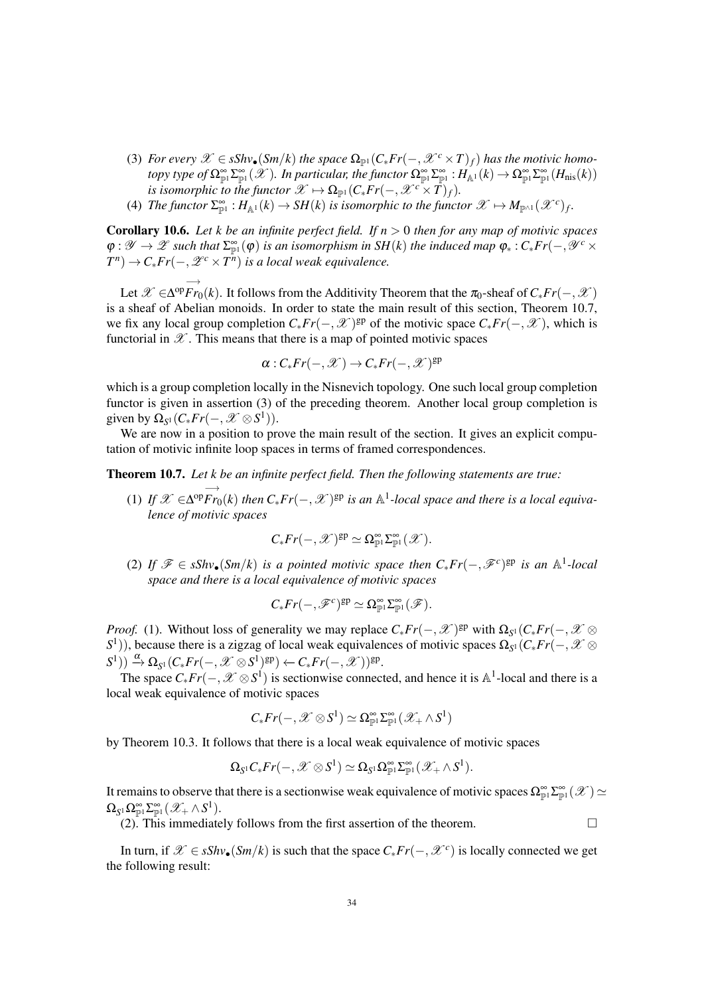- (3) *For every*  $\mathscr{X} \in sShv_{\bullet}(Sm/k)$  *the space*  $\Omega_{\mathbb{P}^1}(C_*Fr(-, \mathscr{X}^c \times T)_f)$  *has the motivic homotopy type of*  $\Omega_{\mathbb{P}^1}^{\infty} \Sigma_{\mathbb{P}^1}^{\infty}(\mathscr{X})$ *. In particular, the functor*  $\Omega_{\mathbb{P}^1}^{\infty} \Sigma_{\mathbb{P}^1}^{\infty} : H_{\mathbb{A}^1}(k) \to \Omega_{\mathbb{P}^1}^{\infty} \Sigma_{\mathbb{P}^1}^{\infty} (H_{\text{nis}}(k))$ *is isomorphic to the functor*  $\mathscr{X} \mapsto \Omega_{\mathbb{P}^1}(C_* Fr(-, \mathscr{X}^c \times T)_f)$ .
- (4) *The functor*  $\Sigma^{\infty}_{\mathbb{P}^1}$  :  $H_{\mathbb{A}^1}(k) \to SH(k)$  is isomorphic to the functor  $\mathscr{X} \mapsto M_{\mathbb{P}^{\wedge 1}}(\mathscr{X}^c)_f$ .

Corollary 10.6. *Let k be an infinite perfect field. If n* > 0 *then for any map of motivic spaces*  $\varphi: \mathscr{Y} \to \mathscr{Z}$  such that  $\Sigma_{\mathbb{P}^1}^{\infty}(\varphi)$  is an isomorphism in SH(k) the induced map  $\varphi_*: C_* Fr(-, \mathscr{Y}^c \times$  $T^n$ )  $\rightarrow$  *C*<sub>\*</sub>*Fr*( $-$ ,  $\mathscr{L}^c \times T^n$ ) is a local weak equivalence.

Let  $\mathscr{X} \in$ −→  $\Delta^{op}Fr_0(k)$ . It follows from the Additivity Theorem that the π<sub>0</sub>-sheaf of  $C_*Fr(-, X)$ is a sheaf of Abelian monoids. In order to state the main result of this section, Theorem 10.7, we fix any local group completion  $C_* Fr(-, \mathcal{X})^{\text{gp}}$  of the motivic space  $C_* Fr(-, \mathcal{X})$ , which is functorial in  $\mathscr X$ . This means that there is a map of pointed motivic spaces

$$
\alpha: C_* Fr(-, \mathscr{X}) \to C_* Fr(-, \mathscr{X})^{\mathrm{gp}}
$$

which is a group completion locally in the Nisnevich topology. One such local group completion functor is given in assertion (3) of the preceding theorem. Another local group completion is given by  $\Omega_{S^1}(C_*Fr(-, \mathcal{X} \otimes S^1)).$ 

We are now in a position to prove the main result of the section. It gives an explicit computation of motivic infinite loop spaces in terms of framed correspondences.

Theorem 10.7. *Let k be an infinite perfect field. Then the following statements are true:*

 $(1)$  *If*  $\mathscr{X} \in$ −→  $\Delta^{op}Fr_0(k)$  then  $C_*Fr(-, X)$ <sup>gp</sup> is an  $\mathbb{A}^1$ -local space and there is a local equiva*lence of motivic spaces*

$$
C_* Fr(-,\mathscr{X})^{\mathrm{gp}} \simeq \Omega^\infty_{\mathbb{P}^1} \Sigma^\infty_{\mathbb{P}^1}(\mathscr{X}).
$$

(2) If  $\mathcal{F} \in sShv$ •(*Sm*/*k*) *is a pointed motivic space then*  $C_*Fr(-, \mathcal{F}^c)$ <sup>gp</sup> *is an* A<sup>1</sup>-local *space and there is a local equivalence of motivic spaces*

$$
C_*Fr(-,\mathscr{F}^c)^{\mathrm{gp}} \simeq \Omega^\infty_{\mathbb{P}^1}\Sigma^\infty_{\mathbb{P}^1}(\mathscr{F}).
$$

*Proof.* (1). Without loss of generality we may replace  $C_* Fr(-, \mathscr{X})^{\text{gp}}$  with  $\Omega_{S^1}(C_* Fr(-, \mathscr{X} \otimes$ *S*<sup>1</sup>)), because there is a zigzag of local weak equivalences of motivic spaces Ω<sub>S</sub><sup>1</sup>(*C*<sub>∗</sub>*Fr*(−,  $X$  ⊗  $(S^1)) \xrightarrow{\alpha} \Omega_{S^1}(C_*Fr(-, \mathcal{X} \otimes S^1)^{\text{gp}}) \leftarrow C_*Fr(-, \mathcal{X}))^{\text{gp}}.$ 

The space  $C_*Fr(-, \mathcal{X} \otimes S^1)$  is sectionwise connected, and hence it is A<sup>1</sup>-local and there is a local weak equivalence of motivic spaces

$$
C_* Fr(-,\mathscr{X} \otimes S^1) \simeq \Omega_{\mathbb{P}^1}^{\infty} \Sigma_{\mathbb{P}^1}^{\infty} (\mathscr{X}_+ \wedge S^1)
$$

by Theorem 10.3. It follows that there is a local weak equivalence of motivic spaces

$$
\Omega_{S^1} C_* Fr(-,\mathscr{X} \otimes S^1) \simeq \Omega_{S^1} \Omega_{\mathbb{P}^1}^{\infty} \Sigma_{\mathbb{P}^1}^{\infty} (\mathscr{X}_+ \wedge S^1).
$$

It remains to observe that there is a sectionwise weak equivalence of motivic spaces  $\Omega_{\mathbb{P}^1}^{\infty} \Sigma_{\mathbb{P}^1}^{\infty}(\mathscr{X}) \simeq$  $\Omega_{S^1} \Omega_{\mathbb{P}^1}^{\infty} \Sigma_{\mathbb{P}^1}^{\infty} (\mathscr{X}_+ \wedge S^1).$ 

(2). This immediately follows from the first assertion of the theorem.  $\Box$ 

In turn, if  $\mathscr{X} \in sShv_{\bullet}(Sm/k)$  is such that the space  $C_{*}Fr(-, \mathscr{X}^{c})$  is locally connected we get the following result: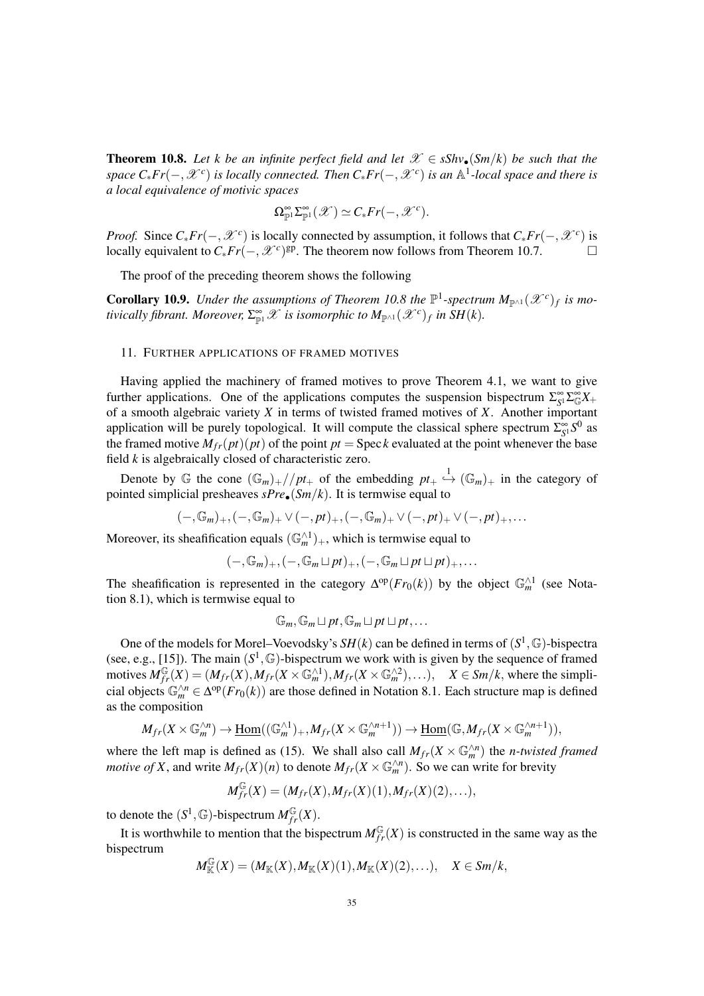**Theorem 10.8.** Let k be an infinite perfect field and let  $\mathcal{X} \in sShv_{\bullet}(Sm/k)$  be such that the *space C*∗*Fr*(−,X *<sup>c</sup>* ) *is locally connected. Then C*∗*Fr*(−,X *<sup>c</sup>* ) *is an* A 1 *-local space and there is a local equivalence of motivic spaces*

$$
\Omega_{\mathbb{P}^1}^{\infty} \Sigma_{\mathbb{P}^1}^{\infty}(\mathscr{X}) \simeq C_* Fr(-,\mathscr{X}^c).
$$

*Proof.* Since  $C_* Fr(-, \mathcal{X}^c)$  is locally connected by assumption, it follows that  $C_* Fr(-, \mathcal{X}^c)$  is locally equivalent to  $C_* Fr(-, \mathcal{X}^c)$ <sup>gp</sup>. The theorem now follows from Theorem 10.7. □

The proof of the preceding theorem shows the following

**Corollary 10.9.** Under the assumptions of Theorem 10.8 the  $\mathbb{P}^1$ -spectrum  $M_{\mathbb{P}^{\wedge 1}}(\mathscr{X}^c)_f$  is mo*tivically fibrant. Moreover,*  $\Sigma_{\mathbb{P}^1}^{\infty} \mathscr{X}$  *is isomorphic to*  $M_{\mathbb{P}^{\wedge 1}}(\mathscr{X}^c)_f$  *in SH*(*k*).

#### 11. FURTHER APPLICATIONS OF FRAMED MOTIVES

Having applied the machinery of framed motives to prove Theorem 4.1, we want to give further applications. One of the applications computes the suspension bispectrum  $\Sigma_{S^1}^{\infty} \Sigma_{\mathbb{G}}^{\infty} X_+$ of a smooth algebraic variety *X* in terms of twisted framed motives of *X*. Another important application will be purely topological. It will compute the classical sphere spectrum  $\Sigma_{S^1}^{\infty} S^0$  as the framed motive  $M_{fr}(pt)(pt)$  of the point  $pt = \text{Spec } k$  evaluated at the point whenever the base field *k* is algebraically closed of characteristic zero.

Denote by  $\mathbb G$  the cone  $(\mathbb G_m)_+//pt_+$  of the embedding  $pt_+ \stackrel{1}{\hookrightarrow} (\mathbb G_m)_+$  in the category of pointed simplicial presheaves *sPre*•(*Sm*/*k*). It is termwise equal to

$$
(-,\mathbb{G}_m)_+,-,\mathbb{G}_m)_+ \vee (-,pt)_+,-,\mathbb{G}_m)_+ \vee (-,pt)_+ \vee (-,pt)_+,\ldots
$$

Moreover, its sheafification equals  $(\mathbb{G}_m^{\wedge 1})_+$ , which is termwise equal to

$$
(-,\mathbb{G}_m)_+,-,-,\mathbb{G}_m\sqcup pt)_+,(-,\mathbb{G}_m\sqcup pt\sqcup pt)_+,\ldots
$$

The sheafification is represented in the category  $\Delta^{op}(Fr_0(k))$  by the object  $\mathbb{G}_m^{\wedge 1}$  (see Notation 8.1), which is termwise equal to

$$
\mathbb{G}_m, \mathbb{G}_m \sqcup pt, \mathbb{G}_m \sqcup pt \sqcup pt, \ldots
$$

One of the models for Morel–Voevodsky's  $SH(k)$  can be defined in terms of  $(S^1, \mathbb{G})$ -bispectra (see, e.g., [15]). The main  $(S^1, \mathbb{G})$ -bispectrum we work with is given by the sequence of framed  $M^{\mathbb{G}}_{fr}(X) = (M_{fr}(X), M_{fr}(X \times \mathbb{G}_m^{\wedge 1}), M_{fr}(X \times \mathbb{G}_m^{\wedge 2}), \ldots), \quad X \in Sm/k$ , where the simplicial objects  $\mathbb{G}_m^{\wedge n} \in \Delta^{\text{op}}(Fr_0(k))$  are those defined in Notation 8.1. Each structure map is defined as the composition

$$
M_{fr}(X\times \mathbb{G}_m^{\wedge n})\to \underline{\mathrm{Hom}}((\mathbb{G}_m^{\wedge 1})_+,M_{fr}(X\times \mathbb{G}_m^{\wedge n+1}))\to \underline{\mathrm{Hom}}(\mathbb{G},M_{fr}(X\times \mathbb{G}_m^{\wedge n+1})),
$$

where the left map is defined as (15). We shall also call  $M_{fr}(X \times \mathbb{G}_m^{\wedge n})$  the *n-twisted framed motive of X*, and write  $M_{fr}(X)(n)$  to denote  $M_{fr}(X \times \mathbb{G}_m^{\wedge n})$ . So we can write for brevity

$$
M_{fr}^{\mathbb{G}}(X) = (M_{fr}(X), M_{fr}(X)(1), M_{fr}(X)(2), \ldots),
$$

to denote the  $(S^1, \mathbb{G})$ -bispectrum  $M_{fr}^{\mathbb{G}}(X)$ .

It is worthwhile to mention that the bispectrum  $M^{\mathbb{G}}_{fr}(X)$  is constructed in the same way as the bispectrum

$$
M_{\mathbb{K}}^{\mathbb{G}}(X)=(M_{\mathbb{K}}(X),M_{\mathbb{K}}(X)(1),M_{\mathbb{K}}(X)(2),\ldots),\quad X\in Sm/k,
$$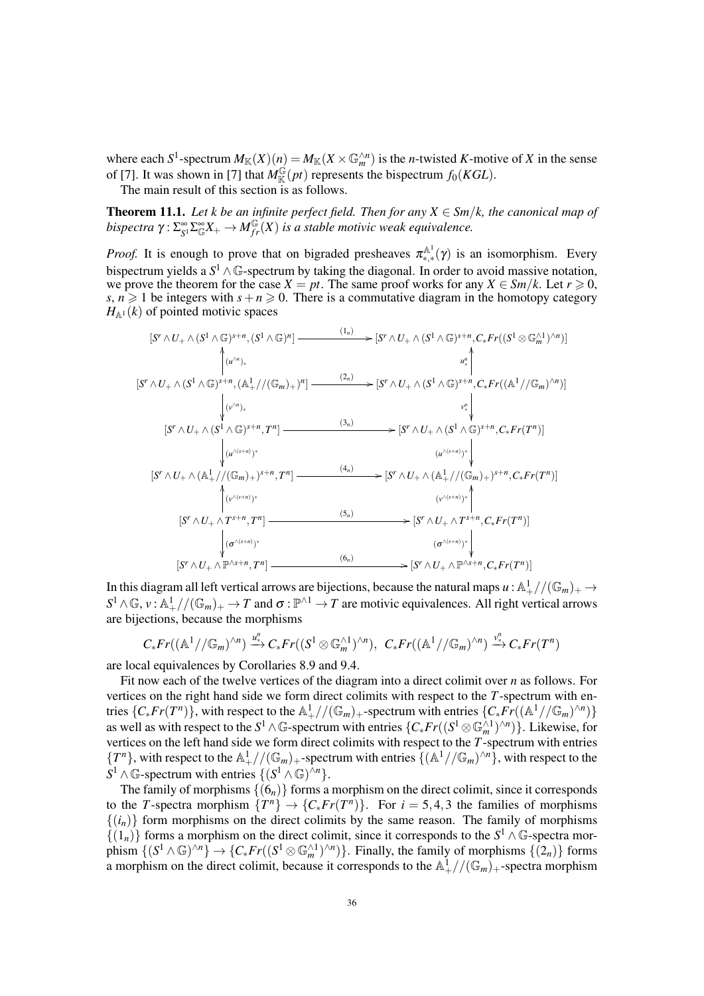where each  $S^1$ -spectrum  $M_K(X)(n) = M_K(X \times \mathbb{G}_m^{\wedge n})$  is the *n*-twisted *K*-motive of *X* in the sense of [7]. It was shown in [7] that  $M^{\mathbb{G}}_{\mathbb{K}}(pt)$  represents the bispectrum  $f_0(KGL)$ .

The main result of this section is as follows.

**Theorem 11.1.** Let k be an infinite perfect field. Then for any  $X \in \mathcal{S}m/k$ , the canonical map of bispectra  $\gamma: \Sigma_{S^1}^{\infty}\Sigma_{\mathbb{G}}^{\infty}X_+\to M_{fr}^{\mathbb{G}}(X)$  is a stable motivic weak equivalence.

*Proof.* It is enough to prove that on bigraded presheaves  $\pi_{*,*}^{\mathbb{A}^1}(\gamma)$  is an isomorphism. Every bispectrum yields a  $S^1 \wedge \mathbb{G}$ -spectrum by taking the diagonal. In order to avoid massive notation, we prove the theorem for the case  $X = pt$ . The same proof works for any  $X \in \frac{Sm}{k}$ . Let  $r \ge 0$ , *s*,  $n \ge 1$  be integers with  $s + n \ge 0$ . There is a commutative diagram in the homotopy category  $H_{\mathbb{A}^1}(k)$  of pointed motivic spaces

$$
[S' \wedge U_{+} \wedge (S^{1} \wedge \mathbb{G})^{s+n}, (S^{1} \wedge \mathbb{G})^{n}] \longrightarrow [(S' \wedge U_{+} \wedge (S^{1} \wedge \mathbb{G})^{s+n}, C_{*}Fr((S^{1} \otimes \mathbb{G}_{m}^{\wedge 1})^{\wedge n})]
$$
\n
$$
[S' \wedge U_{+} \wedge (S^{1} \wedge \mathbb{G})^{s+n}, (\mathbb{A}_{+}^{1}//(\mathbb{G}_{m})_{+})^{n}] \longrightarrow [S' \wedge U_{+} \wedge (S^{1} \wedge \mathbb{G})^{s+n}, C_{*}Fr((\mathbb{A}^{1}//\mathbb{G}_{m})^{\wedge n})]
$$
\n
$$
[S' \wedge U_{+} \wedge (S^{1} \wedge \mathbb{G})^{s+n}, T^{n}] \longrightarrow [(S' \wedge U_{+} \wedge (S^{1} \wedge \mathbb{G})^{s+n}, C_{*}Fr(T^{n})] \longrightarrow [(N \wedge (S^{1})^{\wedge (1)})^{s+n}, C_{*}Fr(T^{n})] \longrightarrow [(N \wedge (S^{1})^{\wedge (1)})^{s+n}, C_{*}Fr(T^{n})] \longrightarrow [(N \wedge (S^{1})^{\wedge (1)})^{s+n}, C_{*}Fr(T^{n})] \longrightarrow [(N \wedge (S^{1})^{\wedge (1)})^{s+n}, C_{*}Fr(T^{n})] \longrightarrow [(N \wedge (S^{1})^{\wedge (1)})^{s+n}, C_{*}Fr(T^{n})] \longrightarrow [(N \wedge (S^{1})^{\wedge (1)})^{s+n}, C_{*}Fr(T^{n})] \longrightarrow [(N \wedge (S^{1})^{\wedge n})^{s+n}, C_{*}Fr(T^{n})] \longrightarrow [(N \wedge (S^{1})^{\wedge n})^{s+n}, C_{*}Tr(T^{n})] \longrightarrow [(N \wedge (S^{1})^{\wedge n})^{s+n}, C_{*}Tr(T^{n})] \longrightarrow [(N \wedge (S^{1})^{\wedge n})^{s+n}, C_{*}Tr(T^{n})] \longrightarrow [(N \wedge (S^{1})^{\wedge n})^{s+n}, C_{*}Tr(T^{n})] \longrightarrow [(N \wedge (S^{1})^{\wedge n})^{s+n}, C_{*}Tr(T^{n})] \longrightarrow [(N \wedge (S^{1})^{\wedge n})^{s+n}, C_{*}Tr(T^{n})] \longrightarrow [(N \
$$

In this diagram all left vertical arrows are bijections, because the natural maps  $u : \mathbb{A}^1_+//(\mathbb{G}_m)_+ \to$  $S^1 \wedge \mathbb{G}, \nu : \mathbb{A}_+^1 \mathcal{V}(\mathbb{G}_m)_+ \to T$  and  $\sigma : \mathbb{P}^{\wedge 1} \to T$  are motivic equivalences. All right vertical arrows are bijections, because the morphisms

$$
C_* Fr((\mathbb{A}^1//\mathbb{G}_m)^{\wedge n}) \xrightarrow{u^n_*} C_* Fr((S^1 \otimes \mathbb{G}_m^{\wedge 1})^{\wedge n}), \ \ C_* Fr((\mathbb{A}^1//\mathbb{G}_m)^{\wedge n}) \xrightarrow{v^n_*} C_* Fr(T^n)
$$

are local equivalences by Corollaries 8.9 and 9.4.

Fit now each of the twelve vertices of the diagram into a direct colimit over *n* as follows. For vertices on the right hand side we form direct colimits with respect to the *T*-spectrum with entries  $\{C_* Fr(T^n)\}\right\}$ , with respect to the  $\mathbb{A}^1_+$ //( $\mathbb{G}_m$ )<sub>+</sub>-spectrum with entries  $\{C_* Fr((\mathbb{A}^1/\sqrt{\mathbb{G}_m})^{\wedge n})\}$ as well as with respect to the  $S^1 \wedge \mathbb{G}$ -spectrum with entries  $\{C_* Fr((S^1 \otimes \mathbb{G}_m^{\wedge 1})^{\wedge n})\}$ . Likewise, for vertices on the left hand side we form direct colimits with respect to the *T*-spectrum with entries  ${T^n}$ , with respect to the  $\mathbb{A}^1_+$  //( $\mathbb{G}_m$ )+-spectrum with entries  $\{(\mathbb{A}^1$  // $\mathbb{G}_m$ )<sup> $\wedge n$ </sup>, with respect to the  $S^1 \wedge \mathbb{G}$ -spectrum with entries  $\{(S^1 \wedge \mathbb{G})^{\wedge n}\}.$ 

The family of morphisms  $\{(6_n)\}\)$  forms a morphism on the direct colimit, since it corresponds to the *T*-spectra morphism  $\{T^n\} \to \{C_* Fr(T^n)\}\$ . For  $i = 5, 4, 3$  the families of morphisms  $\{(i_n)\}\$  form morphisms on the direct colimits by the same reason. The family of morphisms  ${(1<sub>n</sub>)}$  forms a morphism on the direct colimit, since it corresponds to the *S*<sup>1</sup> ∧ G-spectra morphism  $\{(S^1 \wedge \mathbb{G})^{\wedge n}\}\to \{C_* Fr((S^1 \otimes \mathbb{G}_m^{\wedge 1})^{\wedge n})\}$ . Finally, the family of morphisms  $\{(2_n)\}$  forms a morphism on the direct colimit, because it corresponds to the  $\mathbb{A}^1_+$ //( $\mathbb{G}_m$ )<sub>+</sub>-spectra morphism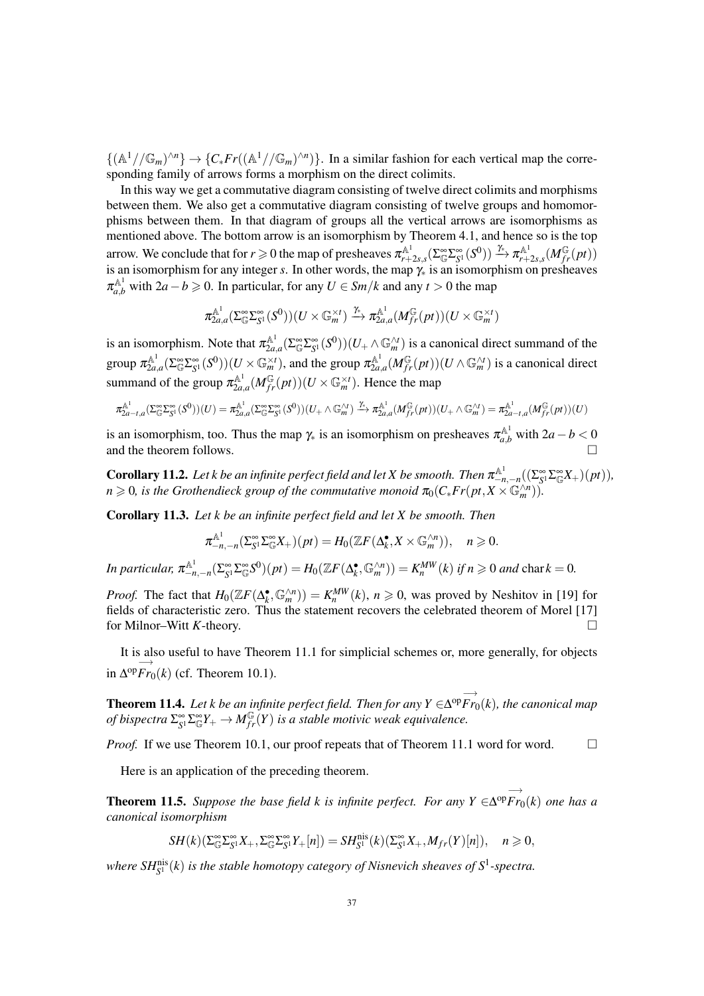$\{(\mathbb{A}^1//\mathbb{G}_m)^{\wedge n}\}\to \{C_*Fr((\mathbb{A}^1//\mathbb{G}_m)^{\wedge n})\}.$  In a similar fashion for each vertical map the corresponding family of arrows forms a morphism on the direct colimits.

In this way we get a commutative diagram consisting of twelve direct colimits and morphisms between them. We also get a commutative diagram consisting of twelve groups and homomorphisms between them. In that diagram of groups all the vertical arrows are isomorphisms as mentioned above. The bottom arrow is an isomorphism by Theorem 4.1, and hence so is the top arrow. We conclude that for  $r\geqslant 0$  the map of presheaves  $\pi_{r+}^{{\mathbb A}^1}$  $\pi^{{\mathbb A}^1}_{r+2s,s}(\Sigma^\infty_{\mathbb G} \Sigma^\infty_{S^1}(S^0)) \xrightarrow{\gamma_*} \pi^{{\mathbb A}^1}_{r+1}$  $\frac{A^1}{r+2s,s}(M_{fr}^{\mathbb{G}}(pt))$ is an isomorphism for any integer *s*. In other words, the map  $\gamma_*$  is an isomorphism on presheaves  $\pi_{a,b}^{\mathbb{A}^1}$  with  $2a - b \geq 0$ . In particular, for any  $U \in \mathbb{S}m/k$  and any  $t > 0$  the map

$$
\pi_{2a,a}^{\mathbb{A}^1}(\Sigma^\infty_{\mathbb{G}}\Sigma^\infty_{S^1}(S^0))(U\times \mathbb{G}_m^{\times t})\xrightarrow{\gamma_*} \pi_{2a,a}^{\mathbb{A}^1}(M_{fr}^{\mathbb{G}}(pt))(U\times \mathbb{G}_m^{\times t})
$$

is an isomorphism. Note that  $\pi_{2a}^{\mathbb{A}^1}$  $\sum_{2a,a}^{A^1} (\sum_{\mathbb{G}}^{\infty} \sum_{S^1}^{\infty} (S^0))(U_+ \wedge \mathbb{G}_m^{\wedge t})$  is a canonical direct summand of the group  $\pi_{2a}^{{\mathbb A}^1}$  $\frac{a^{A^1}}{2a,a}(\Sigma^\infty_{\mathbb{G}}\Sigma^\infty_{S^1}(S^0))(U\times \mathbb{G}_m^{\times t})$ , and the group  $\pi_{2a}^{\mathbb{A}^1}$  $\frac{2A^1}{2a,a}(M_{fr}^{\mathbb{G}}(pt))(U\wedge \mathbb{G}_m^{\wedge t})$  is a canonical direct summand of the group  $\pi_{2a}^{\mathbb{A}^1}$  $\mathbb{Z}_{2a,a}^{\mathbb{A}^1} (M_{fr}^{\mathbb{G}}(pt))(U \times \mathbb{G}_m^{\times t})$ . Hence the map

$$
\pi_{2a-t,a}^{\mathbb{A}^1}(\Sigma_{\mathbb{G}}^{\infty}\Sigma_{S^1}^{\infty}(S^0))(U) = \pi_{2a,a}^{\mathbb{A}^1}(\Sigma_{\mathbb{G}}^{\infty}\Sigma_{S^1}^{\infty}(S^0))(U_+ \wedge \mathbb{G}_m^{\wedge t}) \xrightarrow{\gamma_k} \pi_{2a,a}^{\mathbb{A}^1}(M_{fr}^{\mathbb{G}}(pt))(U_+ \wedge \mathbb{G}_m^{\wedge t}) = \pi_{2a-t,a}^{\mathbb{A}^1}(M_{fr}^{\mathbb{G}}(pt))(U)
$$

is an isomorphism, too. Thus the map  $\gamma_*$  is an isomorphism on presheaves  $\pi_{a,b}^{\mathbb{A}^1}$  with  $2a - b < 0$ and the theorem follows.

**Corollary 11.2.** Let k be an infinite perfect field and let X be smooth. Then  $\pi_{-n,-n}^{\mathbb{A}^1}((\Sigma_{S^1}^{\infty}\Sigma_{\mathbb{G}}^{\infty}X_+)(pt)),$  $n \geqslant 0$ , is the Grothendieck group of the commutative monoid  $\pi_0(C_*Fr(pt, X \times \mathbb{G}_m^{\wedge n}))$ .

Corollary 11.3. *Let k be an infinite perfect field and let X be smooth. Then*

$$
\pi_{-n,-n}^{\mathbb{A}^1}(\Sigma_{S^1}^{\infty} \Sigma_{\mathbb{G}}^{\infty} X_+)(pt) = H_0(\mathbb{Z}F(\Delta_k^{\bullet}, X \times \mathbb{G}_m^{\wedge n})), \quad n \geqslant 0.
$$

In particular,  $\pi_{-n,-n}^{\mathbb{A}^1}(\Sigma_{S^1}^{\infty}\Sigma_{\mathbb{G}}^{\infty}S^0)(pt) = H_0(\mathbb{Z}F(\Delta_k^{\bullet}, \mathbb{G}_m^{\wedge n})) = K_n^{MW}(k)$  if  $n \geq 0$  and char  $k = 0$ .

*Proof.* The fact that  $H_0(\mathbb{Z}F(\Delta_k^{\bullet}, \mathbb{G}_m^{\wedge n})) = K_n^{MW}(k)$ ,  $n \ge 0$ , was proved by Neshitov in [19] for fields of characteristic zero. Thus the statement recovers the celebrated theorem of Morel [17] for Milnor–Witt *K*-theory.

It is also useful to have Theorem 11.1 for simplicial schemes or, more generally, for objects in −→  $\Delta^{op}Fr_0(k)$  (cf. Theorem 10.1).

**Theorem 11.4.** *Let k be an infinite perfect field. Then for any*  $Y \in$ −→  $\Delta^{op}Fr_0(k)$ , the canonical map of bispectra  $\Sigma^\infty_{S^1}\Sigma^\infty_{\mathbb{G}} Y_+\to M^{\mathbb{G}}_{fr}(Y)$  is a stable motivic weak equivalence.

*Proof.* If we use Theorem 10.1, our proof repeats that of Theorem 11.1 word for word.  $\square$ 

Here is an application of the preceding theorem.

**Theorem 11.5.** *Suppose the base field k is infinite perfect. For any Y*  $\in$ −→ ∆ op*Fr*0(*k*) *one has a canonical isomorphism*

$$
SH(k)(\Sigma^\infty_{\mathbb{G}}\Sigma^\infty_{S^1}X_+,\Sigma^\infty_{\mathbb{G}}\Sigma^\infty_{S^1}Y_+[n])=SH^{\mathrm{nis}}_{S^1}(k)(\Sigma^\infty_{S^1}X_+,M_{fr}(Y)[n]),\quad n\geqslant 0,
$$

where  $SH^{\text{nis}}_{S^1}(k)$  is the stable homotopy category of Nisnevich sheaves of  $S^1$ -spectra.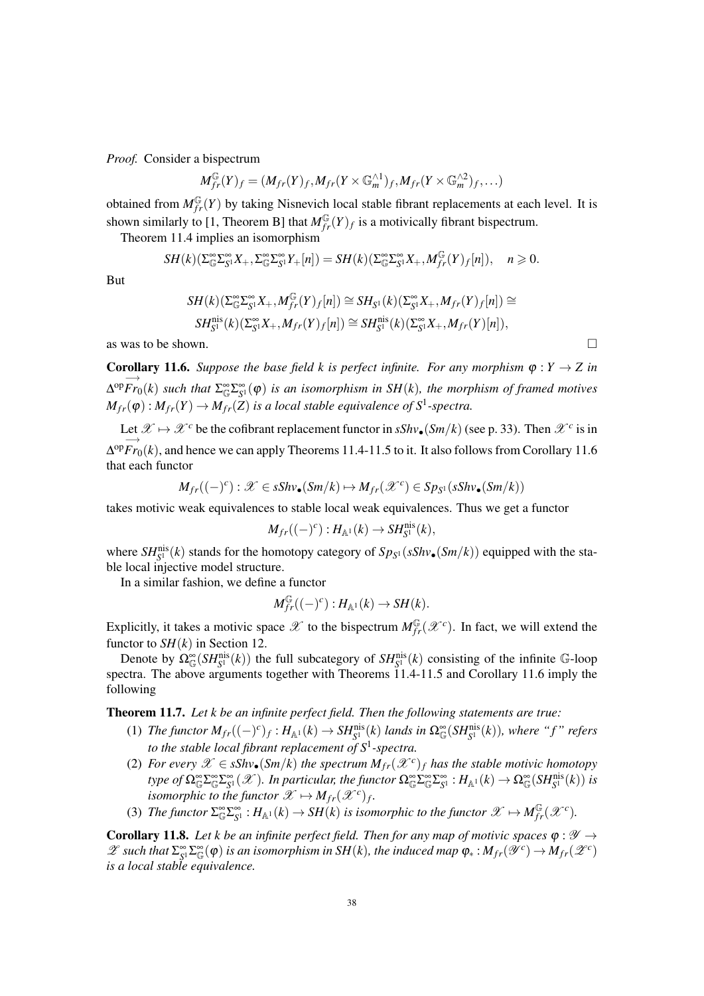*Proof.* Consider a bispectrum

$$
M_{fr}^{\mathbb{G}}(Y)_f=(M_{fr}(Y)_f,M_{fr}(Y\times \mathbb{G}_m^{\wedge 1})_f,M_{fr}(Y\times \mathbb{G}_m^{\wedge 2})_f,\ldots)
$$

obtained from  $M_{fr}^{\mathbb{G}}(Y)$  by taking Nisnevich local stable fibrant replacements at each level. It is shown similarly to [1, Theorem B] that  $M_{fr}^{\mathbb{G}}(Y)_f$  is a motivically fibrant bispectrum.

Theorem 11.4 implies an isomorphism

$$
SH(k)(\Sigma_{\mathbb{G}}^{\infty}\Sigma_{S^1}^{\infty}X_+, \Sigma_{\mathbb{G}}^{\infty}\Sigma_{S^1}^{\infty}Y_+[n])=SH(k)(\Sigma_{\mathbb{G}}^{\infty}\Sigma_{S^1}^{\infty}X_+, M_{fr}^{\mathbb{G}}(Y)_f[n]), \quad n \geq 0.
$$

But

$$
SH(k)(\Sigma_{\mathbb{G}}^{\infty} \Sigma_{S^1}^{\infty} X_+, M_{fr}^{\mathbb{G}}(Y)_f[n]) \cong SH_{S^1}(k)(\Sigma_{S^1}^{\infty} X_+, M_{fr}(Y)_f[n]) \cong
$$
  

$$
SH_{S^1}^{\text{nis}}(k)(\Sigma_{S^1}^{\infty} X_+, M_{fr}(Y)_f[n]) \cong SH_{S^1}^{\text{nis}}(k)(\Sigma_{S^1}^{\infty} X_+, M_{fr}(Y)[n]),
$$

as was to be shown.  $\Box$ 

**Corollary 11.6.** Suppose the base field k is perfect infinite. For any morphism  $\varphi: Y \to Z$  in −→  $\Delta^{op}Fr_0(k)$  such that  $\Sigma^{\infty}_{\mathbb{G}}\Sigma^{\infty}_{S^1}(\varphi)$  is an isomorphism in SH(k), the morphism of framed motives  $M_{fr}(\varphi): M_{fr}(Y) \to M_{fr}(\overline{Z})$  is a local stable equivalence of  $S^1$ -spectra.

Let  $\mathscr{X} \mapsto \mathscr{X}^c$  be the cofibrant replacement functor in  $sShv_{\bullet}(Sm/k)$  (see p. 33). Then  $\mathscr{X}^c$  is in −→  $\Delta^{\text{op}}$ *Fr*<sub>0</sub>(*k*), and hence we can apply Theorems 11.4-11.5 to it. It also follows from Corollary 11.6 that each functor

$$
M_{fr}((-)^c): \mathscr{X} \in sShv_{\bullet}(Sm/k) \mapsto M_{fr}(\mathscr{X}^c) \in Sp_{S^1}(sShv_{\bullet}(Sm/k))
$$

takes motivic weak equivalences to stable local weak equivalences. Thus we get a functor

$$
M_{fr}((-)^c):H_{\mathbb{A}^1}(k)\to SH^{\text{nis}}_{S^1}(k),
$$

where  $SH_{S^1}^{\text{nis}}(k)$  stands for the homotopy category of  $Sp_{S^1}(sShv_{\bullet}(Sm/k))$  equipped with the stable local injective model structure.

In a similar fashion, we define a functor

$$
M_{fr}^{\mathbb{G}}((-)^c):H_{\mathbb{A}^1}(k)\to SH(k).
$$

Explicitly, it takes a motivic space  $\mathscr X$  to the bispectrum  $M_{fr}^{\mathbb G}(\mathscr X^c)$ . In fact, we will extend the functor to  $SH(k)$  in Section 12.

Denote by  $\Omega_{\mathbb{G}}^{\infty}(SH_{S^1}^{\text{nis}}(k))$  the full subcategory of  $SH_{S^1}^{\text{nis}}(k)$  consisting of the infinite G-loop spectra. The above arguments together with Theorems 11.4-11.5 and Corollary 11.6 imply the following

Theorem 11.7. *Let k be an infinite perfect field. Then the following statements are true:*

- (1) *The functor*  $M_{fr}((-)^c)_f$ :  $H_{\mathbb{A}^1}(k) \to SH_{S^1}^{\text{nis}}(k)$  *lands in*  $\Omega_{\mathbb{G}}^{\infty}(SH_{S^1}^{\text{nis}}(k))$ *, where "f" refers to the stable local fibrant replacement of S*<sup>1</sup> *-spectra.*
- (2) *For every*  $\mathscr{X} \in sShv$  (*Sm*/*k*) *the spectrum*  $M_{fr}(\mathscr{X}^c)_f$  *has the stable motivic homotopy type of*  $\Omega_{\mathbb{G}}^{\infty} \Sigma_{\mathbb{G}}^{\infty} \Sigma_{\mathbb{S}^1}^{\infty}(\mathscr{X})$ *. In particular, the functor*  $\Omega_{\mathbb{G}}^{\infty} \Sigma_{\mathbb{G}}^{\infty} \Sigma_{\mathbb{S}^1}^{\infty} : H_{\mathbb{A}^1}(k) \to \Omega_{\mathbb{G}}^{\infty}(SH_{\mathbb{S}^1}^{\text{nis}}(k))$  *is isomorphic to the functor*  $\mathscr{X} \mapsto M_{fr}(\mathscr{X}^c)_f$ .
- (3) The functor  $\sum_{\mathbb{G}}^{\infty} \sum_{\mathbb{S}^1}^{\infty} : H_{\mathbb{A}^1}(k) \to SH(k)$  is isomorphic to the functor  $\mathscr{X} \mapsto M_{fr}^{\mathbb{G}}(\mathscr{X}^c)$ .

**Corollary 11.8.** Let k be an infinite perfect field. Then for any map of motivic spaces  $\varphi : \mathcal{Y} \rightarrow$  $\mathscr{L}$  such that  $\Sigma_{S}^{\infty} \Sigma_{\mathbb{G}}^{\infty}(\varphi)$  is an isomorphism in SH(k), the induced map  $\varphi_*: M_{fr}(\mathscr{Y}^c) \to M_{fr}(\mathscr{Z}^c)$ *is a local stable equivalence.*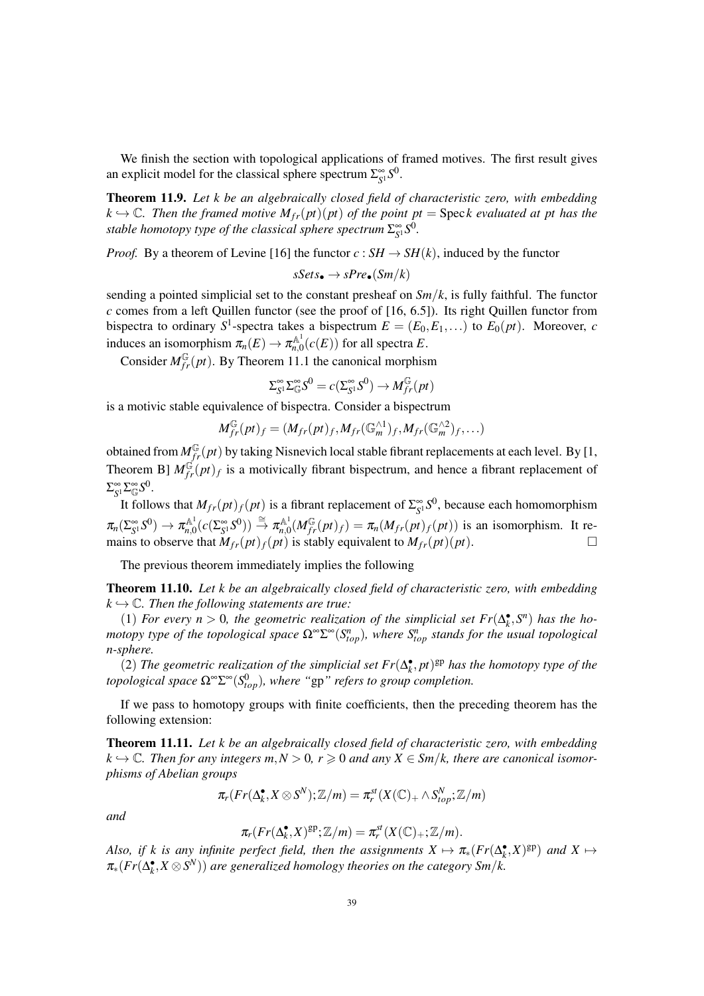We finish the section with topological applications of framed motives. The first result gives an explicit model for the classical sphere spectrum  $\Sigma_{S^1}^{\infty} S^0$ .

Theorem 11.9. *Let k be an algebraically closed field of characteristic zero, with embedding*  $k \hookrightarrow \mathbb{C}$ . Then the framed motive  $M_{fr}(pt)(pt)$  of the point  $pt = \text{Spec } k$  evaluated at pt has the stable homotopy type of the classical sphere spectrum  $\Sigma^\infty_{S^1}S^0$ .

*Proof.* By a theorem of Levine [16] the functor  $c : SH \to SH(k)$ , induced by the functor

$$
sSets_{\bullet} \to sPre_{\bullet}(Sm/k)
$$

sending a pointed simplicial set to the constant presheaf on  $Sm/k$ , is fully faithful. The functor *c* comes from a left Quillen functor (see the proof of [16, 6.5]). Its right Quillen functor from bispectra to ordinary  $S^1$ -spectra takes a bispectrum  $E = (E_0, E_1, \ldots)$  to  $E_0(pt)$ . Moreover, *c* induces an isomorphism  $\pi_n(E) \to \pi_{n,0}^{\mathbb{A}^1}$  $f_{n,0}^{\mathbb{A}^1}(c(E))$  for all spectra *E*.

Consider  $M^{\mathbb{G}}_{fr}(pt)$ . By Theorem 11.1 the canonical morphism

$$
\Sigma_{S^1}^{\infty} \Sigma_{\mathbb{G}}^{\infty} S^0 = c(\Sigma_{S^1}^{\infty} S^0) \to M_{fr}^{\mathbb{G}}(pt)
$$

is a motivic stable equivalence of bispectra. Consider a bispectrum

$$
M_{fr}^{\mathbb{G}}(pt)_{f}=(M_{fr}(pt)_{f},M_{fr}(\mathbb{G}_{m}^{\wedge 1})_{f},M_{fr}(\mathbb{G}_{m}^{\wedge 2})_{f},\ldots)
$$

obtained from  $M^{\mathbb{G}}_{fr}(pt)$  by taking Nisnevich local stable fibrant replacements at each level. By [1, Theorem B]  $M^{\mathfrak{G}}_{fr}(pt)_f$  is a motivically fibrant bispectrum, and hence a fibrant replacement of  $\Sigma_{S^1}^{\infty} \Sigma_{\mathbb{G}}^{\infty} S^0.$ 

It follows that  $M_{fr}(pt)_f(pt)$  is a fibrant replacement of  $\Sigma_{S^1}^{\infty} S^0$ , because each homomorphism  $\pi_n(\Sigma_{S^1}^\infty S^0) \to \pi_{n,0}^{{\mathbb A}^1}$  $\pi_{n,0}^{\mathbb{A}^1} (c(\Sigma_{S^1}^\infty S^0)) \overset{\cong}{\to} \pi_{n,0}^{\mathbb{A}^1}$  $m_{n,0}^{A}$ <sup>1</sup> $(M_{fr}^{\mathbb{G}}(pt)_f) = \pi_n(M_{fr}(pt)_f(pt))$  is an isomorphism. It remains to observe that  $\tilde{M}_{fr}(pt)_f(pt)$  is stably equivalent to  $M_{fr}(pt)(pt)$ .

The previous theorem immediately implies the following

Theorem 11.10. *Let k be an algebraically closed field of characteristic zero, with embedding*  $k \hookrightarrow \mathbb{C}$ . Then the following statements are true:

(1) *For every*  $n > 0$ , the geometric realization of the simplicial set  $Fr(\Delta_k^{\bullet}, S^n)$  has the ho*motopy type of the topological space* Ω<sup>∞</sup>Σ<sup>∞</sup>(S<sup>*n*</sup><sub>*top*</sub>), where S<sup>*n*</sup><sub>*top*</sub> stands for the usual topological *n-sphere.*

(2) *The geometric realization of the simplicial set*  $Fr(\Delta_k^{\bullet}, pt)^{gp}$  *has the homotopy type of the topological space* Ω∞Σ <sup>∞</sup>(*S* 0 *top*)*, where "*gp*" refers to group completion.*

If we pass to homotopy groups with finite coefficients, then the preceding theorem has the following extension:

Theorem 11.11. *Let k be an algebraically closed field of characteristic zero, with embedding*  $k \hookrightarrow \mathbb{C}$ . Then for any integers  $m, N > 0$ ,  $r \geq 0$  and any  $X \in \mathbb{S}m/k$ , there are canonical isomor*phisms of Abelian groups*

$$
\pi_r(Fr(\Delta_k^{\bullet}, X \otimes S^N); \mathbb{Z}/m) = \pi_r^{st}(X(\mathbb{C})_+ \wedge S_{top}^N; \mathbb{Z}/m)
$$

*and*

$$
\pi_r(Fr(\Delta_k^{\bullet}, X)^{\text{gp}}; \mathbb{Z}/m) = \pi_r^{\text{st}}(X(\mathbb{C})_+; \mathbb{Z}/m).
$$

*Also, if k is any infinite perfect field, then the assignments*  $X \mapsto \pi_*(Fr(\Delta_k^{\bullet}, X)^{\text{gp}})$  *and*  $X \mapsto$ π∗(*Fr*(∆ • *k* ,*X* ⊗*S <sup>N</sup>*)) *are generalized homology theories on the category Sm*/*k.*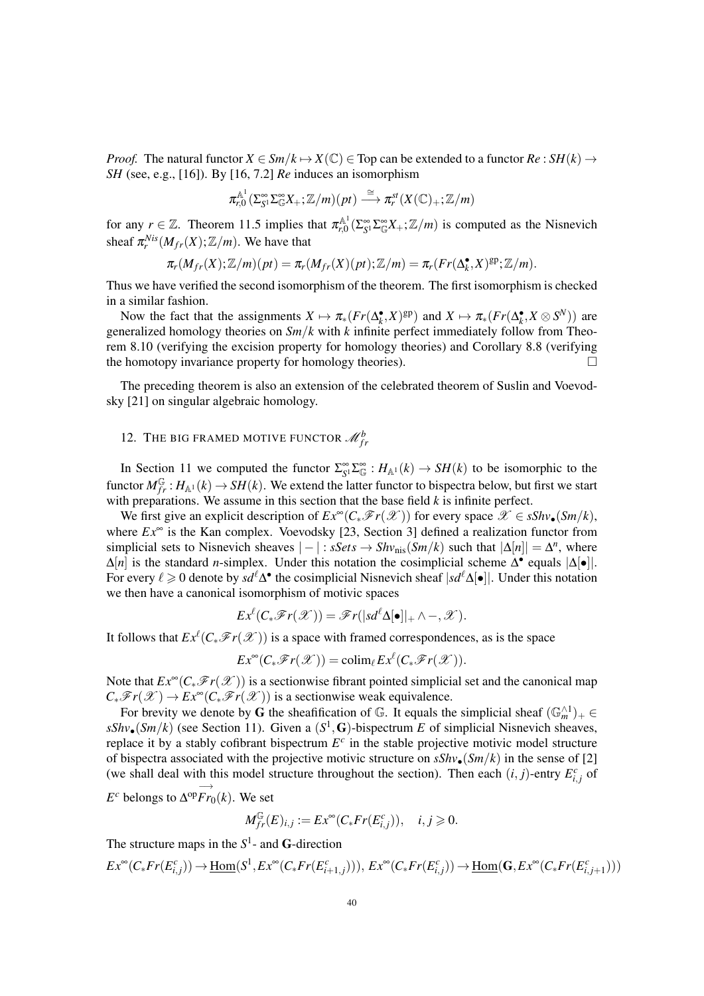*Proof.* The natural functor  $X \in \mathcal{S}_m/k \mapsto X(\mathbb{C}) \in \mathcal{T}$  for can be extended to a functor  $Re : \mathcal{S}_m(k) \to$ *SH* (see, e.g., [16]). By [16, 7.2] *Re* induces an isomorphism

$$
\pi_{r,0}^{\mathbb{A}^1}(\Sigma_{S^1}^{\infty}\Sigma_{\mathbb{G}}^{\infty}X_{+};\mathbb{Z}/m)(pt) \stackrel{\cong}{\longrightarrow} \pi_r^{st}(X(\mathbb{C})_{+};\mathbb{Z}/m)
$$

for any  $r \in \mathbb{Z}$ . Theorem 11.5 implies that  $\pi_{r,0}^{\mathbb{A}^1}$  $\chi_{r,0}^{\mathbb{A}^1}(\Sigma_{S^1}^{\infty} \Sigma_{\mathbb{G}}^{\infty} X_+; \mathbb{Z}/m)$  is computed as the Nisnevich sheaf  $\pi_r^{Nis}(M_{fr}(X); \mathbb{Z}/m)$ . We have that

$$
\pi_r(M_{fr}(X); \mathbb{Z}/m)(pt) = \pi_r(M_{fr}(X)(pt); \mathbb{Z}/m) = \pi_r(Fr(\Delta_k^{\bullet}, X)^{\text{gp}}; \mathbb{Z}/m).
$$

Thus we have verified the second isomorphism of the theorem. The first isomorphism is checked in a similar fashion.

Now the fact that the assignments  $X \mapsto \pi_*(Fr(\Delta_k^{\bullet}, X)^{\text{gp}})$  and  $X \mapsto \pi_*(Fr(\Delta_k^{\bullet}, X \otimes S^N))$  are generalized homology theories on *Sm*/*k* with *k* infinite perfect immediately follow from Theorem 8.10 (verifying the excision property for homology theories) and Corollary 8.8 (verifying the homotopy invariance property for homology theories).

The preceding theorem is also an extension of the celebrated theorem of Suslin and Voevodsky [21] on singular algebraic homology.

# 12. THE BIG FRAMED MOTIVE FUNCTOR  $\mathcal{M}_{fr}^b$

In Section 11 we computed the functor  $\Sigma_{S^1}^{\infty} \Sigma_{\mathbb{G}}^{\infty} : H_{\mathbb{A}^1}(k) \to SH(k)$  to be isomorphic to the functor  $M_{fr}^{\mathbb{G}}$ :  $H_{\mathbb{A}^1}(k) \to SH(k)$ . We extend the latter functor to bispectra below, but first we start with preparations. We assume in this section that the base field *k* is infinite perfect.

We first give an explicit description of  $Ex^{\infty}(C_*\mathscr{F}r(\mathscr{X}))$  for every space  $\mathscr{X} \in sShv_{\bullet}(Sm/k)$ , where  $Ex^{\infty}$  is the Kan complex. Voevodsky [23, Section 3] defined a realization functor from simplicial sets to Nisnevich sheaves  $|-|$ : *sSets*  $\rightarrow Shv_{\text{nis}}(Sm/k)$  such that  $|\Delta[n]| = \Delta^n$ , where ∆[*n*] is the standard *n*-simplex. Under this notation the cosimplicial scheme  $\Delta^{\bullet}$  equals  $|\Delta[\bullet]|$ . For every  $\ell \geq 0$  denote by  $sd^{\ell}\Delta^{\bullet}$  the cosimplicial Nisnevich sheaf  $|sd^{\ell}\Delta[\bullet]|$ . Under this notation we then have a canonical isomorphism of motivic spaces

$$
Ex^{\ell}(C_*\mathscr{F}r(\mathscr{X}))=\mathscr{F}r(|sd^{\ell}\Delta[\bullet]|_+\wedge -, \mathscr{X}).
$$

It follows that  $Ex^{\ell}(C_*\mathscr{F}r(\mathscr{X}))$  is a space with framed correspondences, as is the space

$$
Ex^{\infty}(C_*\mathscr{F}r(\mathscr{X})) = \text{colim}_{\ell} Ex^{\ell}(C_*\mathscr{F}r(\mathscr{X})).
$$

Note that  $Ex^{\infty}(C_*\mathscr{F}_r(\mathscr{X}))$  is a sectionwise fibrant pointed simplicial set and the canonical map  $C_*\mathscr{F}r(\mathscr{X}) \to Ex^\infty(C_*\mathscr{F}r(\mathscr{X}))$  is a sectionwise weak equivalence.

For brevity we denote by G the sheafification of  $\mathbb{G}$ . It equals the simplicial sheaf  $(\mathbb{G}_{m}^{\wedge 1})_{+} \in$  $sShv_{\bullet}(Sm/k)$  (see Section 11). Given a  $(S^1, G)$ -bispectrum *E* of simplicial Nisnevich sheaves, replace it by a stably cofibrant bispectrum  $E^c$  in the stable projective motivic model structure of bispectra associated with the projective motivic structure on  $sShv_{\bullet}(Sm/k)$  in the sense of [2] (we shall deal with this model structure throughout the section). Then each  $(i, j)$ -entry  $E_{i,j}^c$  of

 $E^c$  belongs to  $\Delta^{\text{op}} \overrightarrow{Fr}$  $\Delta^{op}Fr_0(k)$ . We set

$$
M_{fr}^{\mathbb{G}}(E)_{i,j} := Ex^{\infty}(C_* Fr(E_{i,j}^c)), \quad i,j \geq 0.
$$

The structure maps in the  $S^1$ - and **G**-direction

$$
Ex^{\infty}(C_*Fr(E_{i,j}^c)) \to \underline{\mathrm{Hom}}(S^1, Ex^{\infty}(C_*Fr(E_{i+1,j}^c))), Ex^{\infty}(C_*Fr(E_{i,j}^c)) \to \underline{\mathrm{Hom}}(\mathbf{G}, Ex^{\infty}(C_*Fr(E_{i,j+1}^c)))
$$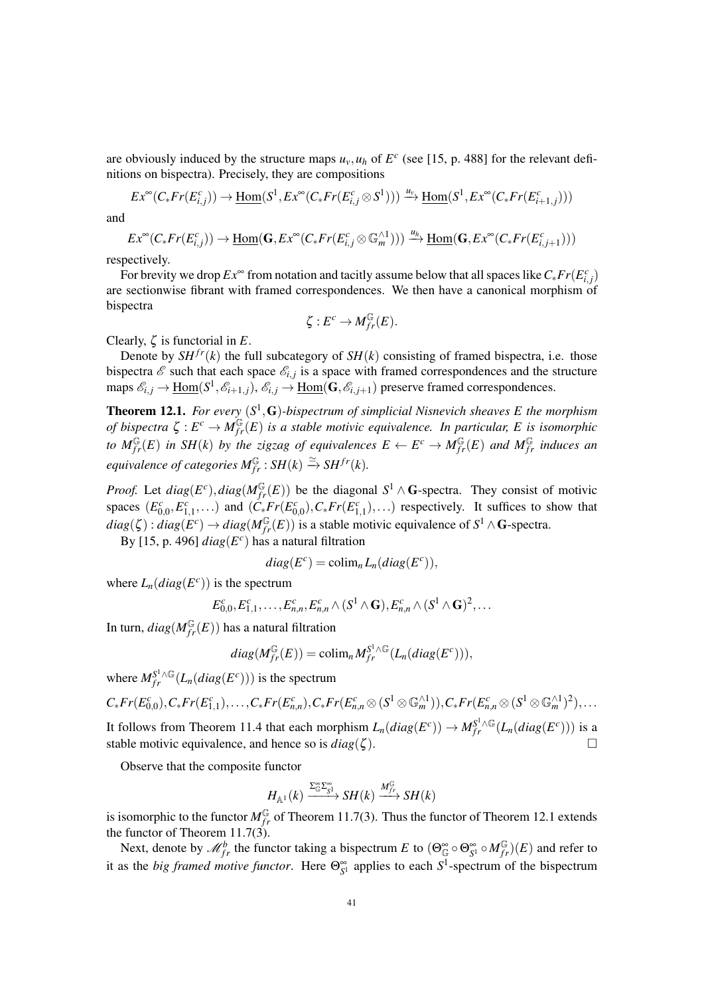are obviously induced by the structure maps  $u<sub>v</sub>, u<sub>h</sub>$  of  $E<sup>c</sup>$  (see [15, p. 488] for the relevant definitions on bispectra). Precisely, they are compositions

$$
Ex^{\infty}(C_{*}Fr(E_{i,j}^{c})) \rightarrow \underline{\operatorname{Hom}}(S^{1}, Ex^{\infty}(C_{*}Fr(E_{i,j}^{c} \otimes S^{1}))) \xrightarrow{u_{v}} \underline{\operatorname{Hom}}(S^{1}, Ex^{\infty}(C_{*}Fr(E_{i+1,j}^{c})))
$$

and

$$
Ex^{\infty}(C_* Fr(E_{i,j}^c)) \to \underline{\mathrm{Hom}}(\mathbf{G}, Ex^{\infty}(C_* Fr(E_{i,j}^c \otimes \mathbb{G}_m^{\wedge 1}))) \xrightarrow{u_h} \underline{\mathrm{Hom}}(\mathbf{G}, Ex^{\infty}(C_* Fr(E_{i,j+1}^c)))
$$

respectively.

For brevity we drop  $Ex^{\infty}$  from notation and tacitly assume below that all spaces like  $C_* Fr(E_{i,j}^c)$ are sectionwise fibrant with framed correspondences. We then have a canonical morphism of bispectra

$$
\zeta: E^c \to M_{fr}^{\mathbb{G}}(E).
$$

Clearly, ζ is functorial in *E*.

Denote by  $SH^{fr}(k)$  the full subcategory of  $SH(k)$  consisting of framed bispectra, i.e. those bispectra  $\mathscr E$  such that each space  $\mathscr E_{i,j}$  is a space with framed correspondences and the structure maps  $\mathscr{E}_{i,j} \to \underline{\text{Hom}}(S^1, \mathscr{E}_{i+1,j}),$   $\mathscr{E}_{i,j} \to \underline{\text{Hom}}(\mathbf{G}, \mathscr{E}_{i,j+1})$  preserve framed correspondences.

**Theorem 12.1.** For every  $(S^1, G)$ -bispectrum of simplicial Nisnevich sheaves E the morphism *of bispectra*  $\zeta : E^c \to M_{fr}^{\mathbb{G}}(E)$  *is a stable motivic equivalence. In particular, E is isomorphic to*  $M_{fr}^{\mathbb{G}}(E)$  *in SH(k) by the zigzag of equivalences*  $E \leftarrow E^c \rightarrow M_{fr}^{\mathbb{G}}(E)$  *and*  $M_{fr}^{\mathbb{G}}$  *induces an*  $eq$ *uivalence of categories*  $M_{fr}^{\mathbb{G}}$  :  $SH(k) \stackrel{\simeq}{\rightarrow} SH^{fr}(k)$ .

*Proof.* Let  $diag(E^c)$ ,  $diag(M_{fr}^{\mathbb{G}}(E))$  be the diagonal  $S^1 \wedge G$ -spectra. They consist of motivic spaces  $(E_{0,0}^c, E_{1,1}^c, \ldots)$  and  $(\tilde{C}_* Fr(E_{0,0}^c), C_* Fr(E_{1,1}^c), \ldots)$  respectively. It suffices to show that  $diag(\zeta) : diag(E^c) \to diag(M_{fr}^{\mathbb{G}}(E))$  is a stable motivic equivalence of  $S^1 \wedge \mathbf{G}$ -spectra.

By [15, p. 496]  $diag(E^c)$  has a natural filtration

$$
diag(E^c) = \operatorname{colim}_n L_n(diag(E^c)),
$$

where  $L_n(diag(E^c))$  is the spectrum

$$
E_{0,0}^c, E_{1,1}^c, \ldots, E_{n,n}^c, E_{n,n}^c \wedge (S^1 \wedge \mathbf{G}), E_{n,n}^c \wedge (S^1 \wedge \mathbf{G})^2, \ldots
$$

In turn,  $diag(M_{fr}^{\mathbb{G}}(E))$  has a natural filtration

$$
diag(M_{fr}^{\mathbb{G}}(E)) = \text{colim}_{n} M_{fr}^{S^{1}\wedge G}(L_{n}(diag(E^{c}))),
$$

where  $M_{fr}^{S^1 \wedge \mathbb{G}}(L_n(diag(E^c)))$  is the spectrum

 $C_* Fr(E_{0,0}^c), C_* Fr(E_{1,1}^c), \ldots, C_* Fr(E_{n,n}^c), C_* Fr(E_{n,n}^c \otimes (S^1 \otimes \mathbb{G}_m^{\wedge 1})), C_* Fr(E_{n,n}^c \otimes (S^1 \otimes \mathbb{G}_m^{\wedge 1})^2), \ldots$ It follows from Theorem 11.4 that each morphism  $L_n(diag(E^c)) \to M_{fr}^{S^1 \wedge \mathbb{G}}(L_n(diag(E^c)))$  is a

stable motivic equivalence, and hence so is  $diag(\zeta)$ .

Observe that the composite functor

$$
H_{\mathbb{A}^1}(k) \xrightarrow{\Sigma_{\mathbb{G}}^{\infty} \Sigma_{S^1}^{\infty}} SH(k) \xrightarrow{M_{fr}^{\mathbb{G}}} SH(k)
$$

is isomorphic to the functor  $M_{fr}^{\mathbb{G}}$  of Theorem 11.7(3). Thus the functor of Theorem 12.1 extends the functor of Theorem  $11.7(3)$ .

Next, denote by  $\mathcal{M}_{fr}^b$  the functor taking a bispectrum *E* to  $(\Theta_{\mathbb{G}}^{\infty} \circ \Theta_{S^1}^{\infty} \circ M_{fr}^{\mathbb{G}})(E)$  and refer to it as the *big framed motive functor*. Here  $\Theta_{S^1}^{\infty}$  applies to each  $S^1$ -spectrum of the bispectrum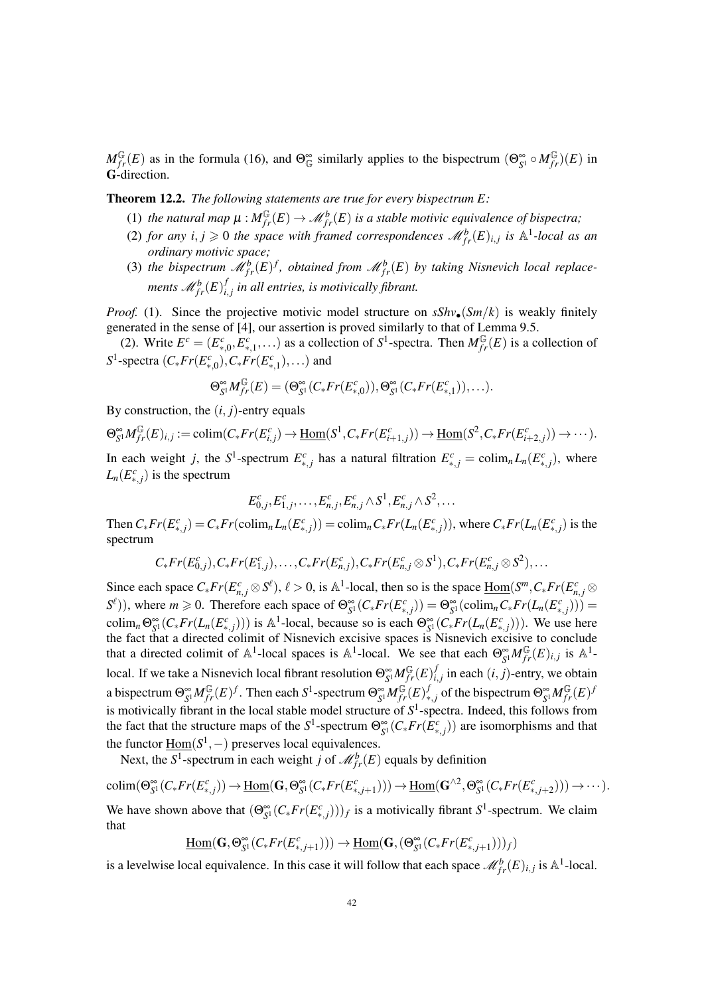$M_{fr}^{\mathbb{G}}(E)$  as in the formula (16), and  $\Theta_{\mathbb{G}}^{\infty}$  similarly applies to the bispectrum  $(\Theta_{S^1}^{\infty} \circ M_{fr}^{\mathbb{G}})(E)$  in G-direction.

Theorem 12.2. *The following statements are true for every bispectrum E:*

- (1) the natural map  $\mu : M^{\mathbb{G}}_{fr}(E) \to M^b_{fr}(E)$  is a stable motivic equivalence of bispectra;
- (2) *for any*  $i, j \ge 0$  *the space with framed correspondences*  $\mathcal{M}_{fr}^{b}(E)_{i,j}$  *is*  $\mathbb{A}^{1}$ -local as an *ordinary motivic space;*
- (3) the bispectrum  $\mathcal{M}_{fr}^{b}(E)^{f}$ , obtained from  $\mathcal{M}_{fr}^{b}(E)$  by taking Nisnevich local replace*ments*  $\mathscr{M}_{fr}^{b}(E)^f_{i}$ *i*, *j in all entries, is motivically fibrant.*

*Proof.* (1). Since the projective motivic model structure on  $sShv_{\bullet}(Sm/k)$  is weakly finitely generated in the sense of [4], our assertion is proved similarly to that of Lemma 9.5.

(2). Write  $E^c = (E^c_{*,0}, E^c_{*,1},...)$  as a collection of  $S^1$ -spectra. Then  $M_{fr}^{\mathbb{G}}(E)$  is a collection of  $S^1$ -spectra  $(C_* Fr(E_{*,0}^c), C_* Fr(E_{*,1}^c), \ldots)$  and

$$
\Theta_{\mathcal{S}^1}^{\infty}M_{fr}^{\mathbb{G}}(E)=(\Theta_{\mathcal{S}^1}^{\infty}(C_*Fr(E_{*,0}^c)),\Theta_{\mathcal{S}^1}^{\infty}(C_*Fr(E_{*,1}^c)),\ldots).
$$

By construction, the  $(i, j)$ -entry equals

 $\Theta_{S^1}^{\infty}M_{fr}^{\mathbb{G}}(E)_{i,j}:=\text{colim}(C_*Fr(E_{i,j}^c)\to \underline{\text{Hom}}(S^1,C_*Fr(E_{i+1,j}^c))\to \underline{\text{Hom}}(S^2,C_*Fr(E_{i+2,j}^c))\to\cdots).$ 

In each weight *j*, the *S*<sup>1</sup>-spectrum  $E_{*,j}^c$  has a natural filtration  $E_{*,j}^c = \text{colim}_n L_n(E_{*,j}^c)$ , where  $L_n(E_{*,j}^c)$  is the spectrum

$$
E_{0,j}^c, E_{1,j}^c, \ldots, E_{n,j}^c, E_{n,j}^c \wedge S^1, E_{n,j}^c \wedge S^2, \ldots
$$

Then  $C_*Fr(E_{*,j}^c) = C_*Fr(\operatorname{colim}_n L_n(E_{*,j}^c)) = \operatorname{colim}_n C_*Fr(L_n(E_{*,j}^c))$ , where  $C_*Fr(L_n(E_{*,j}^c))$  is the spectrum

$$
C_* Fr(E_{0,j}^c), C_* Fr(E_{1,j}^c), \ldots, C_* Fr(E_{n,j}^c), C_* Fr(E_{n,j}^c \otimes S^1), C_* Fr(E_{n,j}^c \otimes S^2), \ldots
$$

Since each space  $C_* Fr(E_{n,j}^c \otimes S^{\ell}), \ell > 0$ , is A<sup>1</sup>-local, then so is the space  $\underline{Hom}(S^m, C_* Fr(E_{n,j}^c \otimes S^{\ell}), \ell > 0)$  $S^{\ell}$ )), where  $m \ge 0$ . Therefore each space of  $\Theta_{S^1}^{\infty}(C_* Fr(E_{*,j}^c)) = \Theta_{S^1}^{\infty}(\text{colim}_n C_* Fr(L_n(E_{*,j}^c))) =$ colim<sub>n</sub>  $\Theta_{S^1}^{\infty}(C_*Fr(L_n(E_{*,j}^c)))$  is  $\mathbb{A}^1$ -local, because so is each  $\Theta_{S^1}^{\infty}(C_*Fr(L_n(E_{*,j}^c)))$ . We use here the fact that a directed colimit of Nisnevich excisive spaces is Nisnevich excisive to conclude that a directed colimit of  $\mathbb{A}^1$ -local spaces is  $\mathbb{A}^1$ -local. We see that each  $\Theta_{S^1}^{\infty}M_{fr}^{\mathbb{G}}(E)_{i,j}$  is  $\mathbb{A}^1$ local. If we take a Nisnevich local fibrant resolution  $\Theta_{S^1}^{\infty} M_{fr}^{\mathbb{G}}(E)^j_i$  $i,j$  in each  $(i, j)$ -entry, we obtain a bispectrum  $\Theta_{S^1}^{\infty} M_{fr}^{\mathbb{G}}(E)^f$ . Then each  $S^1$ -spectrum  $\Theta_{S^1}^{\infty} M_{fr}^{\mathbb{G}}(E)^f$  $f_{*,j}$  of the bispectrum  $\Theta_{S^1}^{\infty} M_{fr}^{\mathbb{G}}(E)^j$ is motivically fibrant in the local stable model structure of  $S<sup>1</sup>$ -spectra. Indeed, this follows from the fact that the structure maps of the  $S^1$ -spectrum  $\Theta_{S^1}^{\infty}(C_* Fr(E_{*,j}^c))$  are isomorphisms and that the functor  $\underline{Hom}(S^1, -)$  preserves local equivalences.

Next, the  $S^1$ -spectrum in each weight *j* of  $\mathcal{M}_{fr}^b(E)$  equals by definition

 $\text{colim}(\Theta_{S^1}^{\infty}(C_*Fr(E_{*,j}^c)) \to \underline{\text{Hom}}(\mathbf{G},\Theta_{S^1}^{\infty}(C_*Fr(E_{*,j+1}^c))) \to \underline{\text{Hom}}(\mathbf{G}^{\wedge 2},\Theta_{S^1}^{\infty}(C_*Fr(E_{*,j+2}^c))) \to \cdots).$ We have shown above that  $(\Theta_{S^1}^{\infty}(C_* Fr(E_{*,j}^c)))_f$  is a motivically fibrant  $S^1$ -spectrum. We claim that

 $\underline{\mathrm{Hom}}(\mathbf{G}, \Theta_{S^1}^{\infty}(C_* Fr(E_{*,j+1}^c))) \rightarrow \underline{\mathrm{Hom}}(\mathbf{G}, (\Theta_{S^1}^{\infty}(C_* Fr(E_{*,j+1}^c)))_f)$ 

is a levelwise local equivalence. In this case it will follow that each space  $\mathcal{M}_{fr}^{b}(E)_{i,j}$  is  $\mathbb{A}^1$ -local.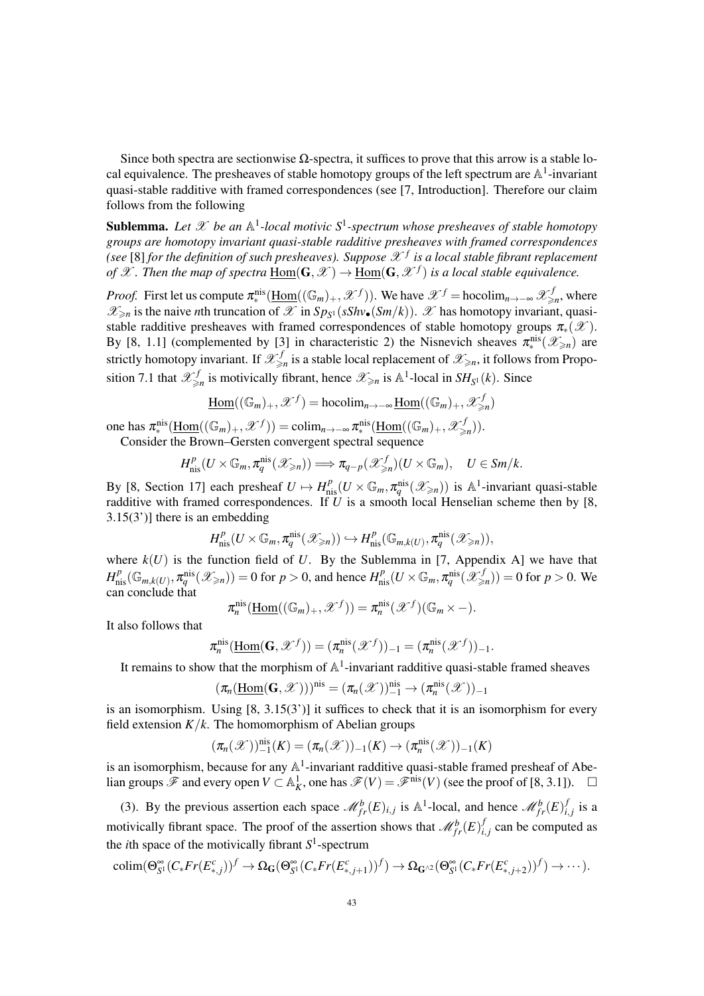Since both spectra are sectionwise  $Ω$ -spectra, it suffices to prove that this arrow is a stable local equivalence. The presheaves of stable homotopy groups of the left spectrum are  $\mathbb{A}^1$ -invariant quasi-stable radditive with framed correspondences (see [7, Introduction]. Therefore our claim follows from the following

**Sublemma.** Let  $\mathscr X$  be an  $\mathbb A^1$ -local motivic  $S^1$ -spectrum whose presheaves of stable homotopy *groups are homotopy invariant quasi-stable radditive presheaves with framed correspondences* (see  $[8]$  for the definition of such presheaves). Suppose  $\mathscr{X}^f$  is a local stable fibrant replacement *of*  $\mathscr X$ . Then the map of spectra  $\underline{\text{Hom}}(\mathbf{G},\mathscr X)\to \underline{\text{Hom}}(\mathbf{G},\mathscr X^f)$  is a local stable equivalence.

*Proof.* First let us compute  $\pi_*^{\text{nis}}(\underline{\text{Hom}}((\mathbb{G}_m)_+, \mathscr{X}^f))$ . We have  $\mathscr{X}^f = \text{hocolim}_{n \to -\infty} \mathscr{X}^f_{\geq n}$ , where  $\mathscr{X}_{\geq n}$  is the naive *n*th truncation of  $\mathscr{X}$  in  $Sp_{S^1}(sShv_{\bullet}(Sm/k))$ .  $\mathscr{X}$  has homotopy invariant, quasistable radditive presheaves with framed correspondences of stable homotopy groups  $\pi_*(\mathscr{X})$ . By [8, 1.1] (complemented by [3] in characteristic 2) the Nisnevich sheaves  $\pi^{\text{nis}}_{*}(\mathscr{X}_{\geq n})$  are strictly homotopy invariant. If  $\mathscr{X}^{f}_{\geq n}$  is a stable local replacement of  $\mathscr{X}_{\geq n}$ , it follows from Proposition 7.1 that  $\mathscr{X}_{\geq n}^f$  is motivically fibrant, hence  $\mathscr{X}_{\geq n}$  is  $\mathbb{A}^1$ -local in  $SH_{S^1}(k)$ . Since

$$
\underline{\mathrm{Hom}}((\mathbb{G}_m)_+,\mathscr{X}^f)=\mathrm{hocolim}_{n\to-\infty}\underline{\mathrm{Hom}}((\mathbb{G}_m)_+,\mathscr{X}^f_{\geq n})
$$

one has  $\pi_*^{\text{nis}}(\underline{\text{Hom}}((\mathbb{G}_m)_+, \mathscr{X}^f)) = \text{colim}_{n \to -\infty} \pi_*^{\text{nis}}(\underline{\text{Hom}}((\mathbb{G}_m)_+, \mathscr{X}^f_{\geq n})).$ 

Consider the Brown–Gersten convergent spectral sequence

$$
H_{\mathrm{nis}}^p(U\times\mathbb{G}_m,\pi_q^{\mathrm{nis}}(\mathscr{X}_{\geq n}))\Longrightarrow \pi_{q-p}(\mathscr{X}_{\geq n}^f)(U\times\mathbb{G}_m),\quad U\in Sm/k.
$$

By [8, Section 17] each presheaf  $U \mapsto H_{\text{nis}}^p(U \times \mathbb{G}_m, \pi_q^{\text{nis}}(\mathscr{X}_{\geq n}))$  is A<sup>1</sup>-invariant quasi-stable radditive with framed correspondences. If *U* is a smooth local Henselian scheme then by [8, 3.15(3')] there is an embedding

$$
H^p_{\text{nis}}(U \times \mathbb{G}_m, \pi_q^{\text{nis}}(\mathscr{X}_{\geq n})) \hookrightarrow H^p_{\text{nis}}(\mathbb{G}_{m,k(U)}, \pi_q^{\text{nis}}(\mathscr{X}_{\geq n})),
$$

where  $k(U)$  is the function field of U. By the Sublemma in [7, Appendix A] we have that  $H_{\text{nis}}^p(\mathbb{G}_{m,k(U)}, \pi_q^{\text{nis}}(\mathscr{X}_{\geq n})) = 0$  for  $p > 0$ , and hence  $H_{\text{nis}}^p(U \times \mathbb{G}_m, \pi_q^{\text{nis}}(\mathscr{X}_{\geq n}^f)) = 0$  for  $p > 0$ . We can conclude that

$$
\pi_n^{\text{nis}}(\underline{\text{Hom}}((\mathbb{G}_m)_+, \mathscr{X}^f)) = \pi_n^{\text{nis}}(\mathscr{X}^f)(\mathbb{G}_m \times -).
$$

It also follows that

$$
\pi_n^{\text{nis}}(\underline{\text{Hom}}(\mathbf{G}, \mathscr{X}^f)) = (\pi_n^{\text{nis}}(\mathscr{X}^f))_{-1} = (\pi_n^{\text{nis}}(\mathscr{X}^f))_{-1}.
$$

It remains to show that the morphism of  $\mathbb{A}^1$ -invariant radditive quasi-stable framed sheaves

$$
(\pi_n(\underline{\mathrm{Hom}}(\mathbf{G},\mathscr{X})))^{\mathrm{nis}}=(\pi_n(\mathscr{X}))_{-1}^{\mathrm{nis}}\to(\pi_n^{\mathrm{nis}}(\mathscr{X}))_{-1}
$$

is an isomorphism. Using [8, 3.15(3')] it suffices to check that it is an isomorphism for every field extension  $K/k$ . The homomorphism of Abelian groups

$$
(\pi_n(\mathscr{X}))_{-1}^{\text{nis}}(K) = (\pi_n(\mathscr{X}))_{-1}(K) \to (\pi_n^{\text{nis}}(\mathscr{X}))_{-1}(K)
$$

is an isomorphism, because for any  $\mathbb{A}^1$ -invariant radditive quasi-stable framed presheaf of Abelian groups  $\mathscr F$  and every open *V* ⊂ A<sub>*k*</sub>, one has  $\mathscr F(V) = \mathscr F^{\text{nis}}(V)$  (see the proof of [8, 3.1]). □

(3). By the previous assertion each space  $\mathcal{M}_{fr}^b(E)_{i,j}$  is  $\mathbb{A}^1$ -local, and hence  $\mathcal{M}_{fr}^b(E)^j_i$  $i,j$  is a motivically fibrant space. The proof of the assertion shows that  $\mathcal{M}_{fr}^b(E)^j_i$  $i,j$  can be computed as the *i*th space of the motivically fibrant  $S^1$ -spectrum

$$
\text{colim}(\Theta_{S^1}^{\infty}(C_*Fr(E_{*,j}^c))^f \to \Omega_{\mathbf{G}}(\Theta_{S^1}^{\infty}(C_*Fr(E_{*,j+1}^c))^f) \to \Omega_{\mathbf{G}^{\wedge 2}}(\Theta_{S^1}^{\infty}(C_*Fr(E_{*,j+2}^c))^f) \to \cdots).
$$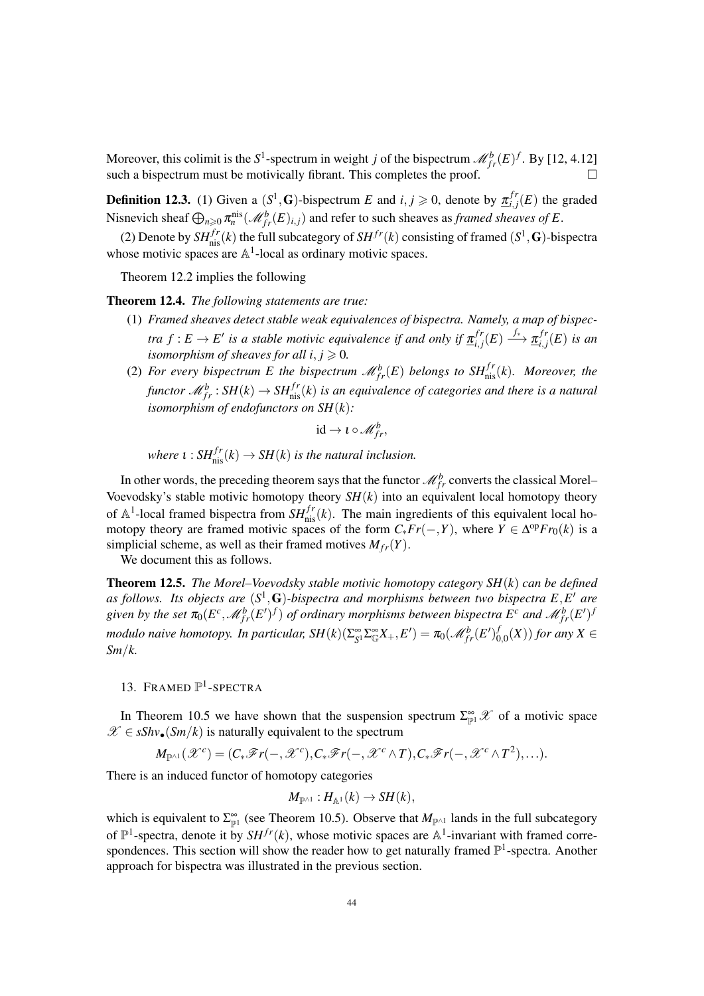Moreover, this colimit is the  $S^1$ -spectrum in weight *j* of the bispectrum  $\mathcal{M}_{fr}^b(E)^f$ . By [12, 4.12] such a bispectrum must be motivically fibrant. This completes the proof.  $\Box$ 

**Definition 12.3.** (1) Given a  $(S^1, G)$ -bispectrum *E* and  $i, j \ge 0$ , denote by  $\underline{\pi}_{i,j}^{fr}$  $i,j'(E)$  the graded Nisnevich sheaf  $\bigoplus_{n\geq 0} \pi_n^{\text{nis}}(\mathscr{M}_{fr}^b(E)_{i,j})$  and refer to such sheaves as *framed sheaves of E*.

(2) Denote by  $SH^{fr}_{nis}(k)$  the full subcategory of  $SH^{fr}(k)$  consisting of framed  $(S^1, G)$ -bispectra whose motivic spaces are  $\mathbb{A}^1$ -local as ordinary motivic spaces.

Theorem 12.2 implies the following

Theorem 12.4. *The following statements are true:*

- (1) *Framed sheaves detect stable weak equivalences of bispectra. Namely, a map of bispectra*  $f: E \to E'$  is a stable motivic equivalence if and only if  $\underline{\pi}_{i,j}^{fr}$  $\frac{f r}{i,j}(E) \stackrel{f_*}{\longrightarrow} \underline{\pi}_{i,j}^{fr}$  $_{i,j}^{Jr}(E)$  *is an isomorphism of sheaves for all*  $i, j \ge 0$ *.*
- (2) For every bispectrum E the bispectrum  $\mathcal{M}_{fr}^{b}(E)$  belongs to  $SH^{fr}_{\text{nis}}(k)$ . Moreover, the *functor*  $\mathscr{M}_{fr}^{b}$  :  $SH(k) \rightarrow SH^{fr}_{\text{nis}}(k)$  is an equivalence of categories and there is a natural *isomorphism of endofunctors on SH*(*k*)*:*

$$
\mathrm{id} \to \iota \circ \mathscr{M}_{fr}^b,
$$

*where*  $\iota$  :  $SH^{fr}_{\text{nis}}(k) \rightarrow SH(k)$  *is the natural inclusion.* 

In other words, the preceding theorem says that the functor  $\mathcal{M}_{fr}^b$  converts the classical Morel– Voevodsky's stable motivic homotopy theory  $SH(k)$  into an equivalent local homotopy theory of  $\mathbb{A}^1$ -local framed bispectra from  $SH^{fr}_{\text{nis}}(k)$ . The main ingredients of this equivalent local homotopy theory are framed motivic spaces of the form  $C_* Fr(-,Y)$ , where  $Y \in \Delta^{op} Fr_0(k)$  is a simplicial scheme, as well as their framed motives  $M_{fr}(Y)$ .

We document this as follows.

Theorem 12.5. *The Morel–Voevodsky stable motivic homotopy category SH*(*k*) *can be defined* as follows. Its objects are  $(S^1, G)$ -bispectra and morphisms between two bispectra  $E, E'$  are given by the set  $\pi_0(E^c, \mathcal{M}_{fr}^b(E')^f)$  of ordinary morphisms between bispectra  $E^c$  and  $\mathcal{M}_{fr}^b(E')^f$ *modulo naive homotopy. In particular,*  $SH(k)(\Sigma_{S^1}^{\infty}\Sigma_{\mathbb{G}}^{\infty}X_+,E')=\pi_0(\mathscr{M}_{fr}^b(E')_{\mathbb{G}}^b$  $\int_{0,0}^{J}(X))$  for any  $X \in$ *Sm*/*k.*

# 13. FRAMED  $\mathbb{P}^1$ -SPECTRA

In Theorem 10.5 we have shown that the suspension spectrum  $\sum_{p=1}^{\infty} \mathscr{X}$  of a motivic space  $\mathscr{X} \in sShv_{\bullet}(Sm/k)$  is naturally equivalent to the spectrum

$$
M_{\mathbb{P}^{\wedge 1}}(\mathscr{X}^c) = (C_*\mathscr{F}r(-,\mathscr{X}^c),C_*\mathscr{F}r(-,\mathscr{X}^c\wedge T),C_*\mathscr{F}r(-,\mathscr{X}^c\wedge T^2),\ldots).
$$

There is an induced functor of homotopy categories

$$
M_{\mathbb{P}^{\wedge 1}} : H_{\mathbb{A}^1}(k) \to SH(k),
$$

which is equivalent to  $\Sigma_{\mathbb{P}^1}^{\infty}$  (see Theorem 10.5). Observe that  $M_{\mathbb{P}^{\wedge 1}}$  lands in the full subcategory of  $\mathbb{P}^1$ -spectra, denote it by  $SH^{fr}(k)$ , whose motivic spaces are  $\mathbb{A}^1$ -invariant with framed correspondences. This section will show the reader how to get naturally framed  $\mathbb{P}^1$ -spectra. Another approach for bispectra was illustrated in the previous section.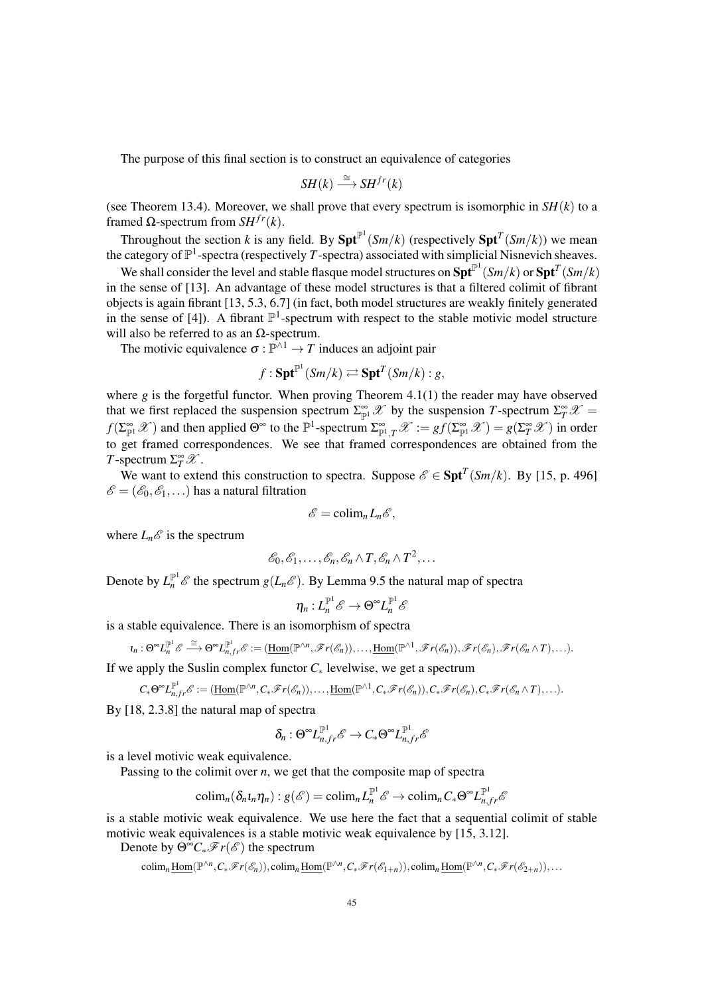The purpose of this final section is to construct an equivalence of categories

$$
SH(k) \stackrel{\cong}{\longrightarrow} SH^{fr}(k)
$$

(see Theorem 13.4). Moreover, we shall prove that every spectrum is isomorphic in  $SH(k)$  to a framed Ω-spectrum from *SH*<sup>*fr*</sup>(*k*).

Throughout the section *k* is any field. By  $\text{Spt}^{\mathbb{P}^1}(Sm/k)$  (respectively  $\text{Spt}^T(Sm/k)$ ) we mean the category of  $\mathbb{P}^1$ -spectra (respectively *T*-spectra) associated with simplicial Nisnevich sheaves.

We shall consider the level and stable flasque model structures on  $\text{Spt}^{\mathbb{P}^1}(Sm/k)$  or  $\text{Spt}^T(Sm/k)$ in the sense of [13]. An advantage of these model structures is that a filtered colimit of fibrant objects is again fibrant [13, 5.3, 6.7] (in fact, both model structures are weakly finitely generated in the sense of [4]). A fibrant  $\mathbb{P}^1$ -spectrum with respect to the stable motivic model structure will also be referred to as an  $Ω$ -spectrum.

The motivic equivalence  $\sigma : \mathbb{P}^{\wedge 1} \to T$  induces an adjoint pair

$$
f: \mathbf{Spt}^{\mathbb{P}^1}(Sm/k) \rightleftarrows \mathbf{Spt}^T(Sm/k): g,
$$

where  $g$  is the forgetful functor. When proving Theorem 4.1(1) the reader may have observed that we first replaced the suspension spectrum  $\Sigma_{\mathbb{P}^1}^{\infty} \mathscr{X}$  by the suspension *T*-spectrum  $\Sigma_T^{\infty} \mathscr{X} =$  $f(\sum_{\mathbb{P}^1}^{\infty} \mathscr{X})$  and then applied  $\Theta^{\infty}$  to the  $\mathbb{P}^1$ -spectrum  $\sum_{\mathbb{P}^1,T}^{\infty} \mathscr{X} := gf(\sum_{\mathbb{P}^1}^{\infty} \mathscr{X}) = g(\sum_{T}^{\infty} \mathscr{X})$  in order to get framed correspondences. We see that framed correspondences are obtained from the *T*-spectrum  $\Sigma_T^{\infty} \mathscr{X}$ .

We want to extend this construction to spectra. Suppose  $\mathscr{E} \in \text{Spt}^T(Sm/k)$ . By [15, p. 496]  $\mathscr{E} = (\mathscr{E}_0, \mathscr{E}_1, \ldots)$  has a natural filtration

$$
\mathscr{E}=\mathrm{colim}_{n}L_{n}\mathscr{E},
$$

where  $L_n \mathscr{E}$  is the spectrum

$$
\mathscr{E}_0, \mathscr{E}_1, \ldots, \mathscr{E}_n, \mathscr{E}_n \wedge T, \mathscr{E}_n \wedge T^2, \ldots
$$

Denote by  $L_n^{\mathbb{P}^1}$   $\mathscr E$  the spectrum  $g(L_n\mathscr E)$ . By Lemma 9.5 the natural map of spectra

$$
\eta_n: L_n^{\mathbb{P}^1} \mathscr{E} \rightarrow \Theta^\infty L_n^{\mathbb{P}^1} \mathscr{E}
$$

is a stable equivalence. There is an isomorphism of spectra

$$
\iota_n: \Theta^\infty L_n^{\mathbb P^1} \mathscr E \stackrel{\cong}{\longrightarrow} \Theta^\infty L_{n,fr}^{\mathbb P^1} \mathscr E := (\underline{\mathrm{Hom}}(\mathbb P^{\wedge n}, \mathscr Fr(\mathscr E_n)), \ldots, \underline{\mathrm{Hom}}(\mathbb P^{\wedge 1}, \mathscr Fr(\mathscr E_n)), \mathscr Fr(\mathscr E_n), \mathscr Fr(\mathscr E_n \wedge T), \ldots).
$$

If we apply the Suslin complex functor  $C_*$  levelwise, we get a spectrum

$$
C_*\Theta^{\infty}L_{n,fr}^{\mathbb{P}^1}{\mathscr E}:=(\underline{\text{Hom}}(\mathbb{P}^{\wedge n},C_*\mathscr{F}r({\mathscr E}_n)),\ldots,\underline{\text{Hom}}(\mathbb{P}^{\wedge 1},C_*\mathscr{F}r({\mathscr E}_n)),C_*\mathscr{F}r({\mathscr E}_n),C_*\mathscr{F}r({\mathscr E}_n\wedge T),\ldots).
$$

By [18, 2.3.8] the natural map of spectra

$$
\delta_n: \Theta^{\infty} L_{n,fr}^{\mathbb P^1}{\mathscr E} \to C_*\Theta^{\infty} L_{n,fr}^{\mathbb P^1}{\mathscr E}
$$

is a level motivic weak equivalence.

Passing to the colimit over *n*, we get that the composite map of spectra

$$
\mathrm{colim}_n(\delta_n\iota_n\eta_n):g(\mathscr{E})=\mathrm{colim}_nL_n^{\mathbb{P}^1}\mathscr{E}\to\mathrm{colim}_nC_*\Theta^\infty L_{n,fr}^{\mathbb{P}^1}\mathscr{E}
$$

is a stable motivic weak equivalence. We use here the fact that a sequential colimit of stable motivic weak equivalences is a stable motivic weak equivalence by [15, 3.12].

Denote by  $\Theta^{\infty}C_{*}\mathscr{F}r(\mathscr{E})$  the spectrum

$$
\mathrm{colim}_n\underline{\mathrm{Hom}}(\mathbb{P}^{\wedge n},C_*\mathscr{F}r(\mathscr{E}_n)),\mathrm{colim}_n\underline{\mathrm{Hom}}(\mathbb{P}^{\wedge n},C_*\mathscr{F}r(\mathscr{E}_{1+n})),\mathrm{colim}_n\underline{\mathrm{Hom}}(\mathbb{P}^{\wedge n},C_*\mathscr{F}r(\mathscr{E}_{2+n})),\ldots
$$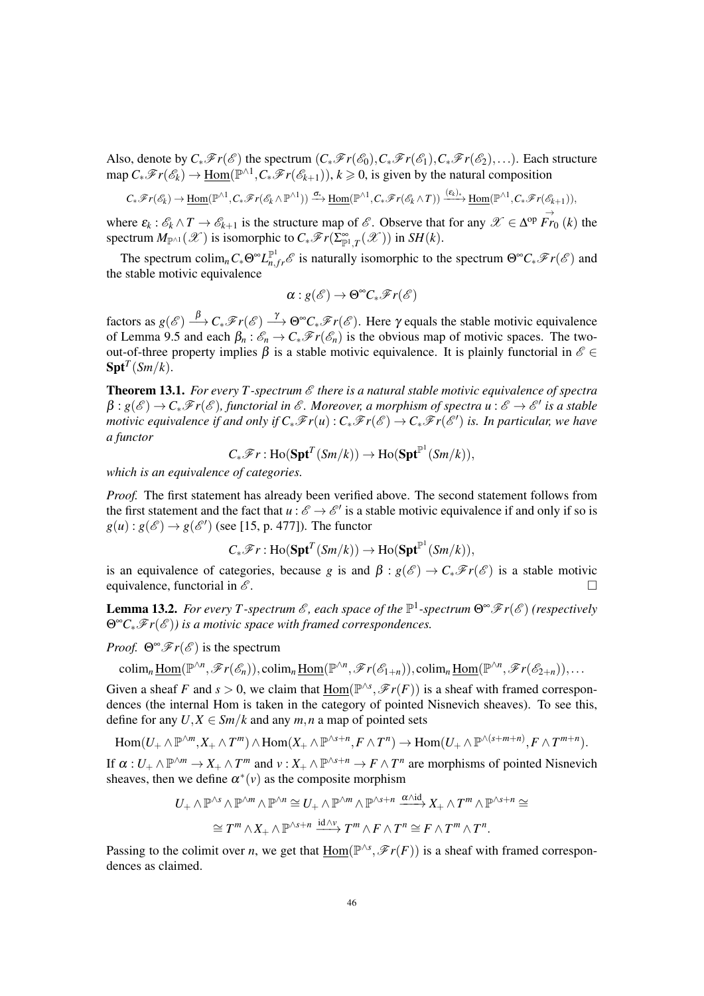Also, denote by  $C_*\mathscr{F}r(\mathscr{E})$  the spectrum  $(C_*\mathscr{F}r(\mathscr{E}_0), C_*\mathscr{F}r(\mathscr{E}_1), C_*\mathscr{F}r(\mathscr{E}_2), \ldots$ . Each structure  $\text{map } C_*\mathscr{F}r(\mathscr{E}_k) \to \underline{\text{Hom}}(\mathbb{P}^{\wedge 1}, C_*\mathscr{F}r(\mathscr{E}_{k+1})), k \geqslant 0$ , is given by the natural composition

$$
C_*\mathscr{F}r(\mathscr{E}_k)\to \underline{\mathrm{Hom}}(\mathbb{P}^{\wedge 1},C_*\mathscr{F}r(\mathscr{E}_k\wedge \mathbb{P}^{\wedge 1}))\xrightarrow{\sigma_*}\underline{\mathrm{Hom}}(\mathbb{P}^{\wedge 1},C_*\mathscr{F}r(\mathscr{E}_k\wedge T))\xrightarrow{(\varepsilon_k)_*}\underline{\mathrm{Hom}}(\mathbb{P}^{\wedge 1},C_*\mathscr{F}r(\mathscr{E}_{k+1})),
$$

where  $\varepsilon_k$ :  $\mathcal{E}_k \wedge T \to \mathcal{E}_{k+1}$  is the structure map of  $\mathcal{E}$ . Observe that for any  $\mathcal{X} \in \Delta^{\text{op}} \overrightarrow{Fr}_0(k)$  the spectrum  $M_{\mathbb{P}^{\wedge 1}}(\mathscr{X})$  is isomorphic to  $C_*\mathscr{F}r(\Sigma_{\mathbb{P}^1,T}^{\infty}(\mathscr{X}))$  in  $SH(k)$ .

The spectrum colim<sub>n</sub> $C_*\Theta^{\infty}L_{n,fr}^{\mathbb{P}^1}\mathscr{E}$  is naturally isomorphic to the spectrum  $\Theta^{\infty}C_*\mathscr{F}r(\mathscr{E})$  and the stable motivic equivalence

$$
\alpha: g(\mathscr{E}) \to \Theta^{\infty}C_*\mathscr{F}r(\mathscr{E})
$$

factors as  $g(\mathscr{E}) \stackrel{\beta}{\longrightarrow} C_*\mathscr{F}r(\mathscr{E}) \stackrel{\gamma}{\longrightarrow} \Theta^{\infty}C_*\mathscr{F}r(\mathscr{E})$ . Here  $\gamma$  equals the stable motivic equivalence of Lemma 9.5 and each  $\beta_n : \mathscr{E}_n \to C_* \mathscr{F}_r(\mathscr{E}_n)$  is the obvious map of motivic spaces. The twoout-of-three property implies  $\beta$  is a stable motivic equivalence. It is plainly functorial in  $\mathscr{E} \in$  $\textbf{Spt}^T(\textit{Sm}/k)$ .

**Theorem 13.1.** For every T-spectrum  $\mathscr E$  there is a natural stable motivic equivalence of spectra  $\beta:g(\mathscr{E})\to C_*\mathscr{F}r(\mathscr{E})$ , functorial in  $\mathscr{E}.$  Moreover, a morphism of spectra  $u:\mathscr{E}\to\mathscr{E}'$  is a stable *motivic equivalence if and only if*  $C_*\mathscr{F}r(u)$  *:*  $C_*\mathscr{F}r(\mathscr{E}) \to C_*\mathscr{F}r(\mathscr{E}')$  *is. In particular, we have a functor*

$$
C_*\mathscr{F}r: \mathrm{Ho}(\mathbf{Spt}^T(Sm/k)) \to \mathrm{Ho}(\mathbf{Spt}^{\mathbb{P}^1}(Sm/k)),
$$

*which is an equivalence of categories.*

*Proof.* The first statement has already been verified above. The second statement follows from the first statement and the fact that  $u : \mathscr{E} \to \mathscr{E}'$  is a stable motivic equivalence if and only if so is  $g(u)$ :  $g(\mathscr{E}) \rightarrow g(\mathscr{E}')$  (see [15, p. 477]). The functor

$$
C_*\mathscr{F}r: \mathrm{Ho}(\mathbf{Spt}^T(Sm/k)) \to \mathrm{Ho}(\mathbf{Spt}^{\mathbb{P}^1}(Sm/k)),
$$

is an equivalence of categories, because *g* is and  $\beta$  :  $g(\mathscr{E}) \to C_* \mathscr{F}r(\mathscr{E})$  is a stable motivic equivalence, functorial in  $\mathscr E$ .

**Lemma 13.2.** For every T-spectrum *&*, each space of the  $\mathbb{P}^1$ -spectrum  $\Theta^{\infty}$   $\mathscr{F}r(\mathscr{E})$  (respectively Θ∞*C*∗F*r*(E )*) is a motivic space with framed correspondences.*

*Proof.*  $\Theta^{\infty} \mathscr{F}r(\mathscr{E})$  is the spectrum

 $\operatorname{colim}_n \underline{\text{Hom}}(\mathbb{P}^{\wedge n}, \mathscr{F}r(\mathscr{E}_n)), \operatorname{colim}_n \underline{\text{Hom}}(\mathbb{P}^{\wedge n}, \mathscr{F}r(\mathscr{E}_{1+n})), \operatorname{colim}_n \underline{\text{Hom}}(\mathbb{P}^{\wedge n}, \mathscr{F}r(\mathscr{E}_{2+n})), \dots$ 

Given a sheaf *F* and  $s > 0$ , we claim that  $\underline{Hom}(\mathbb{P}^{\wedge s}, \mathscr{F}r(F))$  is a sheaf with framed correspondences (the internal Hom is taken in the category of pointed Nisnevich sheaves). To see this, define for any  $U, X \in \mathcal{S}m/k$  and any  $m, n$  a map of pointed sets

$$
\mathrm{Hom}(U_+ \wedge \mathbb{P}^{\wedge m}, X_+ \wedge T^m) \wedge \mathrm{Hom}(X_+ \wedge \mathbb{P}^{\wedge s+n}, F \wedge T^n) \to \mathrm{Hom}(U_+ \wedge \mathbb{P}^{\wedge (s+m+n)}, F \wedge T^{m+n}).
$$

If  $\alpha: U_+ \wedge \mathbb{P}^{\wedge m} \to X_+ \wedge T^m$  and  $v: X_+ \wedge \mathbb{P}^{\wedge s+n} \to F \wedge T^n$  are morphisms of pointed Nisnevich sheaves, then we define  $\alpha^*(v)$  as the composite morphism

$$
U_+ \wedge \mathbb{P}^{\wedge s} \wedge \mathbb{P}^{\wedge m} \wedge \mathbb{P}^{\wedge n} \cong U_+ \wedge \mathbb{P}^{\wedge m} \wedge \mathbb{P}^{\wedge s+n} \xrightarrow{\alpha \wedge id} X_+ \wedge T^m \wedge \mathbb{P}^{\wedge s+n} \cong
$$
  

$$
\cong T^m \wedge X_+ \wedge \mathbb{P}^{\wedge s+n} \xrightarrow{id \wedge \nu} T^m \wedge F \wedge T^n \cong F \wedge T^m \wedge T^n.
$$

Passing to the colimit over *n*, we get that  $\underline{Hom}(\mathbb{P}^{\wedge s}, \mathscr{F}r(F))$  is a sheaf with framed correspondences as claimed.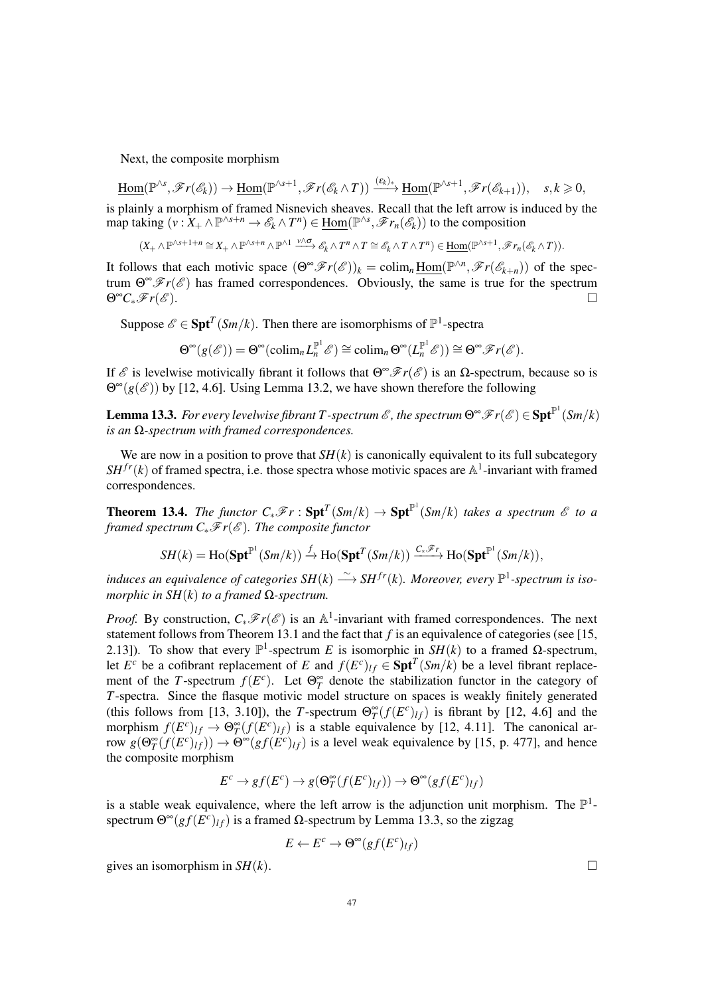Next, the composite morphism

$$
\underline{\mathrm{Hom}}(\mathbb{P}^{\wedge s}, \mathscr{F}r(\mathscr{E}_k)) \to \underline{\mathrm{Hom}}(\mathbb{P}^{\wedge s+1}, \mathscr{F}r(\mathscr{E}_k \wedge T)) \xrightarrow{(\epsilon_k)_*} \underline{\mathrm{Hom}}(\mathbb{P}^{\wedge s+1}, \mathscr{F}r(\mathscr{E}_{k+1})), \quad s, k \geq 0,
$$

is plainly a morphism of framed Nisnevich sheaves. Recall that the left arrow is induced by the  $\text{map taking } (v: X_+ \wedge \mathbb{P}^{\wedge s+n} \to \mathscr{E}_k \wedge T^n) \in \underline{\text{Hom}}(\mathbb{P}^{\wedge s}, \mathscr{F}r_n(\mathscr{E}_k))$  to the composition

 $(X_+\wedge \mathbb{P}^{\wedge s+1+n}\cong X_+\wedge \mathbb{P}^{\wedge s+n}\wedge \mathbb{P}^{\wedge 1}\xrightarrow{\nu\wedge \sigma} \mathscr{E}_k\wedge T^n\wedge T\cong \mathscr{E}_k\wedge T\wedge T^n)\in \underline{\mathrm{Hom}}(\mathbb{P}^{\wedge s+1}, \mathscr{F}r_n(\mathscr{E}_k\wedge T)).$ 

It follows that each motivic space  $(\Theta^{\infty} \mathscr{F}r(\mathscr{E}))_k = \text{colim}_n \underline{\text{Hom}}(\mathbb{P}^{\wedge n}, \mathscr{F}r(\mathscr{E}_{k+n}))$  of the spectrum  $\Theta^{\infty} \mathscr{F}r(\mathscr{E})$  has framed correspondences. Obviously, the same is true for the spectrum  $\Theta^{\infty}C_*\mathscr{F}r(\mathscr{E}).$ 

Suppose  $\mathscr{E} \in \text{Spt}^T(Sm/k)$ . Then there are isomorphisms of  $\mathbb{P}^1$ -spectra

$$
\Theta^{\infty}(g(\mathscr{E})) = \Theta^{\infty}(\operatorname{colim}_n L_n^{\mathbb{P}^1} \mathscr{E}) \cong \operatorname{colim}_n \Theta^{\infty}(L_n^{\mathbb{P}^1} \mathscr{E})) \cong \Theta^{\infty} \mathscr{F}r(\mathscr{E}).
$$

If  $\mathcal E$  is levelwise motivically fibrant it follows that  $\Theta^\infty \mathscr F r(\mathcal E)$  is an Ω-spectrum, because so is  $\Theta^{\infty}(g(\mathscr{E}))$  by [12, 4.6]. Using Lemma 13.2, we have shown therefore the following

Lemma 13.3. *For every levelwise fibrant T* -spectrum  $\mathscr E$  , the spectrum  $\Theta^\infty\mathscr F r(\mathscr E)\in \mathbf{Spt}^{\mathbb P^1}(Sm/k)$ *is an* Ω*-spectrum with framed correspondences.*

We are now in a position to prove that  $SH(k)$  is canonically equivalent to its full subcategory  $SH^{fr}(k)$  of framed spectra, i.e. those spectra whose motivic spaces are  $\mathbb{A}^1$ -invariant with framed correspondences.

**Theorem 13.4.** *The functor*  $C_*\mathscr{F}r : \mathbf{Spt}^T(Sm/k) \to \mathbf{Spt}^{\mathbb{P}^1}(Sm/k)$  *takes a spectrum*  $\mathscr{E}$  *to a framed spectrum C*∗ $\mathcal{F}r(\mathcal{E})$ *. The composite functor* 

$$
SH(k) = \mathrm{Ho}(\mathbf{Spt}^{\mathbb{P}^1}(Sm/k)) \xrightarrow{f} \mathrm{Ho}(\mathbf{Spt}^T(Sm/k)) \xrightarrow{C_*\mathscr{F}_T} \mathrm{Ho}(\mathbf{Spt}^{\mathbb{P}^1}(Sm/k)),
$$

*induces an equivalence of categories*  $SH(k) \stackrel{\sim}{\longrightarrow} SH^{fr}(k)$ . Moreover, every  $\mathbb{P}^1$ -spectrum is iso*morphic in SH*(*k*) *to a framed* Ω*-spectrum.*

*Proof.* By construction,  $C_*\mathscr{F}r(\mathscr{E})$  is an A<sup>1</sup>-invariant with framed correspondences. The next statement follows from Theorem 13.1 and the fact that *f* is an equivalence of categories (see [15, 2.13]). To show that every  $\mathbb{P}^1$ -spectrum *E* is isomorphic in  $\overline{SH}(k)$  to a framed Ω-spectrum, let  $E^c$  be a cofibrant replacement of *E* and  $f(E^c)_{lf} \in \text{Spt}^T(Sm/k)$  be a level fibrant replacement of the *T*-spectrum  $f(E^c)$ . Let  $\Theta^{\infty}_T$  denote the stabilization functor in the category of *T*-spectra. Since the flasque motivic model structure on spaces is weakly finitely generated (this follows from [13, 3.10]), the *T*-spectrum  $\Theta_T^{\infty}(f(E^c)_{lf})$  is fibrant by [12, 4.6] and the morphism  $f(E^c)_{lf} \to \Theta^{\infty}_T(f(E^c)_{lf})$  is a stable equivalence by [12, 4.11]. The canonical arrow  $g(\Theta_T^{\infty}(f(E^c)_{\mathcal{U}})) \to \Theta^{\infty}(gf(E^c)_{\mathcal{U}})$  is a level weak equivalence by [15, p. 477], and hence the composite morphism

$$
E^c \to gf(E^c) \to g(\Theta_T^{\infty}(f(E^c)_{\mathit{lf}})) \to \Theta^{\infty}(gf(E^c)_{\mathit{lf}})
$$

is a stable weak equivalence, where the left arrow is the adjunction unit morphism. The  $\mathbb{P}^1$ spectrum  $\Theta^{\infty}(gf(E^c)_{\mathcal{U}})$  is a framed  $\Omega$ -spectrum by Lemma 13.3, so the zigzag

$$
E \leftarrow E^c \rightarrow \Theta^{\infty}(gf(E^c)_{lf})
$$

gives an isomorphism in  $SH(k)$ .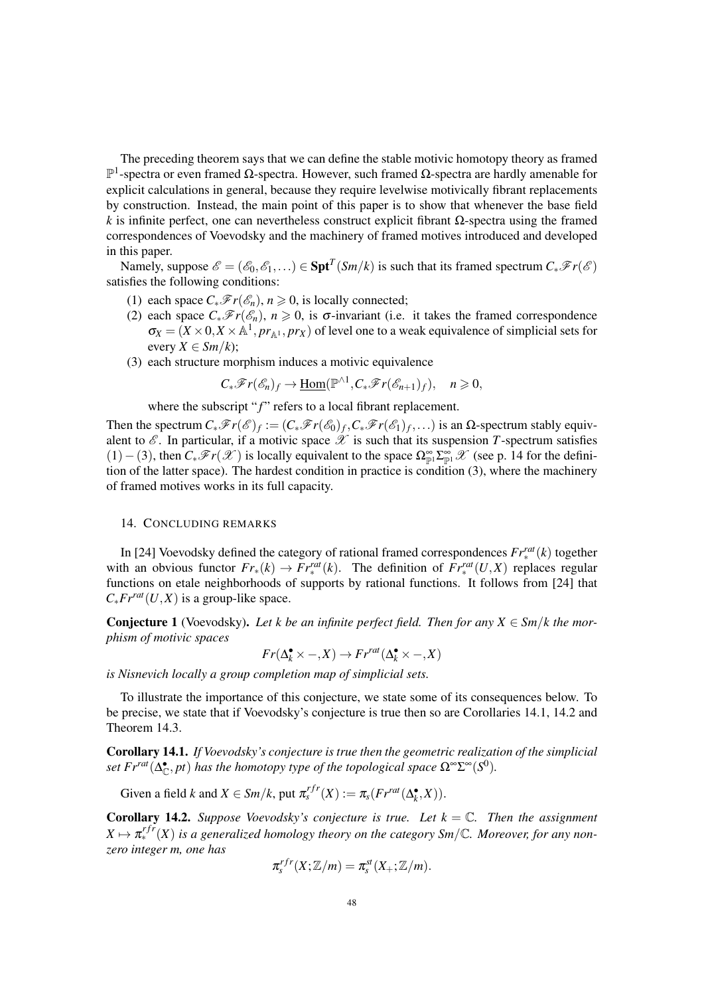The preceding theorem says that we can define the stable motivic homotopy theory as framed P 1 -spectra or even framed Ω-spectra. However, such framed Ω-spectra are hardly amenable for explicit calculations in general, because they require levelwise motivically fibrant replacements by construction. Instead, the main point of this paper is to show that whenever the base field *k* is infinite perfect, one can nevertheless construct explicit fibrant  $\Omega$ -spectra using the framed correspondences of Voevodsky and the machinery of framed motives introduced and developed in this paper.

Namely, suppose  $\mathscr{E} = (\mathscr{E}_0, \mathscr{E}_1, \ldots) \in \text{Spt}^T(\textit{Sm}/k)$  is such that its framed spectrum  $C_*\mathscr{F}r(\mathscr{E})$ satisfies the following conditions:

- (1) each space  $C_*\mathscr{F}r(\mathscr{E}_n)$ ,  $n \geq 0$ , is locally connected;
- (2) each space  $C_*\mathscr{F}r(\mathscr{E}_n)$ ,  $n \geq 0$ , is  $\sigma$ -invariant (i.e. it takes the framed correspondence  $\sigma_X = (X \times 0, X \times \mathbb{A}^1, pr_{\mathbb{A}^1}, pr_X)$  of level one to a weak equivalence of simplicial sets for every  $X \in \mathcal{S}m/k$ ;
- (3) each structure morphism induces a motivic equivalence

$$
C_*\mathscr{F}r(\mathscr{E}_n)_f\to \underline{\mathrm{Hom}}(\mathbb{P}^{\wedge 1},C_*\mathscr{F}r(\mathscr{E}_{n+1})_f),\quad n\geqslant 0,
$$

where the subscript "f" refers to a local fibrant replacement.

Then the spectrum  $C_*\mathscr{F}r(\mathscr{E})_f := (C_*\mathscr{F}r(\mathscr{E}_0)_f, C_*\mathscr{F}r(\mathscr{E}_1)_f, \ldots)$  is an  $\Omega$ -spectrum stably equivalent to  $\mathscr E$ . In particular, if a motivic space  $\mathscr X$  is such that its suspension *T*-spectrum satisfies (1)−(3), then  $C_*\mathscr{F}r(\mathscr{X})$  is locally equivalent to the space  $\Omega_{\mathbb{P}^1}^{\infty} \mathbb{Z}_{\mathbb{P}^1}^{\infty} \mathscr{X}$  (see p. 14 for the definition of the latter space). The hardest condition in practice is condition (3), where the machinery of framed motives works in its full capacity.

## 14. CONCLUDING REMARKS

In [24] Voevodsky defined the category of rational framed correspondences *Frrat* ∗ (*k*) together with an obvious functor  $Fr_*(k) \to Fr^{rat}_*(k)$ . The definition of  $Fr^{rat}_*(U,X)$  replaces regular functions on etale neighborhoods of supports by rational functions. It follows from [24] that  $C_* Fr^{rat}(U,X)$  is a group-like space.

**Conjecture 1** (Voevodsky). Let k be an infinite perfect field. Then for any  $X \in \mathcal{S}m/k$  the mor*phism of motivic spaces*

 $Fr(\Delta_k^{\bullet} \times -, X) \rightarrow Fr^{rat}(\Delta_k^{\bullet} \times -, X)$ 

*is Nisnevich locally a group completion map of simplicial sets.*

To illustrate the importance of this conjecture, we state some of its consequences below. To be precise, we state that if Voevodsky's conjecture is true then so are Corollaries 14.1, 14.2 and Theorem 14.3.

Corollary 14.1. *If Voevodsky's conjecture is true then the geometric realization of the simplicial set*  $Fr^{rat}(\Delta_{\mathbb{C}}^{\bullet},pt)$  *has the homotopy type of the topological space*  $\Omega^{\infty}\Sigma^{\infty}(S^{0})$ *.* 

Given a field *k* and  $X \in Sm/k$ , put  $\pi_s^{rf}(X) := \pi_s(Fr^{rat}(\Delta_k^{\bullet}, X)).$ 

**Corollary 14.2.** *Suppose Voevodsky's conjecture is true. Let*  $k = \mathbb{C}$ *. Then the assignment*  $X \mapsto \pi^{rfr}_*(X)$  is a generalized homology theory on the category Sm/C. Moreover, for any non*zero integer m, one has*

$$
\pi_s^{rfr}(X;\mathbb{Z}/m)=\pi_s^{st}(X_+;\mathbb{Z}/m).
$$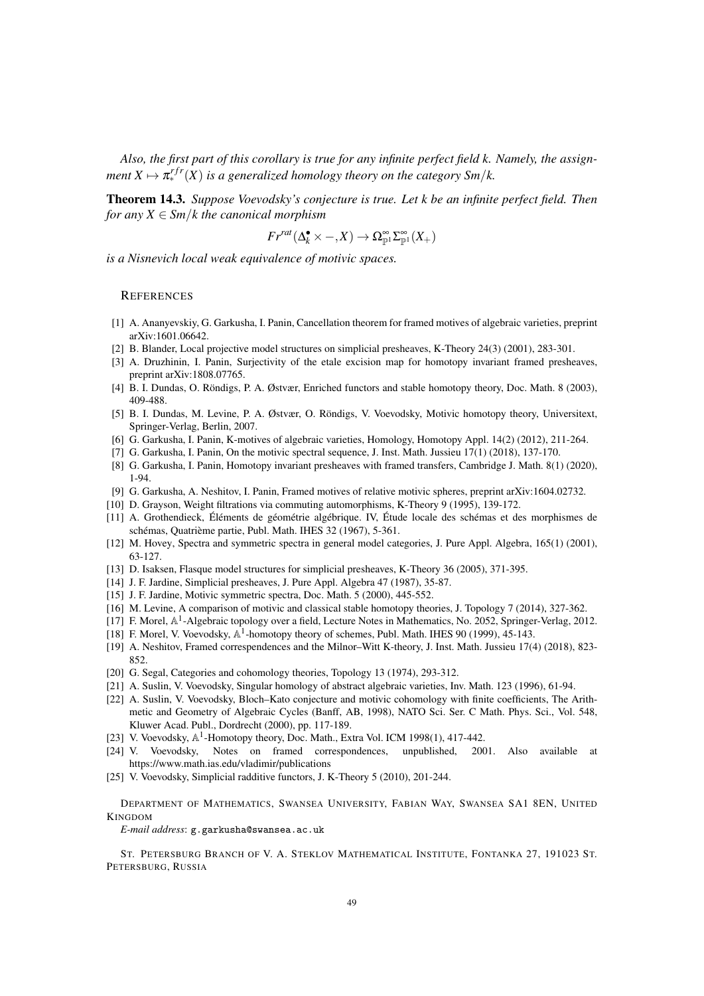*Also, the first part of this corollary is true for any infinite perfect field k. Namely, the assign* $m$ ent  $X \mapsto \pi_{*}^{rfr}(X)$  is a generalized homology theory on the category Sm/k.

Theorem 14.3. *Suppose Voevodsky's conjecture is true. Let k be an infinite perfect field. Then for any*  $X \in \text{Sm}/k$  *the canonical morphism* 

$$
Fr^{rat}(\Delta_k^{\bullet} \times -, X) \to \Omega_{\mathbb{P}^1}^{\infty} \Sigma_{\mathbb{P}^1}^{\infty}(X_+)
$$

*is a Nisnevich local weak equivalence of motivic spaces.*

## **REFERENCES**

- [1] A. Ananyevskiy, G. Garkusha, I. Panin, Cancellation theorem for framed motives of algebraic varieties, preprint arXiv:1601.06642.
- [2] B. Blander, Local projective model structures on simplicial presheaves, K-Theory 24(3) (2001), 283-301.
- [3] A. Druzhinin, I. Panin, Surjectivity of the etale excision map for homotopy invariant framed presheaves, preprint arXiv:1808.07765.
- [4] B. I. Dundas, O. Röndigs, P. A. Østvær, Enriched functors and stable homotopy theory, Doc. Math. 8 (2003), 409-488.
- [5] B. I. Dundas, M. Levine, P. A. Østvær, O. Röndigs, V. Voevodsky, Motivic homotopy theory, Universitext, Springer-Verlag, Berlin, 2007.
- [6] G. Garkusha, I. Panin, K-motives of algebraic varieties, Homology, Homotopy Appl. 14(2) (2012), 211-264.
- [7] G. Garkusha, I. Panin, On the motivic spectral sequence, J. Inst. Math. Jussieu 17(1) (2018), 137-170.
- [8] G. Garkusha, I. Panin, Homotopy invariant presheaves with framed transfers, Cambridge J. Math. 8(1) (2020), 1-94.
- [9] G. Garkusha, A. Neshitov, I. Panin, Framed motives of relative motivic spheres, preprint arXiv:1604.02732.
- [10] D. Grayson, Weight filtrations via commuting automorphisms, K-Theory 9 (1995), 139-172.
- [11] A. Grothendieck, Éléments de géométrie algébrique. IV, Étude locale des schémas et des morphismes de schémas, Quatrième partie, Publ. Math. IHES 32 (1967), 5-361.
- [12] M. Hovey, Spectra and symmetric spectra in general model categories, J. Pure Appl. Algebra, 165(1) (2001), 63-127.
- [13] D. Isaksen, Flasque model structures for simplicial presheaves, K-Theory 36 (2005), 371-395.
- [14] J. F. Jardine, Simplicial presheaves, J. Pure Appl. Algebra 47 (1987), 35-87.
- [15] J. F. Jardine, Motivic symmetric spectra, Doc. Math. 5 (2000), 445-552.
- [16] M. Levine, A comparison of motivic and classical stable homotopy theories, J. Topology 7 (2014), 327-362.
- [17] F. Morel, A<sup>1</sup>-Algebraic topology over a field, Lecture Notes in Mathematics, No. 2052, Springer-Verlag, 2012.
- [18] F. Morel, V. Voevodsky, A<sup>1</sup>-homotopy theory of schemes, Publ. Math. IHES 90 (1999), 45-143.
- [19] A. Neshitov, Framed correspendences and the Milnor–Witt K-theory, J. Inst. Math. Jussieu 17(4) (2018), 823- 852.
- [20] G. Segal, Categories and cohomology theories, Topology 13 (1974), 293-312.
- [21] A. Suslin, V. Voevodsky, Singular homology of abstract algebraic varieties, Inv. Math. 123 (1996), 61-94.
- [22] A. Suslin, V. Voevodsky, Bloch–Kato conjecture and motivic cohomology with finite coefficients, The Arithmetic and Geometry of Algebraic Cycles (Banff, AB, 1998), NATO Sci. Ser. C Math. Phys. Sci., Vol. 548, Kluwer Acad. Publ., Dordrecht (2000), pp. 117-189.
- [23] V. Voevodsky,  $\mathbb{A}^1$ -Homotopy theory, Doc. Math., Extra Vol. ICM 1998(1), 417-442.
- [24] V. Voevodsky, Notes on framed correspondences, unpublished, 2001. Also available at https://www.math.ias.edu/vladimir/publications
- [25] V. Voevodsky, Simplicial radditive functors, J. K-Theory 5 (2010), 201-244.

DEPARTMENT OF MATHEMATICS, SWANSEA UNIVERSITY, FABIAN WAY, SWANSEA SA1 8EN, UNITED KINGDOM

*E-mail address*: g.garkusha@swansea.ac.uk

ST. PETERSBURG BRANCH OF V. A. STEKLOV MATHEMATICAL INSTITUTE, FONTANKA 27, 191023 ST. PETERSBURG, RUSSIA